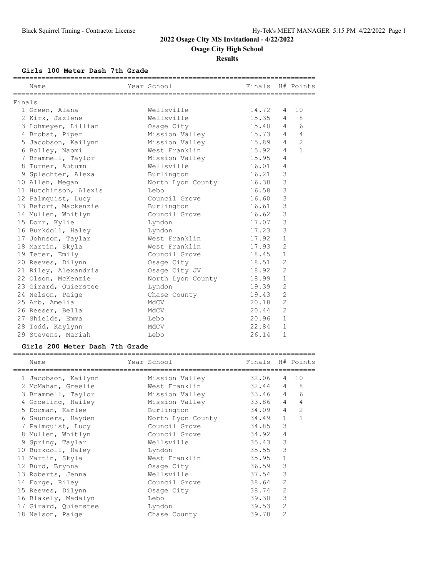### **Results**

**Girls 100 Meter Dash 7th Grade**

|        | Name                                                                |                         |         |                |                |
|--------|---------------------------------------------------------------------|-------------------------|---------|----------------|----------------|
| Finals |                                                                     |                         |         |                |                |
|        | 1 Green, Alana                                                      | Wellsville              | 14.72 4 |                | 10             |
|        | 2 Kirk, Jazlene                                                     | Wellsville              | 15.35 4 |                | 8              |
|        | 3 Lohmeyer, Lillian                                                 | Osage City              | 15.40 4 |                | 6              |
|        | 4 Brobst, Piper                                                     | Mission Valley          | 15.73 4 |                | $\overline{4}$ |
|        | 5 Jacobson, Kailynn       Mission Valley                            |                         | 15.89 4 |                | $\overline{2}$ |
|        | 6 Bolley, Naomi                                                     | West Franklin 15.92     |         | $\overline{4}$ | $\mathbf{1}$   |
|        | 7 Brammell, Taylor               Mission Valley               15.95 |                         |         | 4              |                |
|        | 8 Turner, Autumn                                                    | Wellsville              | 16.01 4 |                |                |
|        | 9 Splechter, Alexa                                                  | Burlington              | 16.21   | 3              |                |
|        | 10 Allen, Megan                                                     | North Lyon County 16.38 |         | $\mathbf{3}$   |                |
|        | 11 Hutchinson, Alexis                                               | Lebo                    | 16.58   | $\overline{3}$ |                |
|        | 12 Palmquist, Lucy                                                  | Council Grove           | 16.60   | 3              |                |
|        | 13 Befort, Mackenzie burlington                                     |                         | 16.61   | 3              |                |
|        | 14 Mullen, Whitlyn                                                  | Council Grove 16.62     |         | $\mathbf{3}$   |                |
|        | 15 Dorr, Kylie                                                      | Lyndon                  | 17.07   | 3              |                |
|        | 16 Burkdoll, Haley                                                  | Lyndon                  | 17.23   | 3              |                |
|        | 17 Johnson, Taylar                                                  | West Franklin           | 17.92   | $\mathbf{1}$   |                |
|        | 18 Martin, Skyla                                                    | West Franklin           | 17.93   | $\overline{2}$ |                |
|        | 19 Teter, Emily                                                     | Council Grove           | 18.45   | $\mathbf{1}$   |                |
|        | 20 Reeves, Dilynn                                                   | Osage City              | 18.51   | $\overline{2}$ |                |
|        |                                                                     |                         |         | $\overline{c}$ |                |
|        | 22 Olson, McKenzie                                                  | North Lyon County 18.99 |         | $\mathbf{1}$   |                |
|        | 23 Girard, Quierstee                                                | Lyndon                  | 19.39   | 2              |                |
|        | 24 Nelson, Paige                                                    | Chase County            | 19.43   | $\overline{2}$ |                |
|        | 25 Arb, Amelia                                                      | MdCV                    | 20.18   | $\overline{2}$ |                |
|        | 26 Reeser, Bella                                                    | MdCV                    | 20.44   | $\overline{c}$ |                |
|        | 27 Shields, Emma                                                    | Lebo                    | 20.96   | $\mathbf{1}$   |                |
|        | 28 Todd, Kaylynn                                                    | MdCV                    | 22.84   | $\mathbf{1}$   |                |
|        | 29 Stevens, Mariah                                                  | Lebo                    | 26.14   | $\mathbf{1}$   |                |

#### **Girls 200 Meter Dash 7th Grade**

| Name                 | Year School          | Finals H# Points |                |                |
|----------------------|----------------------|------------------|----------------|----------------|
| 1 Jacobson, Kailynn  | Mission Valley       | 32.06            | $\overline{4}$ | 10             |
| 2 McMahan, Greelie   | West Franklin        | 32.44 4          |                | 8              |
| 3 Brammell, Taylor   | Mission Valley       | 33.46 4          |                | 6              |
| 4 Groeling, Hailey   | Mission Valley 33.86 |                  | $\overline{4}$ | $\overline{4}$ |
| 5 Docman, Karlee     | Burlington           | 34.09            | $\overline{4}$ | 2              |
| 6 Saunders, Hayden   | North Lyon County    | 34.49            | $\mathbf{1}$   | $\mathbf{1}$   |
| 7 Palmquist, Lucy    | Council Grove        | 34.85            | 3              |                |
| 8 Mullen, Whitlyn    | Council Grove        | 34.92            | $\overline{4}$ |                |
| 9 Spring, Taylar     | Wellsville           | 35.43            | 3              |                |
| 10 Burkdoll, Haley   | Lyndon               | 35.55            | 3              |                |
| 11 Martin, Skyla     | West Franklin        | 35.95            | $\mathbf{1}$   |                |
| 12 Burd, Brynna      | Osage City           | 36.59            | 3              |                |
| 13 Roberts, Jenna    | Wellsville           | 37.54            | 3              |                |
| 14 Forge, Riley      | Council Grove        | 38.64            | $\overline{2}$ |                |
| 15 Reeves, Dilynn    | Osage City           | 38.74            | $\overline{2}$ |                |
| 16 Blakely, Madalyn  | Lebo                 | 39.30            | 3              |                |
| 17 Girard, Quierstee | Lyndon               | 39.53            | $\overline{2}$ |                |
| 18 Nelson, Paige     | Chase County         | 39.78            | $\overline{2}$ |                |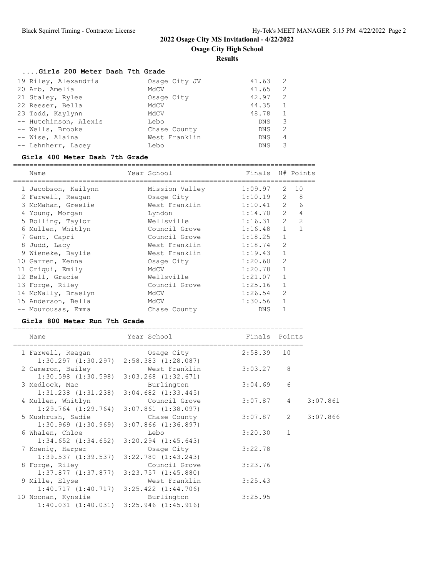**Results**

# **....Girls 200 Meter Dash 7th Grade**

| 19 Riley, Alexandria  | Osage City JV | - 2<br>41.63 |
|-----------------------|---------------|--------------|
| 20 Arb, Amelia        | MdCV          | -2<br>41.65  |
| 21 Staley, Rylee      | Osage City    | 2<br>42.97   |
| 22 Reeser, Bella      | MdCV          | 44.35        |
| 23 Todd, Kaylynn      | MGCV          | 48.78        |
| -- Hutchinson, Alexis | Lebo          | 3<br>DNS.    |
| -- Wells, Brooke      | Chase County  | -2<br>DNS.   |
| -- Wise, Alaina       | West Franklin | DNS.<br>4    |
| -- Lehnherr, Lacey    | Lebo          | 3<br>DNS.    |
|                       |               |              |

#### **Girls 400 Meter Dash 7th Grade**

==========================================================================

| Name |                                                                                                                                                                                                                                                                                                                                    |                |                              |                | H# Points                                                                                                                                   |
|------|------------------------------------------------------------------------------------------------------------------------------------------------------------------------------------------------------------------------------------------------------------------------------------------------------------------------------------|----------------|------------------------------|----------------|---------------------------------------------------------------------------------------------------------------------------------------------|
|      |                                                                                                                                                                                                                                                                                                                                    | Mission Valley |                              |                | 10                                                                                                                                          |
|      |                                                                                                                                                                                                                                                                                                                                    | Osage City     |                              | $\mathcal{L}$  | 8                                                                                                                                           |
|      |                                                                                                                                                                                                                                                                                                                                    |                |                              | $\mathcal{L}$  | 6                                                                                                                                           |
|      |                                                                                                                                                                                                                                                                                                                                    | Lyndon         |                              | $\mathcal{L}$  | 4                                                                                                                                           |
|      |                                                                                                                                                                                                                                                                                                                                    | Wellsville     |                              |                | $\overline{2}$                                                                                                                              |
|      |                                                                                                                                                                                                                                                                                                                                    | Council Grove  |                              | $\mathbf{1}$   | 1                                                                                                                                           |
|      |                                                                                                                                                                                                                                                                                                                                    | Council Grove  |                              | $\mathbf{1}$   |                                                                                                                                             |
|      |                                                                                                                                                                                                                                                                                                                                    | West Franklin  |                              | $\overline{2}$ |                                                                                                                                             |
|      |                                                                                                                                                                                                                                                                                                                                    | West Franklin  |                              | $\mathbf{1}$   |                                                                                                                                             |
|      |                                                                                                                                                                                                                                                                                                                                    | Osage City     | 1:20.60                      | $\mathcal{L}$  |                                                                                                                                             |
|      |                                                                                                                                                                                                                                                                                                                                    | MdCV           | 1:20.78                      |                |                                                                                                                                             |
|      |                                                                                                                                                                                                                                                                                                                                    | Wellsville     | 1:21.07                      | $\mathbf{1}$   |                                                                                                                                             |
|      |                                                                                                                                                                                                                                                                                                                                    | Council Grove  | 1:25.16                      | 1              |                                                                                                                                             |
|      |                                                                                                                                                                                                                                                                                                                                    | MdCV           | 1:26.54                      | $\overline{2}$ |                                                                                                                                             |
|      |                                                                                                                                                                                                                                                                                                                                    | MdCV           |                              | $\mathbf{1}$   |                                                                                                                                             |
|      |                                                                                                                                                                                                                                                                                                                                    | Chase County   | DNS                          |                |                                                                                                                                             |
|      | 1 Jacobson, Kailynn<br>2 Farwell, Reagan<br>3 McMahan, Greelie<br>4 Young, Morgan<br>5 Bolling, Taylor<br>6 Mullen, Whitlyn<br>7 Gant, Capri<br>8 Judd, Lacy<br>9 Wieneke, Baylie<br>10 Garren, Kenna<br>11 Criqui, Emily<br>12 Bell, Gracie<br>13 Forge, Riley<br>14 McNally, Braelyn<br>15 Anderson, Bella<br>-- Mourousas, Emma |                | Year School<br>West Franklin |                | Finals<br>1:09.97<br>2<br>1:10.19<br>1:10.41<br>1:14.70<br>$\overline{2}$<br>1:16.31<br>1:16.48<br>1:18.25<br>1:18.74<br>1:19.43<br>1:30.56 |

### **Girls 800 Meter Run 7th Grade**

| Name                                                                                                                     | Year School   | Finals Points |                                |          |
|--------------------------------------------------------------------------------------------------------------------------|---------------|---------------|--------------------------------|----------|
| 1 Farwell, Reagan<br>$1:30.297$ $(1:30.297)$ $2:58.383$ $(1:28.087)$                                                     | Osaqe City    | 2:58.39       | 10                             |          |
| 2 Cameron, Bailey                                                                                                        | West Franklin | 3:03.27       | 8                              |          |
| $1:30.598$ $(1:30.598)$ $3:03.268$ $(1:32.671)$<br>3 Medlock, Mac<br>$1:31.238$ $(1:31.238)$ $3:04.682$ $(1:33.445)$     | Burlington    | 3:04.69       | 6                              |          |
| 4 Mullen, Whitlyn<br>$1:29.764$ $(1:29.764)$ $3:07.861$ $(1:38.097)$                                                     | Council Grove | 3:07.87       | $\overline{4}$                 | 3:07.861 |
| 5 Mushrush, Sadie<br>$1:30.969$ $(1:30.969)$ $3:07.866$ $(1:36.897)$                                                     | Chase County  | 3:07.87       | $2 \left( \frac{1}{2} \right)$ | 3:07.866 |
| 6 Whalen, Chloe<br>$1:34.652$ $(1:34.652)$ $3:20.294$ $(1:45.643)$                                                       | Lebo          | 3:20.30       | $\mathbf{1}$                   |          |
| 7 Koenig, Harper                                                                                                         | Osage City    | 3:22.78       |                                |          |
| $1:39.537$ $(1:39.537)$ $3:22.780$ $(1:43.243)$<br>8 Forge, Riley                                                        | Council Grove | 3:23.76       |                                |          |
| $1:37.877$ $(1:37.877)$ $3:23.757$ $(1:45.880)$<br>9 Mille, Elyse                                                        | West Franklin | 3:25.43       |                                |          |
| $1:40.717$ $(1:40.717)$ $3:25.422$ $(1:44.706)$<br>10 Noonan, Kynslie<br>$1:40.031$ $(1:40.031)$ $3:25.946$ $(1:45.916)$ | Burlington    | 3:25.95       |                                |          |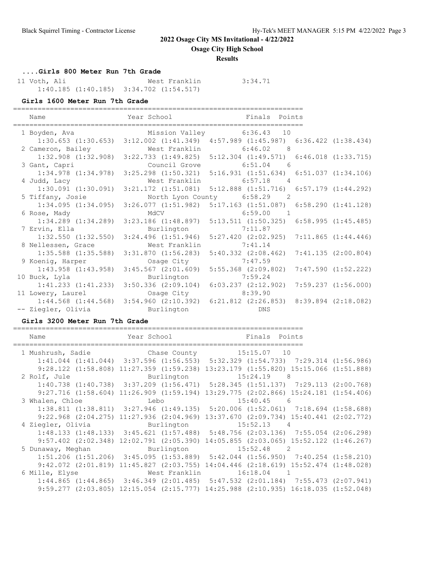**Osage City High School**

### **Results**

**....Girls 800 Meter Run 7th Grade**

 11 Voth, Ali West Franklin 3:34.71 1:40.185 (1:40.185) 3:34.702 (1:54.517)

### **Girls 1600 Meter Run 7th Grade**

=======================================================================

| Name                                                            |                                                                                                 | Year School <b>Finals</b> Points                            |                         |
|-----------------------------------------------------------------|-------------------------------------------------------------------------------------------------|-------------------------------------------------------------|-------------------------|
| 1 Boyden, Ava               Mission Valley         6:36.43   10 |                                                                                                 |                                                             |                         |
|                                                                 | 1:30.653 (1:30.653) 3:12.002 (1:41.349) 4:57.989 (1:45.987) 6:36.422 (1:38.434)                 |                                                             |                         |
| 2 Cameron, Bailey                                               |                                                                                                 | West Franklin 6:46.02 8                                     |                         |
|                                                                 | 1:32.908 (1:32.908) 3:22.733 (1:49.825) 5:12.304 (1:49.571) 6:46.018 (1:33.715)                 |                                                             |                         |
| 3 Gant, Capri                                                   |                                                                                                 | Council Grove 6:51.04 6                                     |                         |
|                                                                 | 1:34.978 (1:34.978) 3:25.298 (1:50.321) 5:16.931 (1:51.634) 6:51.037 (1:34.106)                 |                                                             |                         |
| 4 Judd, Lacy                                                    |                                                                                                 | West Franklin 6:57.18 4                                     |                         |
|                                                                 | 1:30.091 (1:30.091) 3:21.172 (1:51.081) 5:12.888 (1:51.716) 6:57.179 (1:44.292)                 |                                                             |                         |
| 5 Tiffany, Josie                                                |                                                                                                 | North Lyon County 6:58.29 2                                 |                         |
|                                                                 | $1:34.095$ $(1:34.095)$ $3:26.077$ $(1:51.982)$ $5:17.163$ $(1:51.087)$ $6:58.290$ $(1:41.128)$ |                                                             |                         |
| 6 Rose, Mady                                                    |                                                                                                 | MdCV 6:59.00 1                                              |                         |
|                                                                 | $1:34.289$ $(1:34.289)$ $3:23.186$ $(1:48.897)$ $5:13.511$ $(1:50.325)$ $6:58.995$ $(1:45.485)$ |                                                             |                         |
| 7 Ervin, Ella                                                   | Burlington 7:11.87                                                                              |                                                             |                         |
|                                                                 | $1:32.550$ $(1:32.550)$ $3:24.496$ $(1:51.946)$ $5:27.420$ $(2:02.925)$ $7:11.865$ $(1:44.446)$ |                                                             |                         |
| 8 Nellessen, Grace                                              |                                                                                                 | West Franklin 7:41.14                                       |                         |
|                                                                 | $1:35.588$ $(1:35.588)$ $3:31.870$ $(1:56.283)$ $5:40.332$ $(2:08.462)$ $7:41.135$ $(2:00.804)$ |                                                             |                         |
| 9 Koenig, Harper                                                | Osage City 7:47.59                                                                              |                                                             |                         |
| $1:43.958$ $(1:43.958)$                                         | $3:45.567$ $(2:01.609)$ $5:55.368$ $(2:09.802)$                                                 |                                                             | $7:47.590$ $(1:52.222)$ |
| 10 Buck, Lyla                                                   | Burlington 7:59.24                                                                              |                                                             |                         |
| $1:41.233$ $(1:41.233)$                                         |                                                                                                 | 3:50.336 (2:09.104) 6:03.237 (2:12.902) 7:59.237 (1:56.000) |                         |
| 11 Lowery, Laurel                                               | Osage City 8:39.90                                                                              |                                                             |                         |
|                                                                 | 1:44.568 (1:44.568) 3:54.960 (2:10.392) 6:21.812 (2:26.853) 8:39.894 (2:18.082)                 |                                                             |                         |
| -- Ziegler, Olivia                                              | Burlington                                                                                      | DNS                                                         |                         |

### **Girls 3200 Meter Run 7th Grade**

| Name                         | Year School and the School                       | Finals Points                                                                                      |  |
|------------------------------|--------------------------------------------------|----------------------------------------------------------------------------------------------------|--|
|                              |                                                  | 1 Mushrush, Sadie 6 Mushrush, Chase County 15:15.07 10                                             |  |
|                              |                                                  | $1:41.044$ $(1:41.044)$ $3:37.596$ $(1:56.553)$ $5:32.329$ $(1:54.733)$ $7:29.314$ $(1:56.986)$    |  |
|                              |                                                  | 9:28.122 (1:58.808) 11:27.359 (1:59.238) 13:23.179 (1:55.820) 15:15.066 (1:51.888)                 |  |
| 2 Rolf, Jule                 |                                                  | Burlington 15:24.19 8                                                                              |  |
|                              |                                                  | $1:40.738$ $(1:40.738)$ $3:37.209$ $(1:56.471)$ $5:28.345$ $(1:51.137)$ $7:29.113$ $(2:00.768)$    |  |
|                              | $9:27.716$ $(1:58.604)$ $11:26.909$ $(1:59.194)$ | 13:29.775 (2:02.866) 15:24.181 (1:54.406)                                                          |  |
| 3 Whalen, Chloe              | <u>Lebo</u>                                      | $15:40.45$ 6                                                                                       |  |
|                              |                                                  | $1:38.811$ $(1:38.811)$ $3:27.946$ $(1:49.135)$ $5:20.006$ $(1:52.061)$ $7:18.694$ $(1:58.688)$    |  |
|                              |                                                  | $9:22.968$ $(2:04.275)$ $11:27.936$ $(2:04.969)$ $13:37.670$ $(2:09.734)$ $15:40.441$ $(2:02.772)$ |  |
| 4 Ziegler, Olivia Burlington |                                                  | $15:52.13$ 4                                                                                       |  |
|                              |                                                  | $1:48.133$ $(1:48.133)$ $3:45.621$ $(1:57.488)$ $5:48.756$ $(2:03.136)$ $7:55.054$ $(2:06.298)$    |  |
|                              | $9:57.402$ $(2:02.348)$ $12:02.791$ $(2:05.390)$ | $14:05.855$ $(2:03.065)$ $15:52.122$ $(1:46.267)$                                                  |  |
|                              |                                                  | 5 Dunaway, Meghan Burlington 15:52.48 2                                                            |  |
|                              |                                                  | $1:51.206$ $(1:51.206)$ $3:45.095$ $(1:53.889)$ $5:42.044$ $(1:56.950)$ $7:40.254$ $(1:58.210)$    |  |
|                              |                                                  | $9:42.072$ $(2:01.819)$ $11:45.827$ $(2:03.755)$ $14:04.446$ $(2:18.619)$ $15:52.474$ $(1:48.028)$ |  |
| 6 Mille, Elyse               |                                                  | West Franklin 16:18.04 1                                                                           |  |
|                              |                                                  | $1:44.865$ $(1:44.865)$ $3:46.349$ $(2:01.485)$ $5:47.532$ $(2:01.184)$ $7:55.473$ $(2:07.941)$    |  |
|                              |                                                  | 9:59.277 (2:03.805) 12:15.054 (2:15.777) 14:25.988 (2:10.935) 16:18.035 (1:52.048)                 |  |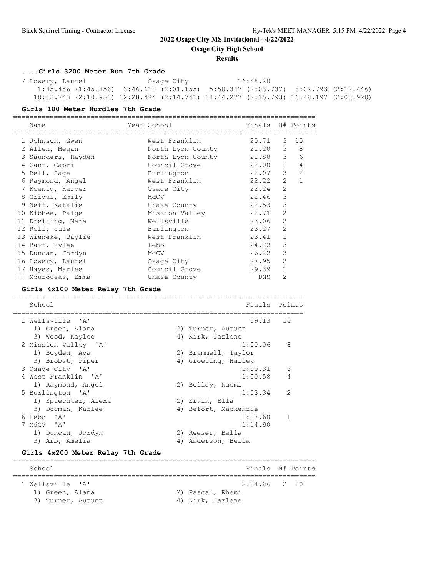**Osage City High School**

#### **Results**

### **....Girls 3200 Meter Run 7th Grade**

 7 Lowery, Laurel Osage City 16:48.20 1:45.456 (1:45.456) 3:46.610 (2:01.155) 5:50.347 (2:03.737) 8:02.793 (2:12.446) 10:13.743 (2:10.951) 12:28.484 (2:14.741) 14:44.277 (2:15.793) 16:48.197 (2:03.920)

#### **Girls 100 Meter Hurdles 7th Grade**

| Name                              | Year School         | Finals     |                | H# Points      |
|-----------------------------------|---------------------|------------|----------------|----------------|
| 1 Johnson, Gwen                   | West Franklin       | 20.71      | =======<br>3   | 10             |
| 2 Allen, Megan                    | North Lyon County   | 21.20      | 3              | 8              |
| 3 Saunders, Hayden                | North Lyon County   | 21.88      | 3              | 6              |
| 4 Gant, Capri                     | Council Grove       | 22.00      | 1              | 4              |
| 5 Bell, Sage                      | Burlington          | 22.07      | 3              | 2              |
| 6 Raymond, Angel                  | West Franklin       | 22.22      | $\overline{2}$ | $\mathbf{1}$   |
| 7 Koenig, Harper                  | Osage City          | 22.24      | $\overline{2}$ |                |
| 8 Criqui, Emily                   | MdCV                | 22.46      | 3              |                |
| 9 Neff, Natalie                   | Chase County        | 22.53      | 3              |                |
| 10 Kibbee, Paige                  | Mission Valley      | 22.71      | 2              |                |
| 11 Dreiling, Mara                 | Wellsville          | 23.06      | 2              |                |
| 12 Rolf, Jule                     | Burlington          | 23.27      | $\overline{2}$ |                |
| 13 Wieneke, Baylie                | West Franklin       | 23.41      | $\mathbf{1}$   |                |
| 14 Barr, Kylee                    | Lebo                | 24.22      | 3              |                |
| 15 Duncan, Jordyn                 | MdCV                | 26.22      | 3              |                |
| 16 Lowery, Laurel                 | Osage City          | 27.95      | $\overline{2}$ |                |
| 17 Hayes, Marlee                  | Council Grove       | 29.39      | $\mathbf{1}$   |                |
| -- Mourousas, Emma                | Chase County        | <b>DNS</b> | $\mathfrak{D}$ |                |
| Girls 4x100 Meter Relay 7th Grade |                     |            |                |                |
| School                            |                     | Finals     |                | Points         |
|                                   |                     |            |                |                |
| 1 Wellsville<br>$\mathsf{A}$      |                     | 59.13      | 10             |                |
| 1) Green, Alana                   | 2) Turner, Autumn   |            |                |                |
| 3) Wood, Kaylee                   | 4) Kirk, Jazlene    |            |                |                |
| 2 Mission Valley 'A'              |                     | 1:00.06    | 8              |                |
| 1) Boyden, Ava                    | 2) Brammell, Taylor |            |                |                |
| 3) Brobst, Piper                  | 4) Groeling, Hailey |            |                |                |
| 3 Osage City 'A'                  |                     | 1:00.31    |                | 6              |
| 4 West Franklin 'A'               |                     | 1:00.58    |                | 4              |
| 1) Raymond, Angel                 | 2) Bolley, Naomi    |            |                |                |
| 5 Burlington<br>' A'              |                     | 1:03.34    |                | $\overline{2}$ |

| 6 Lebo 'A'                        | 1:07.60            |
|-----------------------------------|--------------------|
| 7 MdCV 'A'                        | 1:14.90            |
| 1) Duncan, Jordyn                 | 2) Reeser, Bella   |
| 3) Arb, Amelia                    | 4) Anderson, Bella |
| Girls 4x200 Meter Relay 7th Grade |                    |
| School                            | Finals H# Points   |

1) Splechter, Alexa 2) Ervin, Ella

3) Docman, Karlee 4) Befort, Mackenzie

========================================================================== 1 Wellsville 'A' 2:04.86 2 10 1) Green, Alana 2) Pascal, Rhemi 3) Turner, Autumn (4) Kirk, Jazlene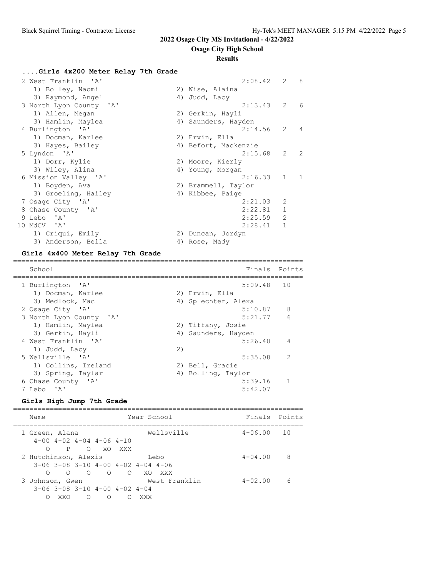**Osage City High School**

### **Results**

# **....Girls 4x200 Meter Relay 7th Grade**

| 2 West Franklin 'A'     | $2:08.42$ 2 8        |                |                |
|-------------------------|----------------------|----------------|----------------|
| 1) Bolley, Naomi        | 2) Wise, Alaina      |                |                |
| 3) Raymond, Angel       | 4) Judd, Lacy        |                |                |
| 3 North Lyon County 'A' | 2:13.43              | 2              | -6             |
| 1) Allen, Megan         | 2) Gerkin, Hayli     |                |                |
| 3) Hamlin, Maylea       | 4) Saunders, Hayden  |                |                |
| 4 Burlington 'A'        | 2:14.56              | 2              | $\overline{4}$ |
| 1) Docman, Karlee       | 2) Ervin, Ella       |                |                |
| 3) Hayes, Bailey        | 4) Befort, Mackenzie |                |                |
| 5 Lyndon 'A'            | 2:15.68              | $\mathbf{2}$   | 2              |
| 1) Dorr, Kylie          | 2) Moore, Kierly     |                |                |
| 3) Wiley, Alina         | 4) Young, Morgan     |                |                |
| 6 Mission Valley 'A'    | 2:16.33              | $1 \quad 1$    |                |
| 1) Boyden, Ava          | 2) Brammell, Taylor  |                |                |
| 3) Groeling, Hailey     | 4) Kibbee, Paige     |                |                |
| 7 Osage City 'A'        | 2:21.03              | $\overline{2}$ |                |
| 8 Chase County 'A'      | 2:22.81              | $\mathbf{1}$   |                |
| 9 Lebo 'A'              | 2:25.59              | $\overline{2}$ |                |
| 10 MdCV 'A'             | 2:28.41              | $\mathbf{1}$   |                |
| 1) Criqui, Emily        | 2) Duncan, Jordyn    |                |                |
| 3) Anderson, Bella      | 4) Rose, Mady        |                |                |

## **Girls 4x400 Meter Relay 7th Grade**

| School                                           |    |                     | Finals Points  |
|--------------------------------------------------|----|---------------------|----------------|
| 1 Burlington 'A'                                 |    | $5:09.48$ 10        |                |
| 1) Docman, Karlee                                |    | 2) Ervin, Ella      |                |
| 3) Medlock, Mac                                  |    | 4) Splechter, Alexa |                |
| 2 Osage City 'A'                                 |    | 5:10.87             | 8              |
| 3 North Lyon County 'A'                          |    | 5:21.77             | 6              |
| 1) Hamlin, Maylea                                |    | 2) Tiffany, Josie   |                |
| 3) Gerkin, Hayli                                 |    | 4) Saunders, Hayden |                |
| 4 West Franklin 'A'                              |    | 5:26.40             | $\overline{4}$ |
| 1) Judd, Lacy                                    | 2) |                     |                |
| 5 Wellsville 'A'                                 |    | 5:35.08             | $\overline{2}$ |
| 1) Collins, Ireland                              |    | 2) Bell, Gracie     |                |
| 3) Spring, Taylar                                |    | 4) Bolling, Taylor  |                |
| 6 Chase County 'A'                               |    | 5:39.16             | 1              |
| $\mathsf{I}$ $\mathsf{A}$ $\mathsf{I}$<br>7 Lebo |    | 5:42.07             |                |
|                                                  |    |                     |                |

# **Girls High Jump 7th Grade**

| Name                                                 |                                                         |          | Year School |               | Finals Points  |   |
|------------------------------------------------------|---------------------------------------------------------|----------|-------------|---------------|----------------|---|
| 1 Green, Alana<br>$4-00$ $4-02$ $4-04$ $4-06$ $4-10$ |                                                         |          |             | Wellsville    | $4 - 06.00$ 10 |   |
| $\overline{P}$<br>$\Omega$                           |                                                         | O XO XXX |             |               |                |   |
| 2 Hutchinson, Alexis                                 |                                                         |          |             | Lebo          | $4 - 04.00$    | 8 |
| $3-06$ $3-08$ $3-10$ $4-00$ $4-02$ $4-04$ $4-06$     |                                                         |          |             |               |                |   |
| ∩                                                    | $\begin{matrix} 0 & 0 & 0 & 0 & \text{X0} \end{matrix}$ |          |             | XXX           |                |   |
| 3 Johnson, Gwen                                      |                                                         |          |             | West Franklin | $4 - 02.00$    | 6 |
| $3-06$ $3-08$ $3-10$ $4-00$ $4-02$ $4-04$            |                                                         |          |             |               |                |   |
| XXO                                                  | ∩                                                       | $\circ$  | XXX         |               |                |   |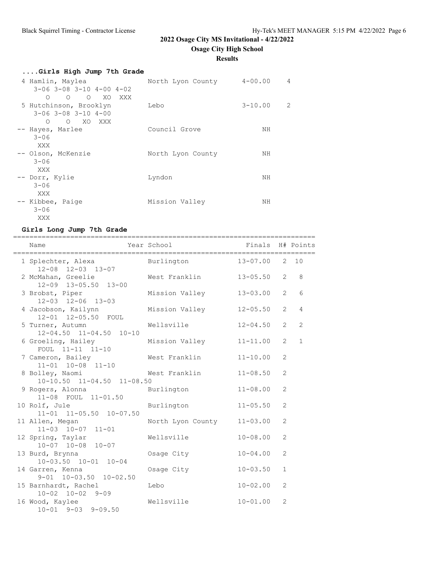**Osage City High School**

# **Results**

| Girls High Jump 7th Grade                                                     |                           |             |   |
|-------------------------------------------------------------------------------|---------------------------|-------------|---|
| 4 Hamlin, Maylea                                                              | North Lyon County 4-00.00 |             | 4 |
| $3-06$ $3-08$ $3-10$ $4-00$ $4-02$                                            |                           |             |   |
| O O O XO XXX<br>5 Hutchinson, Brooklyn<br>$3 - 06$ $3 - 08$ $3 - 10$ $4 - 00$ | Lebo                      | $3 - 10.00$ | 2 |
| O XO XXX<br>$\circ$                                                           |                           |             |   |
| -- Hayes, Marlee<br>$3 - 06$                                                  | Council Grove             | NH          |   |
| XXX                                                                           |                           |             |   |
| -- Olson, McKenzie<br>$3 - 06$                                                | North Lyon County         | NH          |   |
| XXX                                                                           |                           |             |   |
| -- Dorr, Kylie<br>$3 - 06$                                                    | Lyndon                    | ΝH          |   |
| XXX                                                                           |                           |             |   |
| -- Kibbee, Paige<br>$3 - 06$                                                  | Mission Valley            | ΝH          |   |
| XXX                                                                           |                           |             |   |

# **Girls Long Jump 7th Grade**

| Name                                                             | Year School <a> School <a> Finals<br/> H# Points</a></a> |                  |                |                |
|------------------------------------------------------------------|----------------------------------------------------------|------------------|----------------|----------------|
| 1 Splechter, Alexa Burlington 13-07.00 2 10<br>12-08 12-03 13-07 |                                                          |                  |                |                |
| 2 McMahan, Greelie<br>12-09 13-05.50 13-00                       | West Franklin                                            | $13 - 05.50$ 2 8 |                |                |
| 3 Brobst, Piper<br>$12 - 03$ $12 - 06$ $13 - 03$                 | Mission Valley                                           | $13 - 03.00$     | $\overline{2}$ | 6              |
| 4 Jacobson, Kailynn<br>12-01 12-05.50 FOUL                       | Mission Valley                                           | $12 - 05.50$     | $\overline{2}$ | $\overline{4}$ |
| 5 Turner, Autumn<br>$12-04.50$ $11-04.50$ $10-10$                | Wellsville                                               | $12 - 04.50$     | $\overline{2}$ | $\overline{c}$ |
| 6 Groeling, Hailey<br>FOUL 11-11 11-10                           | Mission Valley 11-11.00                                  |                  | 2              | $\mathbf{1}$   |
| 7 Cameron, Bailey<br>$11 - 01$ $10 - 08$ $11 - 10$               | West Franklin                                            | $11 - 10.00$     | $\overline{2}$ |                |
| 8 Bolley, Naomi<br>$10-10.50$ $11-04.50$ $11-08.50$              | West Franklin                                            | $11 - 08.50$     | 2              |                |
| 9 Rogers, Alonna<br>11-08 FOUL 11-01.50                          | Burlington                                               | $11 - 08.00$     | $\overline{2}$ |                |
| 10 Rolf, Jule<br>11-01 11-05.50 10-07.50                         | Burlington                                               | $11 - 05.50$     | $\overline{2}$ |                |
| 11 Allen, Megan<br>$11-03$ $10-07$ $11-01$                       | North Lyon County                                        | $11 - 03.00$     | $\overline{2}$ |                |
| 12 Spring, Taylar<br>$10-07$ $10-08$ $10-07$                     | Wellsville                                               | $10 - 08.00$     | $\overline{2}$ |                |
| 13 Burd, Brynna<br>$10-03.50$ $10-01$ $10-04$                    | Osage City                                               | $10 - 04.00$     | 2              |                |
| 14 Garren, Kenna<br>$9-01$ $10-03.50$ $10-02.50$                 | Osage City                                               | $10 - 03.50$     | $\mathbf{1}$   |                |
| 15 Barnhardt, Rachel<br>$10-02$ $10-02$ $9-09$                   | Lebo                                                     | $10 - 02.00$     | 2              |                |
| 16 Wood, Kaylee<br>$10 - 01$ 9-03 9-09.50                        | Wellsville                                               | $10 - 01.00$     | $\overline{2}$ |                |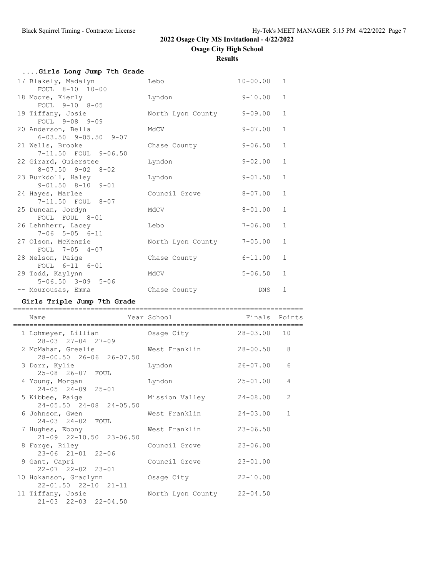**Osage City High School**

**Results**

| Girls Long Jump 7th Grade                              |                   |              |              |
|--------------------------------------------------------|-------------------|--------------|--------------|
| 17 Blakely, Madalyn<br>FOUL 8-10 10-00                 | Lebo              | $10 - 00.00$ | $\mathbf{1}$ |
| 18 Moore, Kierly<br>FOUL 9-10 8-05                     | Lyndon            | $9 - 10.00$  | $\mathbf{1}$ |
| 19 Tiffany, Josie<br>FOUL 9-08 9-09                    | North Lyon County | $9 - 09.00$  | $\mathbf{1}$ |
| 20 Anderson, Bella<br>$6 - 03.50$ $9 - 05.50$ $9 - 07$ | MdCV              | $9 - 07.00$  | $\mathbf{1}$ |
| 21 Wells, Brooke<br>7-11.50 FOUL 9-06.50               | Chase County      | $9 - 06.50$  | $\mathbf{1}$ |
| 22 Girard, Quierstee<br>$8 - 07.50$ $9 - 02$ $8 - 02$  | Lyndon            | $9 - 02.00$  | $\mathbf{1}$ |
| 23 Burkdoll, Haley<br>$9 - 01.50$ $8 - 10$ $9 - 01$    | Lyndon            | $9 - 01.50$  | $\mathbf{1}$ |
| 24 Hayes, Marlee<br>7-11.50 FOUL 8-07                  | Council Grove     | $8 - 07.00$  | $\mathbf{1}$ |
| 25 Duncan, Jordyn<br>FOUL FOUL 8-01                    | MdCV              | $8 - 01.00$  | $\mathbf{1}$ |
| 26 Lehnherr, Lacey<br>$7 - 06$ $5 - 05$ $6 - 11$       | Lebo              | $7 - 06.00$  | $\mathbf{1}$ |
| 27 Olson, McKenzie<br>FOUL 7-05 4-07                   | North Lyon County | $7 - 05.00$  | $\mathbf{1}$ |
| 28 Nelson, Paige                                       | Chase County      | $6 - 11.00$  | $\mathbf{1}$ |
| FOUL 6-11 6-01<br>29 Todd, Kaylynn                     | MdCV              | $5 - 06.50$  | $\mathbf{1}$ |
| $5 - 06.50$ $3 - 09$ $5 - 06$<br>-- Mourousas, Emma    | Chase County      | <b>DNS</b>   | $\mathbf 1$  |

# **Girls Triple Jump 7th Grade**

| Name                                                      | Year School                | Finals Points   |              |
|-----------------------------------------------------------|----------------------------|-----------------|--------------|
| 1 Lohmeyer, Lillian<br>$28 - 03$ $27 - 04$ $27 - 09$      | Osage City                 | $28 - 03.00$ 10 |              |
| 2 McMahan, Greelie<br>28-00.50 26-06 26-07.50             | West Franklin              | $28 - 00.50$    | 8            |
| 3 Dorr, Kylie<br>25-08 26-07 FOUL                         | Lyndon                     | 26-07.00        | 6            |
| 4 Young, Morgan<br>$24 - 05$ $24 - 09$ $25 - 01$          | Lyndon                     | $25 - 01.00$    | 4            |
| 5 Kibbee, Paige<br>24-05.50 24-08 24-05.50                | Mission Valley             | 24-08.00        | 2            |
| 6 Johnson, Gwen<br>$24 - 03$ $24 - 02$ FOUL               | West Franklin              | $24 - 03.00$    | $\mathbf{1}$ |
| 7 Hughes, Ebony<br>$21-09$ $22-10.50$ $23-06.50$          | West Franklin              | $23 - 06.50$    |              |
| 8 Forge, Riley<br>$23 - 06$ $21 - 01$ $22 - 06$           | Council Grove              | $23 - 06.00$    |              |
| 9 Gant, Capri<br>$22 - 07$ $22 - 02$ $23 - 01$            | Council Grove              | $23 - 01.00$    |              |
| 10 Hokanson, Graclynn<br>$22 - 01.50$ $22 - 10$ $21 - 11$ | Osage City                 | $22 - 10.00$    |              |
| 11 Tiffany, Josie<br>$21-03$ $22-03$ $22-04.50$           | North Lyon County 22-04.50 |                 |              |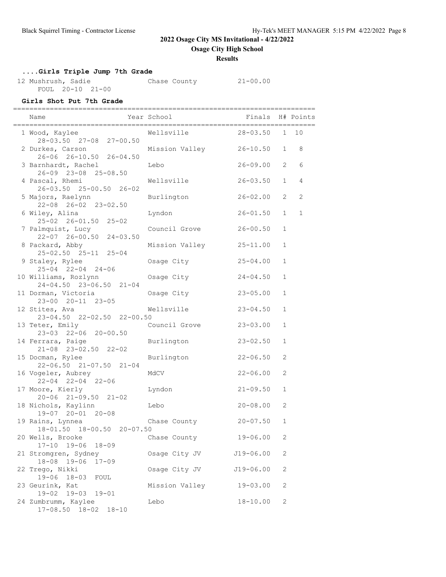**Osage City High School**

### **Results**

# **....Girls Triple Jump 7th Grade**

12 Mushrush, Sadie Chase County 21-00.00 FOUL 20-10 21-00

## **Girls Shot Put 7th Grade**

| Name                                                                          | Year School              | Finals                       |                              | H# Points      |
|-------------------------------------------------------------------------------|--------------------------|------------------------------|------------------------------|----------------|
| ================================<br>1 Wood, Kaylee<br>28-03.50 27-08 27-00.50 | Wellsville               | 28-03.50                     |                              | 1 10           |
| 2 Durkes, Carson<br>26-06 26-10.50 26-04.50                                   | Mission Valley           | 26-10.50                     | $\mathbf{1}$                 | 8              |
| 3 Barnhardt, Rachel<br>26-09 23-08 25-08.50                                   | Lebo                     | $26 - 09.00$                 | 2                            | 6              |
| 4 Pascal, Rhemi<br>26-03.50 25-00.50 26-02                                    | Wellsville               | $26 - 03.50$                 | $\mathbf{1}$                 | $\overline{4}$ |
| 5 Majors, Raelynn<br>22-08 26-02 23-02.50                                     | Burlington               | $26 - 02.00$                 | 2                            | 2              |
| 6 Wiley, Alina<br>$25 - 02$ $26 - 01.50$ $25 - 02$                            | Lyndon                   | $26 - 01.50$                 | $\mathbf{1}$                 | $\mathbf 1$    |
| 7 Palmquist, Lucy<br>22-07 26-00.50 24-03.50                                  | Council Grove            | $26 - 00.50$                 | $\mathbf{1}$                 |                |
| 8 Packard, Abby<br>25-02.50 25-11 25-04                                       | Mission Valley           | $25 - 11.00$                 | $\mathbf{1}$                 |                |
| 9 Staley, Rylee<br>$25 - 04$ $22 - 04$ $24 - 06$                              | Osage City               | $25 - 04.00$                 | $\mathbf{1}$                 |                |
| 10 Williams, Rozlynn<br>24-04.50 23-06.50 21-04                               | Osage City               | $24 - 04.50$                 | $\mathbf{1}$                 |                |
| 11 Dorman, Victoria<br>23-00 20-11 23-05<br>12 Stites, Ava                    | Osage City<br>Wellsville | $23 - 05.00$<br>$23 - 04.50$ | $\mathbf{1}$<br>$\mathbf{1}$ |                |
| 23-04.50 22-02.50 22-00.50<br>13 Teter, Emily                                 | Council Grove            | $23 - 03.00$                 | $\mathbf{1}$                 |                |
| 23-03 22-06 20-00.50<br>14 Ferrara, Paige                                     | Burlington               | $23 - 02.50$                 | $\mathbf{1}$                 |                |
| $21-08$ $23-02.50$ $22-02$<br>15 Docman, Rylee                                | Burlington               | $22 - 06.50$                 | 2                            |                |
| $22 - 06.50$ $21 - 07.50$ $21 - 04$<br>16 Vogeler, Aubrey                     | MdCV                     | $22 - 06.00$                 | 2                            |                |
| $22 - 04$ $22 - 04$ $22 - 06$<br>17 Moore, Kierly                             | Lyndon                   | $21 - 09.50$                 | $\mathbf{1}$                 |                |
| 20-06 21-09.50 21-02<br>18 Nichols, Kaylinn                                   | Lebo                     | $20 - 08.00$                 | 2                            |                |
| 19-07 20-01 20-08<br>19 Rains, Lynnea                                         | Chase County             | $20 - 07.50$                 | $\mathbf 1$                  |                |
| 18-01.50 18-00.50 20-07.50<br>20 Wells, Brooke                                | Chase County             | $19 - 06.00$                 | 2                            |                |
| $19 - 06$<br>$17 - 10$<br>$18 - 09$<br>21 Stromgren, Sydney                   | Osage City JV            | $J19 - 06.00$                | 2                            |                |
| 18-08 19-06<br>$17 - 09$<br>22 Trego, Nikki                                   | Osage City JV            | $J19-06.00$                  | 2                            |                |
| $19 - 06$ $18 - 03$<br>FOUL<br>23 Geurink, Kat                                | Mission Valley           | $19 - 03.00$                 | 2                            |                |
| 19-02 19-03<br>$19 - 01$<br>24 Zumbrumm, Kaylee<br>17-08.50 18-02 18-10       | Lebo                     | $18 - 10.00$                 | 2                            |                |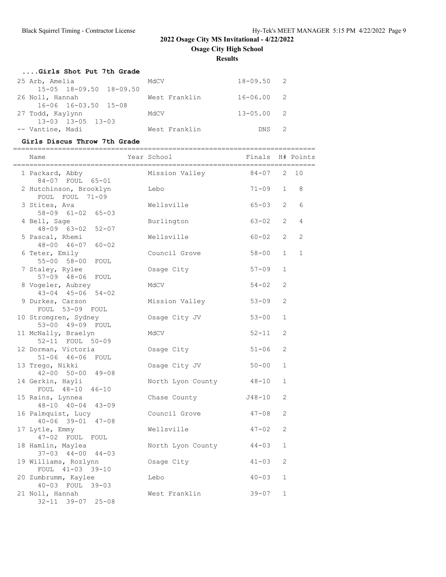**Results**

## **....Girls Shot Put 7th Grade**

| 25 Arb, Amelia                      | MdCV          | $18 - 09.50$ 2 |  |
|-------------------------------------|---------------|----------------|--|
| $15 - 05$ $18 - 09.50$ $18 - 09.50$ |               |                |  |
| 26 Noll, Hannah                     | West Franklin | $16 - 06.002$  |  |
| 16-06 16-03.50 15-08                |               |                |  |
| 27 Todd, Kaylynn                    | MdCV          | $13 - 05.00$ 2 |  |
| 13-03 13-05 13-03                   |               |                |  |
| -- Vantine, Madi                    | West Franklin | DNS 2          |  |

## **Girls Discus Throw 7th Grade**

| Name                                               | Year School       | Finals H# Points |                |                |
|----------------------------------------------------|-------------------|------------------|----------------|----------------|
| 1 Packard, Abby<br>84-07 FOUL 65-01                | Mission Valley    | $84 - 07$        |                | $2 - 10$       |
| 2 Hutchinson, Brooklyn<br>FOUL FOUL 71-09          | Lebo              | $71 - 09$        | $\mathbf{1}$   | 8              |
| 3 Stites, Ava<br>$58 - 09$ $61 - 02$ $65 - 03$     | Wellsville        | $65 - 03$        | $\overline{2}$ | 6              |
| 4 Bell, Sage<br>48-09 63-02 52-07                  | Burlington        | $63 - 02$        | $\overline{2}$ | $\overline{4}$ |
| 5 Pascal, Rhemi<br>48-00 46-07 60-02               | Wellsville        | $60 - 02$        | $\mathcal{L}$  | 2              |
| 6 Teter, Emily<br>55-00 58-00 FOUL                 | Council Grove     | $58 - 00$        | $\mathbf{1}$   | $\mathbf 1$    |
| 7 Staley, Rylee<br>57-09 48-06 FOUL                | Osage City        | $57 - 09$        | $\mathbf{1}$   |                |
| 8 Vogeler, Aubrey<br>$43 - 04$ $45 - 06$ $54 - 02$ | MdCV              | $54 - 02$        | $\overline{c}$ |                |
| 9 Durkes, Carson<br>FOUL 53-09 FOUL                | Mission Valley    | $53 - 09$        | 2              |                |
| 10 Stromgren, Sydney<br>53-00 49-09 FOUL           | Osage City JV     | $53 - 00$        | $\mathbf{1}$   |                |
| 11 McNally, Braelyn<br>52-11 FOUL 50-09            | MdCV              | $52 - 11$        | 2              |                |
| 12 Dorman, Victoria<br>51-06 46-06 FOUL            | Osage City        | $51 - 06$        | 2              |                |
| 13 Trego, Nikki<br>$42 - 00$ $50 - 00$ $49 - 08$   | Osage City JV     | $50 - 00$        | $\mathbf{1}$   |                |
| 14 Gerkin, Hayli<br>FOUL 48-10 46-10               | North Lyon County | 48-10            | $\mathbf{1}$   |                |
| 15 Rains, Lynnea<br>$48 - 10$ $40 - 04$ $43 - 09$  | Chase County      | J48-10           | 2              |                |
| 16 Palmquist, Lucy<br>$40 - 06$ 39-01 47-08        | Council Grove     | 47-08            | 2              |                |
| 17 Lytle, Emmy<br>47-02 FOUL FOUL                  | Wellsville        | $47 - 02$        | 2              |                |
| 18 Hamlin, Maylea<br>$37-03$ $44-00$ $44-03$       | North Lyon County | $44 - 03$        | $\mathbf{1}$   |                |
| 19 Williams, Rozlynn<br>FOUL 41-03 39-10           | Osage City        | $41 - 03$        | 2              |                |
| 20 Zumbrumm, Kaylee<br>40-03 FOUL 39-03            | Lebo              | $40 - 03$        | $\mathbf{1}$   |                |
| 21 Noll, Hannah<br>32-11 39-07 25-08               | West Franklin     | $39 - 07$        | $\mathbf{1}$   |                |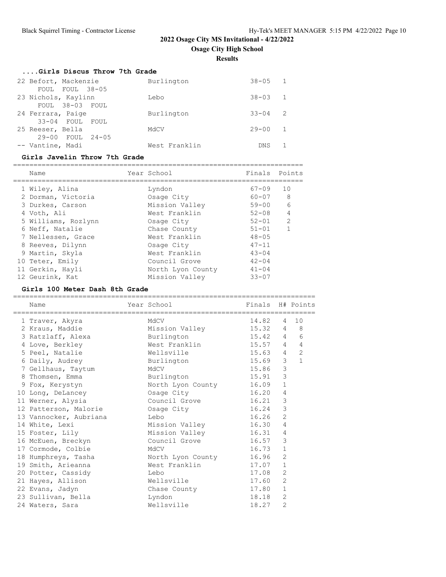**Osage City High School**

**Results**

| Girls Discus Throw 7th Grade |               |             |                |
|------------------------------|---------------|-------------|----------------|
| 22 Befort, Mackenzie         | Burlington    | $38 - 05$ 1 |                |
| FOUL FOUL 38-05              |               |             |                |
| 23 Nichols, Kaylinn          | Lebo          | $38 - 03$ 1 |                |
| FOUL 38-03 FOUL              |               |             |                |
| 24 Ferrara, Paige            | Burlington    | $33 - 04$   | 2              |
| 33-04 FOUL FOUL              |               |             |                |
| 25 Reeser, Bella             | MACV          | $29 - 00$   | $\overline{1}$ |
| $29 - 00$ FOUL $24 - 05$     |               |             |                |
| -- Vantine, Madi             | West Franklin | DNS.        |                |

### **Girls Javelin Throw 7th Grade**

| Name                | Year School       | Finals    | Points         |
|---------------------|-------------------|-----------|----------------|
| 1 Wiley, Alina      | Lyndon            | $67 - 09$ | 10             |
| 2 Dorman, Victoria  | Osage City        | $60 - 07$ | -8             |
| 3 Durkes, Carson    | Mission Valley    | $59 - 00$ | 6              |
| 4 Voth, Ali         | West Franklin     | $52 - 08$ | $\overline{4}$ |
| 5 Williams, Rozlynn | Osage City        | $52 - 01$ | 2              |
| 6 Neff, Natalie     | Chase County      | $51 - 01$ |                |
| 7 Nellessen, Grace  | West Franklin     | $48 - 05$ |                |
| 8 Reeves, Dilynn    | Osage City        | $47 - 11$ |                |
| 9 Martin, Skyla     | West Franklin     | $43 - 04$ |                |
| 10 Teter, Emily     | Council Grove     | $42 - 04$ |                |
| 11 Gerkin, Hayli    | North Lyon County | $41 - 04$ |                |
| 12 Geurink, Kat     | Mission Valley    | $33 - 07$ |                |

## **Girls 100 Meter Dash 8th Grade**

| Name<br>======================== | Year School<br>=================================== | Finals H# Points |                |                |
|----------------------------------|----------------------------------------------------|------------------|----------------|----------------|
| 1 Traver, Akyra                  | MdCV                                               | 14.82            | $\overline{4}$ | 10             |
| 2 Kraus, Maddie                  | Mission Valley                                     | 15.32 4          |                | 8              |
| 3 Ratzlaff, Alexa                | Burlington                                         | 15.42 4          |                | 6              |
| 4 Love, Berkley                  | West Franklin                                      | $15.57$ 4        |                | $\overline{4}$ |
| 5 Peel, Natalie                  | Wellsville                                         | 15.63 4          |                | $\overline{2}$ |
| 6 Daily, Audrey                  | Burlington                                         | 15.69            | $\mathcal{S}$  | $\mathbf{1}$   |
| 7 Gellhaus, Taytum               | MdCV                                               | 15.86            | 3              |                |
| 8 Thomsen, Emma                  | Burlington                                         | 15.91            | 3              |                |
| 9 Fox, Kerystyn                  | North Lyon County 16.09                            |                  | $\mathbf{1}$   |                |
| 10 Long, DeLancey                | Osage City<br>16.20                                |                  | 4              |                |
| 11 Werner, Alysia                | Council Grove 16.21                                |                  | 3              |                |
| 12 Patterson, Malorie            | Osage City                                         | 16.24            | 3              |                |
| 13 Vannocker, Aubriana           | Lebo                                               | 16.26            | $\overline{2}$ |                |
| 14 White, Lexi                   | Mission Valley                                     | 16.30            | $\overline{4}$ |                |
| 15 Foster, Lily                  | Mission Valley 16.31                               |                  | 4              |                |
| 16 McEuen, Breckyn               | Council Grove                                      | 16.57            | 3              |                |
| 17 Cormode, Colbie               | MdCV                                               | 16.73            | $\mathbf{1}$   |                |
| 18 Humphreys, Tasha              | North Lyon County 16.96                            |                  | $\overline{2}$ |                |
| 19 Smith, Arieanna               | West Franklin                                      | 17.07            | 1              |                |
| 20 Potter, Cassidy               | Lebo                                               | 17.08            | $\overline{2}$ |                |
| 21 Hayes, Allison                | Wellsville                                         | 17.60            | $\overline{2}$ |                |
| 22 Evans, Jadyn                  | Chase County                                       | 17.80            | $\mathbf{1}$   |                |
| 23 Sullivan, Bella               | Lyndon                                             | 18.18            | $\overline{2}$ |                |
| 24 Waters, Sara                  | Wellsville                                         | 18.27            | $\overline{2}$ |                |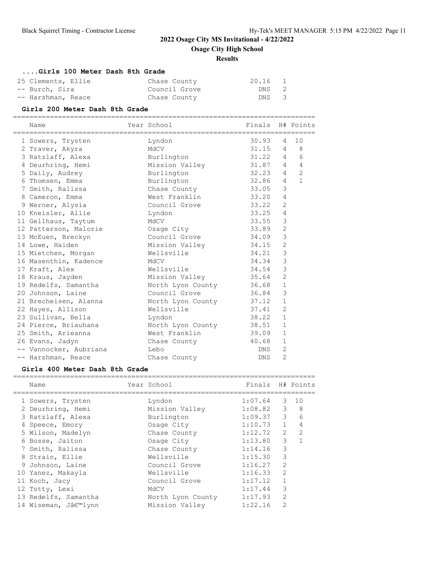**Osage City High School**

### **Results**

### **....Girls 100 Meter Dash 8th Grade**

| 25 Clements, Ellie | Chase County  | 20.16 | $\mathbf{1}$ |
|--------------------|---------------|-------|--------------|
| -- Burch, Sira     | Council Grove | DNS 2 |              |
| -- Harshman, Reace | Chase County  | DNS 3 |              |

-- Harshman, Reace and Chase County Chase County **Girls 200 Meter Dash 8th Grade** ========================================================================== Name The Year School Finals H# Points ========================================================================== 1 Sowers, Trysten Lyndon 30.93 4 10 2 Traver, Akyra MdCV 31.15 4 8 3 Ratzlaff, Alexa Burlington 31.22 4 6 4 Deurhring, Hemi Mission Valley 31.87 4 4 5 Daily, Audrey Burlington 32.23 4 2 6 Thomsen, Emma Burlington 32.86 4 1 7 Smith, Ralissa Chase County 33.05 3 8 Cameron, Emma West Franklin 33.20 4 9 Werner, Alysia Council Grove 33.22 2 10 Kneisler, Allie Lyndon 33.25 4 11 Gellhaus, Taytum MdCV MdCV 33.55 3 12 Patterson, Malorie Osage City 33.89 2 13 McEuen, Breckyn Council Grove 34.09 3 14 Lowe, Haiden Mission Valley 34.15 2 15 Mietchen, Morgan Wellsville 34.21 3 16 Masenthin, Kadence MdCV 34.34 3 17 Kraft, Alex **Wellsville** 34.54 3 18 Kraus, Jayden Mission Valley 35.64 2 19 Redelfs, Samantha North Lyon County 36.68 1 20 Johnson, Laine Council Grove 36.84 3 21 Brecheisen, Alanna Morth Lyon County 37.12 1 22 Hayes, Allison Wellsville 37.41 2 23 Sullivan, Bella Lyndon 38.22 1 24 Pierce, Briauhana and North Lyon County 38.51 1 25 Smith, Arieanna West Franklin 39.09 1 26 Evans, Jadyn Chase County 40.68 1 -- Vannocker, Aubriana Lebo DNS 2 -- Harshman, Reace **Chase County DNS** 2

#### **Girls 400 Meter Dash 8th Grade**

| Name                 | Year School       | Finals        |                | H# Points     |
|----------------------|-------------------|---------------|----------------|---------------|
| 1 Sowers, Trysten    | Lyndon            | 1:07.64       |                | 3 10          |
| 2 Deurhring, Hemi    | Mission Valley    | $1:08.82$ 3 8 |                |               |
| 3 Ratzlaff, Alexa    | Burlington        | 1:09.37       | 3              | 6             |
| 4 Speece, Emory      | Osage City        | 1:10.73       | $\mathbf{1}$   | 4             |
| 5 Wilson, Madelyn    | Chase County      | 1:12.72       | $\mathcal{L}$  | $\mathcal{L}$ |
| 6 Bosse, Jaiton      | Osage City        | 1:13.80       | 3              |               |
| 7 Smith, Ralissa     | Chase County      | 1:14.16       | 3              |               |
| 8 Strain, Ellie      | Wellsville        | 1:15.30       | 3              |               |
| 9 Johnson, Laine     | Council Grove     | 1:16.27       | $\overline{2}$ |               |
| 10 Yanez, Makayla    | Wellsville        | 1:16.33       | $\mathfrak{D}$ |               |
| 11 Koch, Jacy        | Council Grove     | 1:17.12       |                |               |
| 12 Totty, Lexi       | MdCV              | 1:17.44       | 3              |               |
| 13 Redelfs, Samantha | North Lyon County | 1:17.93       | $\mathfrak{D}$ |               |
| 14 Wiseman, J'lynn   | Mission Valley    | 1:22.16       | $\mathfrak{D}$ |               |
|                      |                   |               |                |               |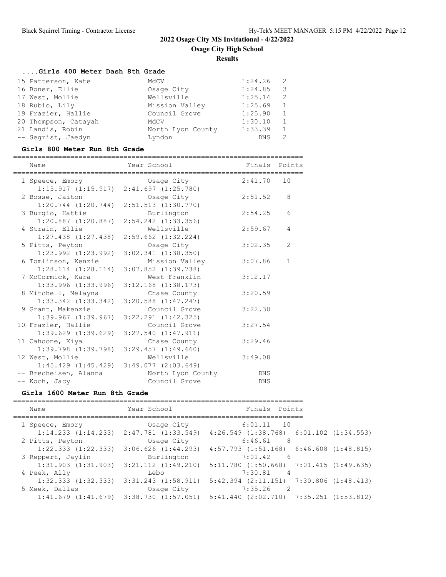### **Results**

# **....Girls 400 Meter Dash 8th Grade**

| 15 Patterson, Kate   | MGCV              | $1:24.26$ 2 |                          |
|----------------------|-------------------|-------------|--------------------------|
| 16 Boner, Ellie      | Osage City        | 1:24.85     | $\overline{\phantom{a}}$ |
| 17 West, Mollie      | Wellsville        | 1:25.14     | -2                       |
| 18 Rubio, Lily       | Mission Valley    | 1:25.69     | 1                        |
| 19 Frazier, Hallie   | Council Grove     | 1:25.90     | 1                        |
| 20 Thompson, Catayah | MdCV              | 1:30.10     | 1                        |
| 21 Landis, Robin     | North Lyon County | 1:33.39     | 1                        |
| -- Segrist, Jaedyn   | Lyndon            | <b>DNS</b>  |                          |

## **Girls 800 Meter Run 8th Grade**

| ============                                    | ______________________________                                |               |             |
|-------------------------------------------------|---------------------------------------------------------------|---------------|-------------|
| Name                                            | Year School                                                   | Finals Points |             |
| 1 Speece, Emory Cosage City                     |                                                               | 2:41.70       | 10          |
| 2 Bosse, Jaiton                                 | $1:15.917$ $(1:15.917)$ $2:41.697$ $(1:25.780)$<br>Osaqe City | 2:51.52       | 8           |
| $1:20.744$ $(1:20.744)$                         | $2:51.513$ $(1:30.770)$                                       |               |             |
| 3 Burgio, Hattie                                | Burlington                                                    | 2:54.25       | 6           |
|                                                 | $1:20.887$ $(1:20.887)$ $2:54.242$ $(1:33.356)$               |               |             |
| 4 Strain, Ellie                                 | Wellsville                                                    | 2:59.67       | 4           |
| $1:27.438$ $(1:27.438)$                         | $2:59.662$ $(1:32.224)$                                       |               |             |
| 5 Pitts, Peyton                                 | Osage City                                                    | 3:02.35       | 2           |
| $1:23.992$ $(1:23.992)$                         | $3:02.341$ $(1:38.350)$                                       |               |             |
| 6 Tomlinson, Kenzie                             | Mission Valley                                                | 3:07.86       | $\mathbf 1$ |
| $1:28.114$ $(1:28.114)$ $3:07.852$ $(1:39.738)$ |                                                               |               |             |
| 7 McCormick, Kara                               | West Franklin                                                 | 3:12.17       |             |
| $1:33.996$ $(1:33.996)$                         | $3:12.168$ $(1:38.173)$                                       |               |             |
| 8 Mitchell, Melayna                             | Chase County                                                  | 3:20.59       |             |
| $1:33.342$ $(1:33.342)$                         | $3:20.588$ $(1:47.247)$                                       |               |             |
| 9 Grant, Makenzie                               | Council Grove                                                 | 3:22.30       |             |
| $1:39.967$ $(1:39.967)$                         | $3:22.291$ $(1:42.325)$                                       |               |             |
| 10 Frazier, Hallie                              | Council Grove                                                 | 3:27.54       |             |
| $1:39.629$ $(1:39.629)$                         | $3:27.540$ $(1:47.911)$                                       |               |             |
| 11 Cahoone, Kiya                                | Chase County                                                  | 3:29.46       |             |
| $1:39.798$ $(1:39.798)$                         | 3:29.457(1:49.660)                                            |               |             |
| 12 West, Mollie                                 | Wellsville                                                    | 3:49.08       |             |
|                                                 | $1:45.429$ $(1:45.429)$ $3:49.077$ $(2:03.649)$               |               |             |
| -- Brecheisen, Alanna                           | North Lyon County                                             | DNS           |             |
| -- Koch, Jacy                                   | Council Grove                                                 | DNS           |             |

## **Girls 1600 Meter Run 8th Grade**

| Finals Points<br>Year School<br>Name                                                                  |  |
|-------------------------------------------------------------------------------------------------------|--|
| $6:01.11$ 10<br>Osaqe City<br>1 Speece, Emory                                                         |  |
| $1:14.233$ $(1:14.233)$ $2:47.781$ $(1:33.549)$<br>$4:26.549$ $(1:38.768)$ $6:01.102$ $(1:34.553)$    |  |
| $6:46.61$ 8<br>2 Pitts, Peyton<br>Osage City                                                          |  |
| 1:22.333(1:22.333)<br>$3:06.626$ $(1:44.293)$<br>$4:57.793$ $(1:51.168)$ $6:46.608$ $(1:48.815)$      |  |
| Burlington<br>$7:01.42$ 6<br>3 Reppert, Jaylin                                                        |  |
| $1:31.903$ $(1:31.903)$ $3:21.112$ $(1:49.210)$<br>$5:11.780$ $(1:50.668)$ $7:01.415$ $(1:49.635)$    |  |
| 7:30.81 4<br>4 Peek, Ally<br>Lebo                                                                     |  |
| $5:42.394$ $(2:11.151)$ $7:30.806$ $(1:48.413)$<br>$1:32.333$ $(1:32.333)$<br>$3:31.243$ $(1:58.911)$ |  |
| 7:35.26<br>$\overline{2}$<br>5 Meek, Dallas<br>Osage City                                             |  |
| $1:41.679$ $(1:41.679)$ $3:38.730$ $(1:57.051)$ $5:41.440$ $(2:02.710)$ $7:35.251$ $(1:53.812)$       |  |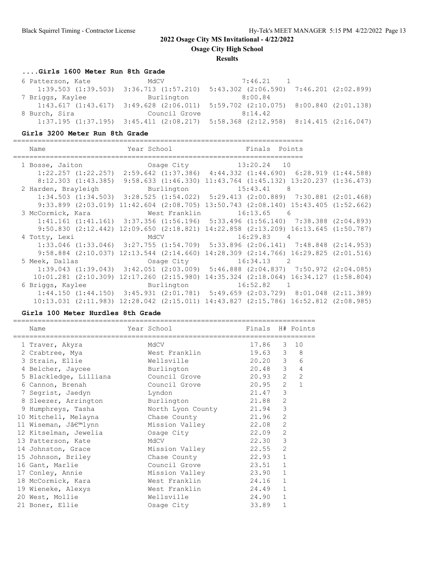**Osage City High School**

### **Results**

# **....Girls 1600 Meter Run 8th Grade**

| 6 Patterson, Kate                               | MdCV          | $7:46.21$ 1                                                                                     |  |
|-------------------------------------------------|---------------|-------------------------------------------------------------------------------------------------|--|
| $1:39.503$ $(1:39.503)$ $3:36.713$ $(1:57.210)$ |               | 5:43.302 (2:06.590) 7:46.201 (2:02.899)                                                         |  |
| 7 Briggs, Kaylee                                | Burlington    | 8:00.84                                                                                         |  |
|                                                 |               | $1:43.617$ $(1:43.617)$ $3:49.628$ $(2:06.011)$ $5:59.702$ $(2:10.075)$ $8:00.840$ $(2:01.138)$ |  |
| 8 Burch, Sira                                   | Council Grove | 8:14.42                                                                                         |  |
|                                                 |               | $1:37.195$ $(1:37.195)$ $3:45.411$ $(2:08.217)$ $5:58.368$ $(2:12.958)$ $8:14.415$ $(2:16.047)$ |  |

### **Girls 3200 Meter Run 8th Grade**

| Name              | Year School and the School                 | Finals Points                                                                                   |  |
|-------------------|--------------------------------------------|-------------------------------------------------------------------------------------------------|--|
|                   |                                            | 1 Bosse, Jaiton Cosage City 13:20.24 10                                                         |  |
|                   |                                            | $1:22.257$ $(1:22.257)$ $2:59.642$ $(1:37.386)$ $4:44.332$ $(1:44.690)$ $6:28.919$ $(1:44.588)$ |  |
|                   |                                            | 8:12.303 (1:43.385) 9:58.633 (1:46.330) 11:43.764 (1:45.132) 13:20.237 (1:36.473)               |  |
|                   |                                            | 2 Harden, Brayleigh Burlington 15:43.41 8                                                       |  |
|                   |                                            | $1:34.503$ $(1:34.503)$ $3:28.525$ $(1:54.022)$ $5:29.413$ $(2:00.889)$ $7:30.881$ $(2:01.468)$ |  |
|                   |                                            | 9:33.899 (2:03.019) 11:42.604 (2:08.705) 13:50.743 (2:08.140) 15:43.405 (1:52.662)              |  |
| 3 McCormick, Kara |                                            | West Franklin 16:13.65 6                                                                        |  |
|                   |                                            | 1:41.161 (1:41.161) 3:37.356 (1:56.196) 5:33.496 (1:56.140) 7:38.388 (2:04.893)                 |  |
|                   |                                            | 9:50.830 (2:12.442) 12:09.650 (2:18.821) 14:22.858 (2:13.209) 16:13.645 (1:50.787)              |  |
| 4 Totty, Lexi     | MdCV                                       | 16:29.83 4                                                                                      |  |
|                   |                                            | $1:33.046$ (1:33.046) $3:27.755$ (1:54.709) $5:33.896$ (2:06.141) 7:48.848 (2:14.953)           |  |
|                   | $9:58.884$ (2:10.037) 12:13.544 (2:14.660) | 14:28.309 (2:14.766) 16:29.825 (2:01.516)                                                       |  |
|                   |                                            |                                                                                                 |  |
|                   |                                            | $1:39.043$ $(1:39.043)$ $3:42.051$ $(2:03.009)$ $5:46.888$ $(2:04.837)$ $7:50.972$ $(2:04.085)$ |  |
|                   |                                            | $10:01.281$ (2:10.309) 12:17.260 (2:15.980) 14:35.324 (2:18.064) 16:34.127 (1:58.804)           |  |
| 6 Briggs, Kaylee  |                                            | Burlington 16:52.82 1                                                                           |  |
|                   |                                            | $1:44.150$ $(1:44.150)$ $3:45.931$ $(2:01.781)$ $5:49.659$ $(2:03.729)$ $8:01.048$ $(2:11.389)$ |  |
|                   |                                            | 10:13.031 (2:11.983) 12:28.042 (2:15.011) 14:43.827 (2:15.786) 16:52.812 (2:08.985)             |  |

### **Girls 100 Meter Hurdles 8th Grade**

| Name                   | Year School<br>---------------------------- | Finals H# Points |                |                     |
|------------------------|---------------------------------------------|------------------|----------------|---------------------|
| 1 Traver, Akyra        | MdCV                                        | 17.86            | 3              | 10                  |
| 2 Crabtree, Mya        | West Franklin                               | 19.63            |                | $3^{\circ}$<br>8    |
| 3 Strain, Ellie        | Wellsville                                  | 20.20            |                | 3 <sup>7</sup><br>6 |
| 4 Belcher, Jaycee      | Burlington                                  | 20.48            | 3 <sup>7</sup> | $\overline{4}$      |
| 5 Blackledge, Lilliana | Council Grove                               | 20.93            | $\overline{2}$ | $\overline{2}$      |
| 6 Cannon, Brenah       | Council Grove                               | 20.95            | 2              | $\mathbf{1}$        |
| 7 Segrist, Jaedyn      | Lyndon                                      | 21.47            | 3              |                     |
| 8 Sleezer, Arrington   | Burlington                                  | 21.88            | $\overline{2}$ |                     |
| 9 Humphreys, Tasha     | North Lyon County                           | 21.94            | 3              |                     |
| 10 Mitchell, Melayna   | Chase County                                | 21.96            | 2              |                     |
| 11 Wiseman, J'lynn     | Mission Valley                              | 22.08            | 2              |                     |
| 12 Kitselman, Jewelia  | Osaqe City                                  | 22.09            | $\overline{2}$ |                     |
| 13 Patterson, Kate     | MdCV                                        | 22.30            | 3              |                     |
| 14 Johnston, Grace     | Mission Valley                              | 22.55            | 2              |                     |
| 15 Johnson, Briley     | Chase County                                | 22.93            | $\mathbf{1}$   |                     |
| 16 Gant, Marlie        | Council Grove                               | 23.51            | $\mathbf{1}$   |                     |
| 17 Conley, Annie       | Mission Valley                              | 23.90            | $\mathbf{1}$   |                     |
| 18 McCormick, Kara     | West Franklin                               | 24.16            | $\mathbf{1}$   |                     |
| 19 Wieneke, Alexys     | West Franklin                               | 24.49            | $\mathbf{1}$   |                     |
| 20 West, Mollie        | Wellsville                                  | 24.90            | $\mathbf{1}$   |                     |
| 21 Boner, Ellie        | Osage City                                  | 33.89            | $\mathbf{1}$   |                     |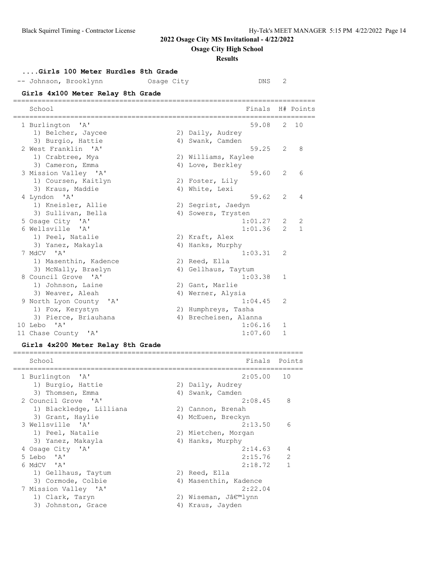**Osage City High School**

### **Results**

# **....Girls 100 Meter Hurdles 8th Grade**

| -- Johnson, Brooklynn                                        | Osage City | DNS                   | 2              |                |
|--------------------------------------------------------------|------------|-----------------------|----------------|----------------|
| Girls 4x100 Meter Relay 8th Grade                            |            | -----------           |                |                |
| School                                                       |            | Finals                | --------       | H# Points      |
| 1 Burlington 'A'                                             |            | 59.08                 |                | 2, 10          |
| 1) Belcher, Jaycee                                           |            | 2) Daily, Audrey      |                |                |
| 3) Burgio, Hattie                                            |            | 4) Swank, Camden      |                |                |
| 2 West Franklin 'A'                                          |            | 59.25                 | 2              | 8              |
| 1) Crabtree, Mya                                             |            | 2) Williams, Kaylee   |                |                |
| 3) Cameron, Emma                                             |            | 4) Love, Berkley      |                |                |
| 3 Mission Valley 'A'                                         |            | 59.60                 | 2              | 6              |
| 1) Coursen, Kaitlyn                                          |            | 2) Foster, Lily       |                |                |
| 3) Kraus, Maddie                                             |            | 4) White, Lexi        |                |                |
| 4 Lyndon 'A'                                                 |            | 59.62                 | $\overline{2}$ | $\overline{4}$ |
| 1) Kneisler, Allie                                           |            | 2) Segrist, Jaedyn    |                |                |
| 3) Sullivan, Bella                                           |            | 4) Sowers, Trysten    |                |                |
| 5 Osage City 'A'                                             |            | 1:01.27               | 2              | 2              |
| 6 Wellsville 'A'                                             |            | 1:01.36               | $\mathcal{P}$  | $\mathbf{1}$   |
| 1) Peel, Natalie                                             |            | 2) Kraft, Alex        |                |                |
| 3) Yanez, Makayla                                            |            | 4) Hanks, Murphy      |                |                |
| 7 MdCV 'A'                                                   |            | 1:03.31               | 2              |                |
| 1) Masenthin, Kadence                                        |            | 2) Reed, Ella         |                |                |
| 3) McNally, Braelyn                                          |            | 4) Gellhaus, Taytum   |                |                |
| 8 Council Grove 'A'                                          |            | 1:03.38               | 1              |                |
| 1) Johnson, Laine                                            |            | 2) Gant, Marlie       |                |                |
| 3) Weaver, Aleah                                             |            | 4) Werner, Alysia     |                |                |
| 9 North Lyon County 'A'                                      |            | 1:04.45               | 2              |                |
| 1) Fox, Kerystyn                                             |            | 2) Humphreys, Tasha   |                |                |
| 3) Pierce, Briauhana                                         |            | 4) Brecheisen, Alanna |                |                |
| 10 Lebo<br>$^{\prime}$ A $^{\prime}$                         |            | 1:06.16               | 1              |                |
| 11 Chase County 'A'                                          |            | 1:07.60               | $\mathbf{1}$   |                |
| $61.3 \pm 4.000 \text{ M} + 1.5 \pm 3.1.011 \text{ M} + 3.1$ |            |                       |                |                |

### **Girls 4x200 Meter Relay 8th Grade**

| School                  |    | Finals Points         |               |
|-------------------------|----|-----------------------|---------------|
| 1 Burlington 'A'        |    | 2:05.00 10            |               |
| 1) Burgio, Hattie       |    | 2) Daily, Audrey      |               |
| 3) Thomsen, Emma        |    | 4) Swank, Camden      |               |
| 2 Council Grove 'A'     |    | 2:08.45               | - 8           |
| 1) Blackledge, Lilliana |    | 2) Cannon, Brenah     |               |
| 3) Grant, Haylie        |    | 4) McEuen, Breckyn    |               |
| 3 Wellsville 'A'        |    | 2:13.50               | 6             |
| 1) Peel, Natalie        |    | 2) Mietchen, Morgan   |               |
| 3) Yanez, Makayla       |    | 4) Hanks, Murphy      |               |
| 4 Osage City 'A'        |    | 2:14.63               | 4             |
| 5 Lebo 'A'              |    | 2:15.76               | $\mathcal{L}$ |
| 6 MdCV 'A'              |    | 2:18.72               |               |
| 1) Gellhaus, Taytum     |    | 2) Reed, Ella         |               |
| 3) Cormode, Colbie      |    | 4) Masenthin, Kadence |               |
| 7 Mission Valley 'A'    |    | 2:22.04               |               |
| 1) Clark, Taryn         |    | 2) Wiseman, J'lynn    |               |
| 3) Johnston, Grace      | 4) | Kraus, Jayden         |               |
|                         |    |                       |               |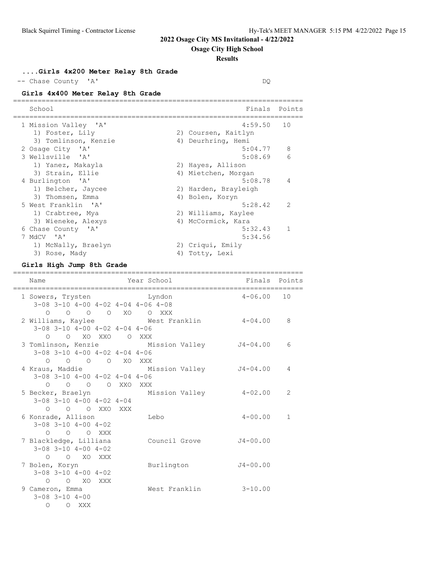**Osage City High School**

### **Results**

**....Girls 4x200 Meter Relay 8th Grade**

-- Chase County 'A' DQ

# **Girls 4x400 Meter Relay 8th Grade**

| School               | Finals               | Points         |
|----------------------|----------------------|----------------|
| 1 Mission Valley 'A' | $4:59.50$ 10         |                |
| 1) Foster, Lily      | 2) Coursen, Kaitlyn  |                |
| 3) Tomlinson, Kenzie | 4) Deurhring, Hemi   |                |
| 2 Osage City 'A'     | 5:04.77              | 8              |
| 3 Wellsville 'A'     | 5:08.69              | 6              |
| 1) Yanez, Makayla    | 2) Hayes, Allison    |                |
| 3) Strain, Ellie     | 4) Mietchen, Morgan  |                |
| 4 Burlington 'A'     | 5:08.78              | $\overline{4}$ |
| 1) Belcher, Jaycee   | 2) Harden, Brayleigh |                |
| 3) Thomsen, Emma     | 4) Bolen, Koryn      |                |
| 5 West Franklin 'A'  | 5:28.42              | $\overline{2}$ |
| 1) Crabtree, Mya     | 2) Williams, Kaylee  |                |
| 3) Wieneke, Alexys   | 4) McCormick, Kara   |                |
| 6 Chase County 'A'   | 5:32.43              | $\mathbf{1}$   |
| 7 MdCV 'A'           | 5:34.56              |                |
| 1) McNally, Braelyn  | 2) Criqui, Emily     |                |
| 3) Rose, Mady        | 4) Totty, Lexi       |                |

### **Girls High Jump 8th Grade**

| Name                                             | ======= | Year School   |                | Finals Points |
|--------------------------------------------------|---------|---------------|----------------|---------------|
| 1 Sowers, Trysten byndon                         |         |               | $4 - 06.00 10$ |               |
| $3-08$ $3-10$ $4-00$ $4-02$ $4-04$ $4-06$ $4-08$ |         |               |                |               |
| 0 0 0 0 XO 0 XXX                                 |         |               |                |               |
| 2 Williams, Kaylee Mest Franklin                 |         |               | $4 - 04.00$    | 8             |
| $3-08$ $3-10$ $4-00$ $4-02$ $4-04$ $4-06$        |         |               |                |               |
| O O XO XXO O XXX                                 |         |               |                |               |
| 3 Tomlinson, Kenzie Mission Valley 54-04.00      |         |               |                | 6             |
| $3-08$ $3-10$ $4-00$ $4-02$ $4-04$ $4-06$        |         |               |                |               |
| O O O O XO XXX                                   |         |               |                |               |
| 4 Kraus, Maddie Mission Valley J4-04.00          |         |               |                | 4             |
| $3-08$ $3-10$ $4-00$ $4-02$ $4-04$ $4-06$        |         |               |                |               |
| 0 0 0 0 XXO XXX                                  |         |               |                |               |
| 5 Becker, Braelyn Mission Valley 4-02.00         |         |               |                | 2             |
| $3-08$ $3-10$ $4-00$ $4-02$ $4-04$               |         |               |                |               |
| O O O XXO XXX                                    |         |               |                |               |
| 6 Konrade, Allison                               |         | Lebo          | $4 - 00.00$    | 1             |
| $3 - 08$ $3 - 10$ $4 - 00$ $4 - 02$              |         |               |                |               |
| $O$ $O$ $O$ XXX                                  |         |               |                |               |
| 7 Blackledge, Lilliana                           |         | Council Grove | $J4 - 00.00$   |               |
| $3-08$ $3-10$ $4-00$ $4-02$                      |         |               |                |               |
| O O XO XXX                                       |         |               |                |               |
| 7 Bolen, Koryn                                   |         | Burlington    | $J4 - 00.00$   |               |
| $3 - 08$ $3 - 10$ $4 - 00$ $4 - 02$              |         |               |                |               |
| $O$ $O$ $XO$ $XXX$                               |         |               |                |               |
| 9 Cameron, Emma                                  |         | West Franklin | $3 - 10.00$    |               |
| $3 - 08$ $3 - 10$ $4 - 00$                       |         |               |                |               |
| $\circ$<br>O XXX                                 |         |               |                |               |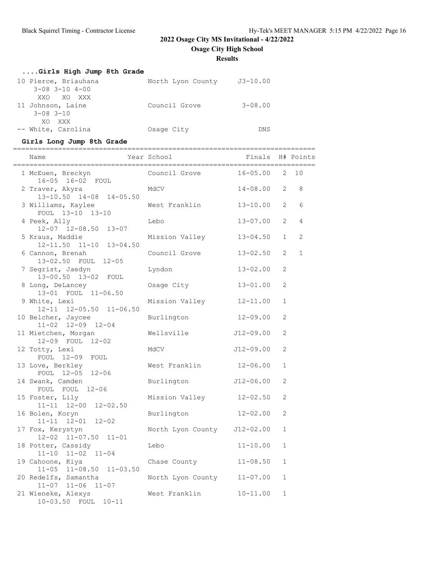**Osage City High School**

**Results**

| Girls High Jump 8th Grade  |                   |              |
|----------------------------|-------------------|--------------|
| 10 Pierce, Briauhana       | North Lyon County | $J3 - 10.00$ |
| $3 - 08$ $3 - 10$ $4 - 00$ |                   |              |
| XXO XO XXX                 |                   |              |
| 11 Johnson, Laine          | Council Grove     | $3 - 08.00$  |
| $3 - 08$ $3 - 10$          |                   |              |
| XO XXX                     |                   |              |
| -- White, Carolina         | Osage City        | DNS          |

# **Girls Long Jump 8th Grade**

| Name                                                | ==================<br>Year School | ==============================<br>Finals |                | H# Points      |
|-----------------------------------------------------|-----------------------------------|------------------------------------------|----------------|----------------|
| 1 McEuen, Breckyn<br>16-05 16-02 FOUL               | Council Grove                     | $16 - 05.00$                             |                | $2 \t10$       |
| 2 Traver, Akyra<br>13-10.50 14-08 14-05.50          | MdCV                              | $14 - 08.00$                             | $\overline{2}$ | 8              |
| 3 Williams, Kaylee<br>FOUL 13-10 13-10              | West Franklin                     | 13-10.00                                 | 2              | 6              |
| 4 Peek, Ally<br>12-07 12-08.50 13-07                | Lebo                              | 13-07.00                                 | $\overline{2}$ | $\overline{4}$ |
| 5 Kraus, Maddie<br>12-11.50 11-10 13-04.50          | Mission Valley                    | $13 - 04.50$                             | $\mathbf{1}$   | 2              |
| 6 Cannon, Brenah<br>13-02.50 FOUL 12-05             | Council Grove                     | $13 - 02.50$                             | $\overline{2}$ | $\mathbf 1$    |
| 7 Segrist, Jaedyn<br>13-00.50 13-02 FOUL            | Lyndon                            | 13-02.00                                 | $\mathfrak{L}$ |                |
| 8 Long, DeLancey<br>13-01 FOUL 11-06.50             | Osage City                        | $13 - 01.00$                             | 2              |                |
| 9 White, Lexi<br>12-11 12-05.50 11-06.50            | Mission Valley                    | $12 - 11.00$                             | $\mathbf{1}$   |                |
| 10 Belcher, Jaycee<br>$11 - 02$ $12 - 09$ $12 - 04$ | Burlington                        | $12 - 09.00$                             | 2              |                |
| 11 Mietchen, Morgan<br>12-09 FOUL 12-02             | Wellsville                        | J12-09.00                                | 2              |                |
| 12 Totty, Lexi<br>FOUL 12-09 FOUL                   | MdCV                              | $J12 - 09.00$                            | 2              |                |
| 13 Love, Berkley<br>FOUL 12-05 12-06                | West Franklin                     | $12 - 06.00$                             | $\mathbf{1}$   |                |
| 14 Swank, Camden<br>FOUL FOUL 12-06                 | Burlington                        | J12-06.00                                | $\overline{2}$ |                |
| 15 Foster, Lily<br>11-11 12-00 12-02.50             | Mission Valley                    | $12 - 02.50$                             | 2              |                |
| 16 Bolen, Koryn<br>11-11 12-01<br>$12 - 02$         | Burlington                        | $12 - 02.00$                             | 2              |                |
| 17 Fox, Kerystyn<br>12-02 11-07.50 11-01            | North Lyon County J12-02.00       |                                          | $\mathbf{1}$   |                |
| 18 Potter, Cassidy<br>$11 - 10$ $11 - 02$ $11 - 04$ | Lebo                              | $11 - 10.00$                             | $\mathbf{1}$   |                |
| 19 Cahoone, Kiya<br>$11-05$ $11-08.50$ $11-03.50$   | Chase County                      | $11 - 08.50$                             | $\mathbf{1}$   |                |
| 20 Redelfs, Samantha<br>$11-07$ $11-06$ $11-07$     | North Lyon County                 | $11 - 07.00$                             | $\mathbf{1}$   |                |
| 21 Wieneke, Alexys<br>10-03.50 FOUL<br>$10 - 11$    | West Franklin                     | $10 - 11.00$                             | $\mathbf{1}$   |                |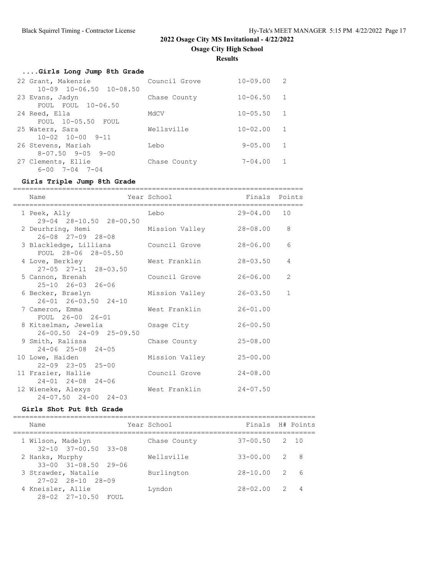**Results**

# **....Girls Long Jump 8th Grade**

| 22 Grant, Makenzie            | Council Grove | $10 - 09.00$   | 2              |
|-------------------------------|---------------|----------------|----------------|
| $10-09$ $10-06.50$ $10-08.50$ |               |                |                |
| 23 Evans, Jadyn               | Chase County  | $10 - 06.50$   | $\overline{1}$ |
| FOUL FOUL 10-06.50            |               |                |                |
| 24 Reed, Ella                 | MdCV          | $10 - 05.50$   | $\mathbf{1}$   |
| $FOUL = 10-05.50$ FOUL        |               |                |                |
| 25 Waters, Sara               | Wellsville    | $10 - 02.00$   | 1              |
| $10 - 02$ $10 - 00$ $9 - 11$  |               |                |                |
| 26 Stevens, Mariah            | Lebo          | $9 - 0.5$ , 00 | $\mathbf{1}$   |
| $8 - 07.50$ $9 - 05$ $9 - 00$ |               |                |                |
| 27 Clements, Ellie            | Chase County  | $7 - 04.00$    | $\mathbf{1}$   |
| $6 - 00$ $7 - 04$ $7 - 04$    |               |                |                |

# **Girls Triple Jump 8th Grade**

| Name<br>=====================                               | Year School             | Finals Points |              |
|-------------------------------------------------------------|-------------------------|---------------|--------------|
| 1 Peek, Ally<br>29-04 28-10.50 28-00.50                     | Lebo                    | $29 - 04.00$  | 10           |
| 2 Deurhring, Hemi<br>26-08 27-09 28-08                      | Mission Valley 28-08.00 |               | 8            |
| 3 Blackledge, Lilliana Council Grove<br>FOUL 28-06 28-05.50 |                         | 28-06.00      | 6            |
| 4 Love, Berkley<br>27-05 27-11 28-03.50                     | West Franklin           | $28 - 03.50$  | 4            |
| 5 Cannon, Brenah<br>$25 - 10$ $26 - 03$ $26 - 06$           | Council Grove           | 26-06.00      | 2            |
| 6 Becker, Braelyn<br>$26 - 01$ $26 - 03.50$ $24 - 10$       | Mission Valley          | $26 - 03.50$  | $\mathbf{1}$ |
| 7 Cameron, Emma<br>FOUL 26-00 26-01                         | West Franklin           | $26 - 01.00$  |              |
| 8 Kitselman, Jewelia<br>$26 - 00.50$ $24 - 09$ $25 - 09.50$ | Osaqe City              | $26 - 00.50$  |              |
| 9 Smith, Ralissa<br>$24 - 06$ $25 - 08$ $24 - 05$           | Chase County            | $25 - 08.00$  |              |
| 10 Lowe, Haiden<br>$22 - 09$ $23 - 05$ $25 - 00$            | Mission Valley          | $25 - 00.00$  |              |
| 11 Frazier, Hallie<br>$24 - 01$ $24 - 08$ $24 - 06$         | Council Grove           | $24 - 08.00$  |              |
| 12 Wieneke, Alexys<br>$24 - 07.50$ $24 - 00$ $24 - 03$      | West Franklin           | $24 - 07.50$  |              |

## **Girls Shot Put 8th Grade**

| Name                                                  | Year School  | Finals H# Points  |                |                |
|-------------------------------------------------------|--------------|-------------------|----------------|----------------|
| 1 Wilson, Madelyn<br>$32 - 10$ $37 - 00.50$ $33 - 08$ | Chase County | $37 - 00.50$ 2 10 |                |                |
| 2 Hanks, Murphy<br>$33 - 00$ $31 - 08.50$ 29-06       | Wellsville   | $33 - 00.00$      |                | 2 8            |
| 3 Strawder, Natalie<br>$27 - 02$ $28 - 10$ $28 - 09$  | Burlington   | $28 - 10.00$      |                | 2 6            |
| 4 Kneisler, Allie<br>28-02 27-10.50 FOUL              | Lyndon       | $28 - 02.00$      | $\overline{2}$ | $\overline{4}$ |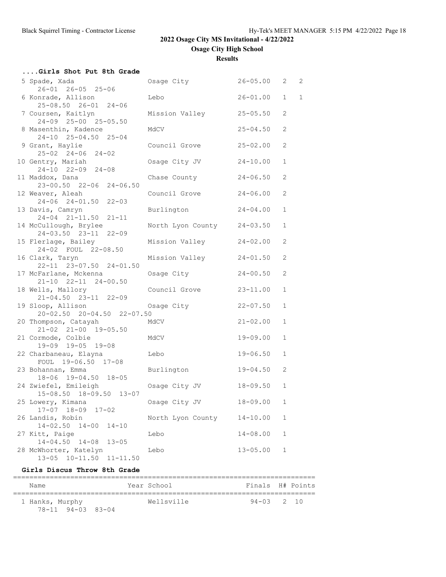**Osage City High School**

**Results**

| Girls Shot Put 8th Grade                              |                            |              |              |  |
|-------------------------------------------------------|----------------------------|--------------|--------------|--|
| 5 Spade, Xada                                         | Osage City 26-05.00 2 2    |              |              |  |
| 26-01 26-05 25-06                                     |                            |              |              |  |
| 6 Konrade, Allison                                    | Lebo                       | $26 - 01.00$ | $1 \quad 1$  |  |
| 25-08.50 26-01 24-06                                  |                            |              |              |  |
| 7 Coursen, Kaitlyn<br>24-09 25-00 25-05.50            | Mission Valley             | $25 - 05.50$ | 2            |  |
| 8 Masenthin, Kadence                                  | MdCV                       | $25 - 04.50$ | 2            |  |
| 24-10 25-04.50 25-04                                  |                            |              |              |  |
| 9 Grant, Haylie                                       | Council Grove              | $25 - 02.00$ | 2            |  |
| $25-02$ $24-06$ $24-02$                               |                            |              |              |  |
| 10 Gentry, Mariah                                     | Osage City JV              | $24 - 10.00$ | $\mathbf{1}$ |  |
| 24-10 22-09 24-08                                     |                            |              |              |  |
| 11 Maddox, Dana<br>23-00.50 22-06 24-06.50            | Chase County               | $24 - 06.50$ | 2            |  |
| 12 Weaver, Aleah                                      | Council Grove              | $24 - 06.00$ | 2            |  |
| 24-06 24-01.50 22-03                                  |                            |              |              |  |
| 13 Davis, Camryn                                      | Burlington                 | $24 - 04.00$ | $\mathbf{1}$ |  |
| 24-04 21-11.50 21-11                                  |                            |              |              |  |
| 14 McCullough, Brylee                                 | North Lyon County 24-03.50 |              | $\mathbf 1$  |  |
| 24-03.50 23-11 22-09                                  |                            |              |              |  |
| 15 Flerlage, Bailey<br>24-02 FOUL 22-08.50            | Mission Valley             | $24 - 02.00$ | 2            |  |
| 16 Clark, Taryn                                       | Mission Valley             | $24 - 01.50$ | 2            |  |
| 22-11 23-07.50 24-01.50                               |                            |              |              |  |
| 17 McFarlane, Mckenna                                 | Osage City                 | $24 - 00.50$ | 2            |  |
| $21-10$ $22-11$ $24-00.50$                            |                            |              |              |  |
| 18 Wells, Mallory                                     | Council Grove              | $23 - 11.00$ | $\mathbf 1$  |  |
| $21 - 04.50$ $23 - 11$ $22 - 09$                      |                            |              |              |  |
| 19 Sloop, Allison<br>20-02.50 20-04.50 22-07.50       | Osage City                 | $22 - 07.50$ | $\mathbf 1$  |  |
| 20 Thompson, Catayah                                  | MdCV                       | $21 - 02.00$ | $\mathbf 1$  |  |
| 21-02 21-00 19-05.50                                  |                            |              |              |  |
| 21 Cormode, Colbie                                    | MdCV                       | $19 - 09.00$ | $\mathbf{1}$ |  |
| 19-09 19-05 19-08                                     |                            |              |              |  |
| 22 Charbaneau, Elayna                                 | Lebo                       | $19 - 06.50$ | $\mathbf{1}$ |  |
| FOUL 19-06.50 17-08                                   |                            |              |              |  |
| 23 Bohannan, Emma<br>18-06 19-04.50 18-05             | Burlington                 | $19 - 04.50$ | 2            |  |
| 24 Zwiefel, Emileigh                                  | Osage City JV              | 18-09.50     | $\mathbf{1}$ |  |
| 15-08.50 18-09.50 13-07                               |                            |              |              |  |
| 25 Lowery, Kimana                                     | Osage City JV              | $18 - 09.00$ | 1            |  |
| $17 - 07$ $18 - 09$<br>$17 - 02$                      |                            |              |              |  |
| 26 Landis, Robin                                      | North Lyon County          | $14 - 10.00$ | 1            |  |
| $14 - 02.50$<br>$14 - 00$<br>$14 - 10$                |                            |              |              |  |
| 27 Kitt, Paige<br>$14 - 04.50$ $14 - 08$<br>$13 - 05$ | Lebo                       | $14 - 08.00$ | 1            |  |
| 28 McWhorter, Katelyn                                 | Lebo                       | $13 - 05.00$ | 1            |  |
| $13 - 05$ $10 - 11.50$<br>$11 - 11.50$                |                            |              |              |  |

## **Girls Discus Throw 8th Grade**

| Name              | Year School | Finals H# Points |  |
|-------------------|-------------|------------------|--|
| 1 Hanks, Murphy   | Wellsville  | $94 - 03$ 2 10   |  |
| 78-11 94-03 83-04 |             |                  |  |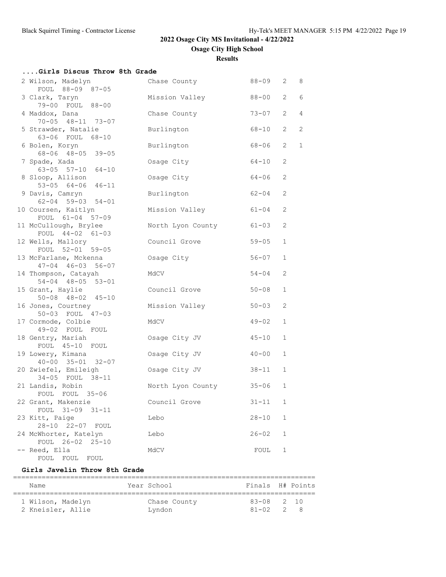**Osage City High School**

**Results**

| Girls Discus Throw 8th Grade                          |                         |           |                       |                |
|-------------------------------------------------------|-------------------------|-----------|-----------------------|----------------|
| 2 Wilson, Madelyn                                     | Chase County Chase      | 88-09 2   |                       | 8              |
| FOUL 88-09 87-05                                      |                         |           |                       |                |
| 3 Clark, Taryn<br>79-00 FOUL 88-00                    | Mission Valley          | $88 - 00$ | $\mathbf{2}^{\prime}$ | $\epsilon$     |
| 4 Maddox, Dana                                        | Chase County            | $73 - 07$ | $\overline{2}$        | $\overline{4}$ |
| 70-05 48-11 73-07                                     |                         |           |                       |                |
| 5 Strawder, Natalie                                   | Burlington              | 68-10     | $\overline{2}$        | 2              |
| 63-06 FOUL 68-10                                      |                         |           |                       |                |
| 6 Bolen, Koryn<br>$68 - 06$ $48 - 05$ 39-05           | Burlington              | 68-06     | $\overline{2}$        | $\mathbf{1}$   |
| 7 Spade, Xada                                         | Osage City              | $64 - 10$ | 2                     |                |
| $63 - 05$ $57 - 10$ $64 - 10$                         |                         |           |                       |                |
| 8 Sloop, Allison                                      | Osage City              | $64 - 06$ | 2                     |                |
| $53-05$ $64-06$ $46-11$                               |                         |           |                       |                |
| 9 Davis, Camryn                                       | Burlington              | $62 - 04$ | $\mathbf{2}$          |                |
| $62 - 04$ 59-03 54-01                                 |                         | $61 - 04$ | 2                     |                |
| 10 Coursen, Kaitlyn<br>FOUL 61-04 57-09               | Mission Valley          |           |                       |                |
| 11 McCullough, Brylee                                 | North Lyon County       | $61 - 03$ | 2                     |                |
| FOUL 44-02 61-03                                      |                         |           |                       |                |
| 12 Wells, Mallory                                     | Council Grove           | $59 - 05$ | $\mathbf{1}$          |                |
| FOUL 52-01 59-05                                      |                         |           |                       |                |
| 13 McFarlane, Mckenna<br>$47 - 04$ $46 - 03$ 56-07    | Osage City              | $56 - 07$ | $\mathbf{1}$          |                |
| 14 Thompson, Catayah                                  | MdCV                    | $54 - 04$ | 2                     |                |
| 54-04 48-05 53-01                                     |                         |           |                       |                |
| 15 Grant, Haylie                                      | Council Grove           | $50 - 08$ | $\mathbf{1}$          |                |
| $50 - 08$ $48 - 02$ $45 - 10$                         |                         |           |                       |                |
| 16 Jones, Courtney<br>50-03 FOUL 47-03                | Mission Valley          | $50 - 03$ | 2                     |                |
| 17 Cormode, Colbie                                    | MdCV                    | $49 - 02$ | $\mathbf{1}$          |                |
| 49-02 FOUL FOUL                                       |                         |           |                       |                |
| 18 Gentry, Mariah                                     | Osage City JV           | $45 - 10$ | $\mathbf{1}$          |                |
| FOUL 45-10 FOUL                                       |                         |           |                       |                |
| 19 Lowery, Kimana                                     | Osage City JV           | $40 - 00$ | $\mathbf{1}$          |                |
| $40 - 00$ $35 - 01$ $32 - 07$<br>20 Zwiefel, Emileigh | Osage City JV           | $38 - 11$ | $\mathbf{1}$          |                |
| 34-05 FOUL 38-11                                      |                         |           |                       |                |
| 21 Landis, Robin                                      | North Lyon County 35-06 |           | $\mathbf{1}$          |                |
| FOUL FOUL 35-06                                       |                         |           |                       |                |
| 22 Grant, Makenzie                                    | Council Grove           | $31 - 11$ | 1                     |                |
| FOUL 31-09 31-11                                      |                         |           | $\mathbf 1$           |                |
| 23 Kitt, Paige<br>28-10 22-07 FOUL                    | Lebo                    | $28 - 10$ |                       |                |
| 24 McWhorter, Katelyn                                 | Lebo                    | $26 - 02$ | $\mathbf{1}$          |                |
| FOUL 26-02 25-10                                      |                         |           |                       |                |
| -- Reed, Ella                                         | MdCV                    | FOUL      | $\mathbf{1}$          |                |
| FOUL FOUL<br>FOUL                                     |                         |           |                       |                |

### **Girls Javelin Throw 8th Grade**

| Name              | Year School  | Finals H# Points |  |
|-------------------|--------------|------------------|--|
| 1 Wilson, Madelyn | Chase County | $83 - 08$ 2 10   |  |
| 2 Kneisler, Allie | Lyndon       | $81 - 02$ 2 8    |  |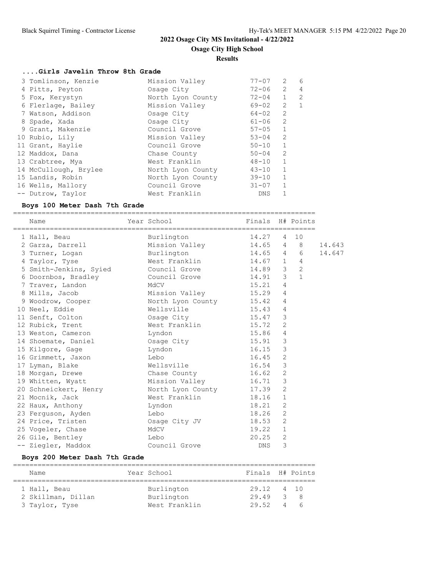# **Results**

### **....Girls Javelin Throw 8th Grade**

| 3 Tomlinson, Kenzie   | Mission Valley    | $77 - 07$  | $\mathcal{L}$  | 6              |
|-----------------------|-------------------|------------|----------------|----------------|
| 4 Pitts, Peyton       | Osage City        | $72 - 06$  | $\mathcal{L}$  | $\overline{4}$ |
| 5 Fox, Kerystyn       | North Lyon County | $72 - 04$  | $\mathbf{1}$   | $\mathcal{L}$  |
| 6 Flerlage, Bailey    | Mission Valley    | 69-02      | 2              | $\mathbf{1}$   |
| 7 Watson, Addison     | Osage City        | 64-02      | $\overline{2}$ |                |
| 8 Spade, Xada         | Osage City        | 61-06      | $\overline{2}$ |                |
| 9 Grant, Makenzie     | Council Grove     | $57 - 05$  | $\mathbf 1$    |                |
| 10 Rubio, Lily        | Mission Valley    | $53 - 04$  | 2              |                |
| 11 Grant, Haylie      | Council Grove     | $50 - 10$  | $\mathbf{1}$   |                |
| 12 Maddox, Dana       | Chase County      | $50 - 04$  | 2              |                |
| 13 Crabtree, Mya      | West Franklin     | $48 - 10$  | $\mathbf{1}$   |                |
| 14 McCullough, Brylee | North Lyon County | $43 - 10$  | $\mathbf{1}$   |                |
| 15 Landis, Robin      | North Lyon County | $39 - 10$  | $\mathbf{1}$   |                |
| 16 Wells, Mallory     | Council Grove     | $31 - 07$  | $\mathbf{1}$   |                |
| -- Dutrow, Taylor     | West Franklin     | <b>DNS</b> |                |                |

#### **Boys 100 Meter Dash 7th Grade**

==========================================================================

| Name<br>================================== | Year School             | Finals     |                | H# Points           |        |
|--------------------------------------------|-------------------------|------------|----------------|---------------------|--------|
| 1 Hall, Beau                               | Burlington              | 14.27      | 4              | 10                  |        |
| 2 Garza, Darrell                           | Mission Valley          | 14.65      |                | -8<br>$4\degree$    | 14.643 |
| 3 Turner, Logan                            | Burlington              | 14.65      |                | 6<br>$\overline{4}$ | 14.647 |
| 4 Taylor, Tyse                             | West Franklin           | $14.67$ 1  |                | 4                   |        |
| 5 Smith-Jenkins, Syied                     | Council Grove           | 14.89      | $\mathcal{B}$  | 2                   |        |
| 6 Doornbos, Bradley                        | Council Grove           | 14.91      | 3              | $\overline{1}$      |        |
| 7 Traver, Landon                           | MdCV                    | 15.21      | $\overline{4}$ |                     |        |
| 8 Mills, Jacob                             | Mission Valley 15.29    |            | $\overline{4}$ |                     |        |
| 9 Woodrow, Cooper                          | North Lyon County 15.42 |            | $\overline{4}$ |                     |        |
| 10 Neel, Eddie                             | Wellsville              | 15.43      | 4              |                     |        |
| 11 Senft, Colton                           | Osage City              | 15.47      | 3              |                     |        |
| 12 Rubick, Trent                           | West Franklin           | 15.72      | $\overline{2}$ |                     |        |
| 13 Weston, Cameron                         | Lyndon                  | 15.86      | $\overline{4}$ |                     |        |
| 14 Shoemate, Daniel                        | Osage City              | 15.91      | 3              |                     |        |
| 15 Kilgore, Gage                           | Lyndon                  | 16.15      | 3              |                     |        |
| 16 Grimmett, Jaxon                         | Lebo                    | 16.45      | $\mathbf{2}$   |                     |        |
| 17 Lyman, Blake                            | Wellsville              | 16.54      | 3              |                     |        |
| 18 Morgan, Drewe                           | Chase County            | 16.62      | $\overline{2}$ |                     |        |
| 19 Whitten, Wyatt                          | Mission Valley          | 16.71      | 3              |                     |        |
| 20 Schneickert, Henry                      | North Lyon County 17.39 |            | $\overline{c}$ |                     |        |
| 21 Mocnik, Jack                            | West Franklin           | 18.16      | $\mathbf{1}$   |                     |        |
| 22 Haux, Anthony                           | Lyndon                  | 18.21      | $\overline{2}$ |                     |        |
| 23 Ferguson, Ayden                         | Lebo                    | 18.26      | $\overline{2}$ |                     |        |
| 24 Price, Tristen                          | Osage City JV           | 18.53      | 2              |                     |        |
| 25 Vogeler, Chase                          | MdCV                    | 19.22      | $\mathbf{1}$   |                     |        |
| 26 Gile, Bentley                           | Lebo                    | 20.25      | $\overline{2}$ |                     |        |
| -- Ziegler, Maddox                         | Council Grove           | <b>DNS</b> | 3              |                     |        |

## **Boys 200 Meter Dash 7th Grade**

| Name               | Year School   | Finals H# Points |          |     |
|--------------------|---------------|------------------|----------|-----|
|                    |               |                  |          |     |
| 1 Hall, Beau       | Burlington    | 29.12 4 10       |          |     |
| 2 Skillman, Dillan | Burlington    | 29.49            |          | 3 8 |
| 3 Taylor, Tyse     | West Franklin | 29.52            | $\Delta$ | - 6 |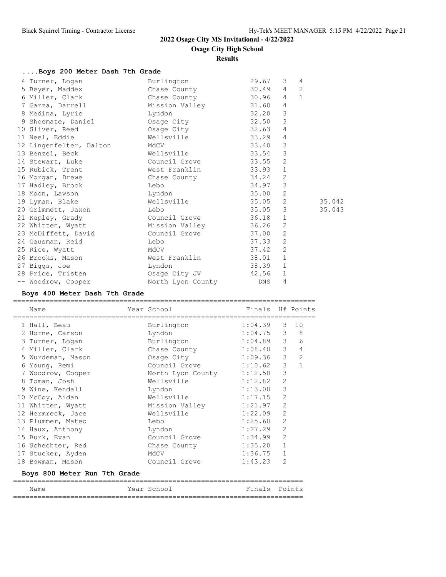# **Osage City High School**

**Results**

|  | Boys 200 Meter Dash 7th Grade |  |  |  |  |  |
|--|-------------------------------|--|--|--|--|--|
|--|-------------------------------|--|--|--|--|--|

| 2            |
|--------------|
|              |
| $\mathbf{1}$ |
|              |
|              |
|              |
|              |
|              |
|              |
|              |
|              |
|              |
|              |
|              |
|              |
| 35.042       |
| 35.043       |
|              |
|              |
|              |
|              |
|              |
|              |
|              |
|              |
|              |
|              |

### **Boys 400 Meter Dash 7th Grade**

| Name                         | Year School       | Finals H# Points |                |                  |
|------------------------------|-------------------|------------------|----------------|------------------|
| 1 Hall, Beau                 | Burlington        | 1:04.39          | $\mathcal{E}$  | 10               |
| 2 Horne, Carson              | Lyndon            | 1:04.75          |                | $3 \quad 8$      |
| 3 Turner, Logan              | Burlington        | 1:04.89          |                | $3^{\circ}$<br>6 |
| 4 Miller, Clark              | Chase County      | 1:08.40          | $\mathcal{S}$  | $\overline{4}$   |
| 5 Wurdeman, Mason            | Osage City        | 1:09.36          | $\mathcal{S}$  | $\overline{2}$   |
| 6 Young, Remi                | Council Grove     | 1:10.62          | 3              | $\mathbf{1}$     |
| 7 Woodrow, Cooper            | North Lyon County | 1:12.50          | 3              |                  |
| 8 Toman, Josh                | Wellsville        | 1:12.82          | $\overline{c}$ |                  |
| 9 Wine, Kendall              | Lyndon            | 1:13.00          | 3              |                  |
| 10 McCoy, Aidan              | Wellsville        | 1:17.15          | $\overline{2}$ |                  |
| 11 Whitten, Wyatt            | Mission Valley    | 1:21.97          | $\overline{2}$ |                  |
| 12 Hermreck, Jace            | Wellsville        | 1:22.09          | $\overline{2}$ |                  |
| 13 Plummer, Mateo            | Lebo              | 1:25.60          | $\overline{2}$ |                  |
| 14 Haux, Anthony             | Lyndon            | 1:27.29          | $\overline{2}$ |                  |
| 15 Burk, Evan                | Council Grove     | 1:34.99          | $\overline{2}$ |                  |
| 16 Schechter, Red            | Chase County      | 1:35.20          | $\mathbf{1}$   |                  |
| 17 Stucker, Ayden            | MdCV              | 1:36.75          | $\mathbf{1}$   |                  |
| 18 Bowman, Mason             | Council Grove     | 1:43.23          | $\overline{2}$ |                  |
| Boys 800 Meter Run 7th Grade |                   |                  |                |                  |

| Name | Year<br>School | Fina <sup>:</sup><br>$\mathbf{C}$<br>----- | - Po- |
|------|----------------|--------------------------------------------|-------|
|      |                |                                            |       |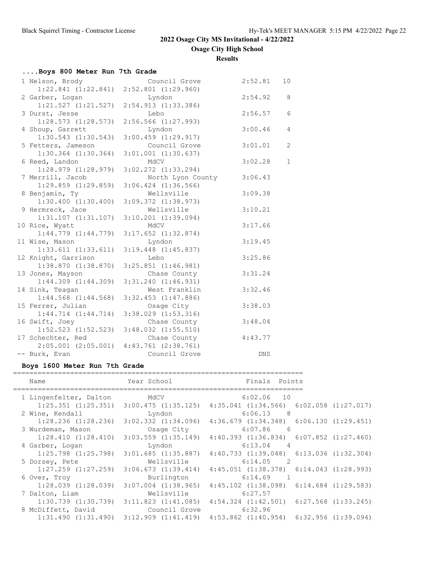**Osage City High School**

**Results**

| Boys 800 Meter Run 7th Grade |                         |            |                |
|------------------------------|-------------------------|------------|----------------|
| 1 Nelson, Brody              | Council Grove           | 2:52.81    | 10             |
| $1:22.841$ $(1:22.841)$      | $2:52.801$ $(1:29.960)$ |            |                |
| 2 Garber, Logan              | Lyndon                  | 2:54.92    | 8              |
| $1:21.527$ $(1:21.527)$      | 2:54.913 (1:33.386)     |            |                |
| 3 Durst, Jesse               | Lebo                    | 2:56.57    | 6              |
| $1:28.573$ $(1:28.573)$      | $2:56.566$ $(1:27.993)$ |            |                |
| 4 Shoup, Garrett             | Lyndon                  | 3:00.46    | $\overline{4}$ |
| $1:30.543$ $(1:30.543)$      | $3:00.459$ $(1:29.917)$ |            |                |
| 5 Fetters, Jameson           | Council Grove           | 3:01.01    | 2              |
| $1:30.364$ $(1:30.364)$      | $3:01.001$ $(1:30.637)$ |            |                |
| 6 Reed, Landon               | MdCV                    | 3:02.28    | $\mathbf{1}$   |
| $1:28.979$ $(1:28.979)$      | $3:02.272$ $(1:33.294)$ |            |                |
| 7 Merrill, Jacob             | North Lyon County       | 3:06.43    |                |
| $1:29.859$ $(1:29.859)$      | $3:06.424$ $(1:36.566)$ |            |                |
| 8 Benjamin, Ty               | Wellsville              | 3:09.38    |                |
| $1:30.400$ $(1:30.400)$      | $3:09.372$ $(1:38.973)$ |            |                |
| 9 Hermreck, Jace             | Wellsville              | 3:10.21    |                |
| $1:31.107$ $(1:31.107)$      | $3:10.201$ $(1:39.094)$ |            |                |
| 10 Rice, Wyatt               | MdCV                    | 3:17.66    |                |
| $1:44.779$ $(1:44.779)$      | $3:17.652$ $(1:32.874)$ |            |                |
| 11 Wise, Mason               | Lyndon                  | 3:19.45    |                |
| 1:33.611(1:33.611)           | $3:19.448$ $(1:45.837)$ |            |                |
| 12 Knight, Garrison          | Lebo                    | 3:25.86    |                |
| $1:38.870$ $(1:38.870)$      | $3:25.851$ $(1:46.981)$ |            |                |
| 13 Jones, Mayson             | Chase County            | 3:31.24    |                |
| $1:44.309$ $(1:44.309)$      | $3:31.240$ $(1:46.931)$ |            |                |
| 14 Sink, Teagan              | West Franklin           | 3:32.46    |                |
| $1:44.568$ $(1:44.568)$      | $3:32.453$ $(1:47.886)$ |            |                |
| 15 Ferrer, Julian            | Osage City              | 3:38.03    |                |
| $1:44.714$ $(1:44.714)$      | $3:38.029$ $(1:53.316)$ |            |                |
| 16 Swift, Joey               | Chase County            | 3:48.04    |                |
| $1:52.523$ $(1:52.523)$      | $3:48.032$ $(1:55.510)$ |            |                |
| 17 Schechter, Red            | Chase County            | 4:43.77    |                |
| $2:05.001$ $(2:05.001)$      | $4:43.761$ $(2:38.761)$ |            |                |
| -- Burk, Evan                | Council Grove           | <b>DNS</b> |                |

## **Boys 1600 Meter Run 7th Grade**

| Year School<br>Name |                         |                         | Finals Points                                   |  |
|---------------------|-------------------------|-------------------------|-------------------------------------------------|--|
|                     | 1 Lingenfelter, Dalton  | MdCV                    | $6:02.06$ 10                                    |  |
|                     | $1:25.351$ $(1:25.351)$ | $3:00.475$ $(1:35.125)$ | $4:35.041$ $(1:34.566)$ $6:02.058$ $(1:27.017)$ |  |
|                     | 2 Wine, Kendall         | Lyndon                  | 6:06.13<br>8                                    |  |
|                     | $1:28.236$ $(1:28.236)$ | $3:02.332$ $(1:34.096)$ | $4:36.679$ $(1:34.348)$ $6:06.130$ $(1:29.451)$ |  |
|                     | 3 Wurdeman, Mason       | Osaqe City              | 6:07.86<br>- 6                                  |  |
|                     | 1:28.410(1:28.410)      | $3:03.559$ $(1:35.149)$ | $4:40.393$ $(1:36.834)$ $6:07.852$ $(1:27.460)$ |  |
|                     | 4 Garber, Logan         | Lyndon                  | 6:13.04<br>$\overline{4}$                       |  |
|                     | $1:25.798$ $(1:25.798)$ | $3:01.685$ $(1:35.887)$ | $4:40.733$ $(1:39.048)$ $6:13.036$ $(1:32.304)$ |  |
|                     | 5 Dorsey, Pete          | Wellsville              | 6:14.05<br>$\overline{2}$                       |  |
|                     | $1:27.259$ $(1:27.259)$ | $3:06.673$ $(1:39.414)$ | $4:45.051$ $(1:38.378)$ $6:14.043$ $(1:28.993)$ |  |
|                     | 6 Over, Troy            | Burlington              | 6:14.69                                         |  |
|                     | $1:28.039$ $(1:28.039)$ | $3:07.004$ $(1:38.965)$ | $4:45.102$ $(1:38.098)$ $6:14.684$ $(1:29.583)$ |  |
|                     | 7 Dalton, Liam          | Wellsville              | 6:27.57                                         |  |
|                     | $1:30.739$ $(1:30.739)$ | $3:11.823$ $(1:41.085)$ | $4:54.324$ $(1:42.501)$ $6:27.568$ $(1:33.245)$ |  |
|                     | 8 McDiffett, David      | Council Grove           | 6:32.96                                         |  |
|                     | 1:31.490(1:31.490)      | $3:12.909$ $(1:41.419)$ | $4:53.862$ $(1:40.954)$ $6:32.956$ $(1:39.094)$ |  |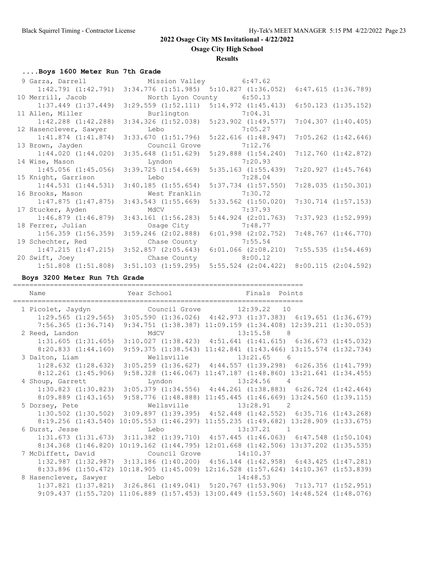**Osage City High School**

**Results**

### **....Boys 1600 Meter Run 7th Grade**

| 9 Garza, Darrell Mission Valley 6:47.62         |                                                                                                                       |                                                 |                         |
|-------------------------------------------------|-----------------------------------------------------------------------------------------------------------------------|-------------------------------------------------|-------------------------|
|                                                 | $1:42.791$ $(1:42.791)$ $3:34.776$ $(1:51.985)$ $5:10.827$ $(1:36.052)$                                               |                                                 | 6:47.615(1:36.789)      |
| 10 Merrill, Jacob                               | North Lyon County 6:50.13                                                                                             |                                                 |                         |
|                                                 | $1:37.449$ $(1:37.449)$ $3:29.559$ $(1:52.111)$ $5:14.972$ $(1:45.413)$                                               |                                                 | $6:50.123$ $(1:35.152)$ |
| 11 Allen, Miller                                | Burlington 7:04.31                                                                                                    |                                                 |                         |
|                                                 | 1:42.288 (1:42.288) 3:34.326 (1:52.038) 5:23.902 (1:49.577)                                                           |                                                 | $7:04.307$ $(1:40.405)$ |
| 12 Hasenclever, Sawyer                          | Lebo 7:05.27                                                                                                          |                                                 |                         |
|                                                 | $1:41.874$ $(1:41.874)$ $3:33.670$ $(1:51.796)$ $5:22.616$ $(1:48.947)$                                               |                                                 | $7:05.262$ $(1:42.646)$ |
| 13 Brown, Jayden Council Grove 7:12.76          |                                                                                                                       |                                                 |                         |
| 1:44.020(1:44.020)                              | $3:35.648$ $(1:51.629)$ $5:29.888$ $(1:54.240)$                                                                       |                                                 | 7:12.760(1:42.872)      |
| 14 Wise, Mason                                  | Lyndon 7:20.93                                                                                                        |                                                 |                         |
| $1:45.056$ $(1:45.056)$                         | $3:39.725$ $(1:54.669)$ $5:35.163$ $(1:55.439)$                                                                       |                                                 | 7:20.927 (1:45.764)     |
| 15 Knight, Garrison                             | <u>Lebo de la contrada de la contrada de la contrada de la contrada de la contrada de la contrada de la contrada </u> | 7:28.04                                         |                         |
| $1:44.531$ $(1:44.531)$                         | $3:40.185$ $(1:55.654)$ $5:37.734$ $(1:57.550)$                                                                       |                                                 | 7:28.035(1:50.301)      |
| 16 Brooks, Mason                                | West Franklin                                                                                                         | 7:30.72                                         |                         |
| $1:47.875$ $(1:47.875)$ $3:43.543$ $(1:55.669)$ |                                                                                                                       | $5:33.562$ $(1:50.020)$                         | $7:30.714$ $(1:57.153)$ |
| 17 Stucker, Ayden                               | MdCV MONTE                                                                                                            | 7:37.93                                         |                         |
| $1:46.879$ $(1:46.879)$                         | $3:43.161$ $(1:56.283)$ $5:44.924$ $(2:01.763)$                                                                       |                                                 | $7:37.923$ $(1:52.999)$ |
| 18 Ferrer, Julian                               | Osage City 7:48.77                                                                                                    |                                                 |                         |
|                                                 | $1:56.359$ $(1:56.359)$ $3:59.246$ $(2:02.888)$ $6:01.998$ $(2:02.752)$                                               |                                                 | 7:48.767 (1:46.770)     |
| 19 Schechter, Red                               | Chase County 7:55.54                                                                                                  |                                                 |                         |
|                                                 | $1:47.215$ $(1:47.215)$ $3:52.857$ $(2:05.643)$ $6:01.066$ $(2:08.210)$ $7:55.535$ $(1:54.469)$                       |                                                 |                         |
| 20 Swift, Joey Chase County 8:00.12             |                                                                                                                       |                                                 |                         |
|                                                 | $1:51.808$ $(1:51.808)$ $3:51.103$ $(1:59.295)$                                                                       | $5:55.524$ $(2:04.422)$ $8:00.115$ $(2:04.592)$ |                         |

#### **Boys 3200 Meter Run 7th Grade**

======================================================================= Name **The Year School** Finals Points ======================================================================= 1 Picolet, Jaydyn Council Grove 12:39.22 10 1:29.565 (1:29.565) 3:05.590 (1:36.026) 4:42.973 (1:37.383) 6:19.651 (1:36.679) 7:56.365 (1:36.714) 9:34.751 (1:38.387) 11:09.159 (1:34.408) 12:39.211 (1:30.053) 2 Reed, Landon MdCV 13:15.58 8 1:31.605 (1:31.605) 3:10.027 (1:38.423) 4:51.641 (1:41.615) 6:36.673 (1:45.032) 8:20.833 (1:44.160) 9:59.375 (1:38.543) 11:42.841 (1:43.466) 13:15.574 (1:32.734) 3 Dalton, Liam Wellsville 13:21.65 6 1:28.632 (1:28.632) 3:05.259 (1:36.627) 4:44.557 (1:39.298) 6:26.356 (1:41.799) 8:12.261 (1:45.906) 9:58.328 (1:46.067) 11:47.187 (1:48.860) 13:21.641 (1:34.455) 4 Shoup, Garrett Lyndon Lyndon 13:24.56 4 1:30.823 (1:30.823) 3:05.379 (1:34.556) 4:44.261 (1:38.883) 6:26.724 (1:42.464) 8:09.889 (1:43.165) 9:58.776 (1:48.888) 11:45.445 (1:46.669) 13:24.560 (1:39.115) 5 Dorsey, Pete Wellsville 13:28.91 2 1:30.502 (1:30.502) 3:09.897 (1:39.395) 4:52.448 (1:42.552) 6:35.716 (1:43.268) 8:19.256 (1:43.540) 10:05.553 (1:46.297) 11:55.235 (1:49.682) 13:28.909 (1:33.675) 6 Durst, Jesse Lebo 13:37.21 1 1:31.673 (1:31.673) 3:11.382 (1:39.710) 4:57.445 (1:46.063) 6:47.548 (1:50.104) 8:34.368 (1:46.820) 10:19.162 (1:44.795) 12:01.668 (1:42.506) 13:37.202 (1:35.535) 7 McDiffett, David Council Grove 14:10.37 1:32.987 (1:32.987) 3:13.186 (1:40.200) 4:56.144 (1:42.958) 6:43.425 (1:47.281) 8:33.896 (1:50.472) 10:18.905 (1:45.009) 12:16.528 (1:57.624) 14:10.367 (1:53.839) 8 Hasenclever, Sawyer Lebo 14:48.53 1:37.821 (1:37.821) 3:26.861 (1:49.041) 5:20.767 (1:53.906) 7:13.717 (1:52.951) 9:09.437 (1:55.720) 11:06.889 (1:57.453) 13:00.449 (1:53.560) 14:48.524 (1:48.076)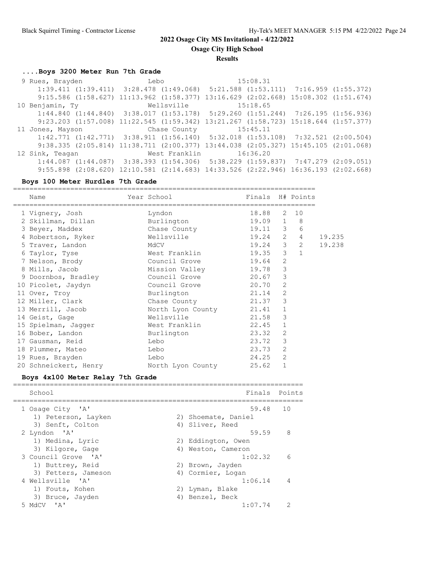**Osage City High School**

**Results**

# **....Boys 3200 Meter Run 7th Grade**

|                                        |  | $1:39.411$ $(1:39.411)$ $3:28.478$ $(1:49.068)$ $5:21.588$ $(1:53.111)$ $7:16.959$ $(1:55.372)$ |          |  |
|----------------------------------------|--|-------------------------------------------------------------------------------------------------|----------|--|
|                                        |  | 9:15.586 (1:58.627) 11:13.962 (1:58.377) 13:16.629 (2:02.668) 15:08.302 (1:51.674)              |          |  |
| 10 Benjamin, Ty                        |  | Wellsville                                                                                      | 15:18.65 |  |
|                                        |  | $1:44.840$ $(1:44.840)$ $3:38.017$ $(1:53.178)$ $5:29.260$ $(1:51.244)$ $7:26.195$ $(1:56.936)$ |          |  |
|                                        |  | 9:23.203 (1:57.008) 11:22.545 (1:59.342) 13:21.267 (1:58.723) 15:18.644 (1:57.377)              |          |  |
|                                        |  |                                                                                                 |          |  |
| 11 Jones, Mayson Chase County 15:45.11 |  |                                                                                                 |          |  |
|                                        |  | $1:42.771$ $(1:42.771)$ $3:38.911$ $(1:56.140)$ $5:32.018$ $(1:53.108)$ $7:32.521$ $(2:00.504)$ |          |  |
|                                        |  | 9:38.335 (2:05.814) 11:38.711 (2:00.377) 13:44.038 (2:05.327) 15:45.105 (2:01.068)              |          |  |
| 12 Sink, Teagan                        |  | West Franklin                                                                                   | 16:36.20 |  |
|                                        |  | $1:44.087$ $(1:44.087)$ $3:38.393$ $(1:54.306)$ $5:38.229$ $(1:59.837)$ $7:47.279$ $(2:09.051)$ |          |  |

## **Boys 100 Meter Hurdles 7th Grade**

| Name                  | Year School             | Finals H# Points |                |                |        |
|-----------------------|-------------------------|------------------|----------------|----------------|--------|
| 1 Vignery, Josh       | Lyndon                  | 18.88 2 10       |                |                |        |
| 2 Skillman, Dillan    | Burlington              | $19.09$ 1        |                | $_{\rm 8}$     |        |
| 3 Beyer, Maddex       | Chase County            | 19.11 3          |                | 6              |        |
| 4 Robertson, Ryker    | Wellsville              | 19.24 2          |                | $\overline{4}$ | 19.235 |
| 5 Traver, Landon      | MACV                    | $19.24$ 3 2      |                |                | 19.238 |
| 6 Taylor, Tyse        | West Franklin           | $19.35$ 3 1      |                |                |        |
| 7 Nelson, Brody       | Council Grove           | 19.64            | $\overline{2}$ |                |        |
| 8 Mills, Jacob        | Mission Valley          | 19.78            | $\mathcal{S}$  |                |        |
| 9 Doornbos, Bradley   | Council Grove           | 20.67            | 3              |                |        |
| 10 Picolet, Jaydyn    | Council Grove           | 20.70            | 2              |                |        |
| 11 Over, Troy         | Burlington              | 21.14            | $\overline{2}$ |                |        |
| 12 Miller, Clark      | Chase County            | 21.37            | $\mathcal{S}$  |                |        |
| 13 Merrill, Jacob     | North Lyon County 21.41 |                  | 1              |                |        |
| 14 Geist, Gage        | Wellsville<br>21.58     |                  | $\mathcal{E}$  |                |        |
| 15 Spielman, Jagger   | West Franklin           | 22.45            | $\mathbf{1}$   |                |        |
| 16 Bober, Landon      | Burlington              | 23.32            | $\overline{2}$ |                |        |
| 17 Gausman, Reid      | Lebo                    | 23.72            | 3              |                |        |
| 18 Plummer, Mateo     | Lebo                    | 23.73            | 2              |                |        |
| 19 Rues, Brayden      | Lebo                    | 24.25            | 2              |                |        |
| 20 Schneickert, Henry | North Lyon County       | 25.62            | $\mathbf{1}$   |                |        |

## **Boys 4x100 Meter Relay 7th Grade**

| School              |                     | Finals Points  |
|---------------------|---------------------|----------------|
| 1 Osage City 'A'    | 59.48               | 10             |
| 1) Peterson, Layken | 2) Shoemate, Daniel |                |
| 3) Senft, Colton    | 4) Sliver, Reed     |                |
| 2 Lyndon 'A'        | 59.59               | 8              |
| 1) Medina, Lyric    | 2) Eddington, Owen  |                |
| 3) Kilgore, Gage    | 4) Weston, Cameron  |                |
| 3 Council Grove 'A' | 1:02.32             | - 6            |
| 1) Buttrey, Reid    | 2) Brown, Jayden    |                |
| 3) Fetters, Jameson | 4) Cormier, Logan   |                |
| 4 Wellsville 'A'    | 1:06.14             | $\overline{4}$ |
| 1) Fouts, Kohen     | 2) Lyman, Blake     |                |
| 3) Bruce, Jayden    | 4) Benzel, Beck     |                |
| 5 MdCV<br>י בי      | 1:07.74             | $\mathcal{P}$  |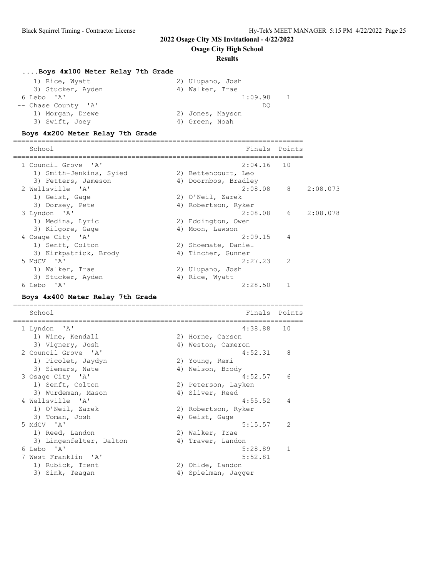**Osage City High School**

### **Results**

# **....Boys 4x100 Meter Relay 7th Grade**

| 1) Rice, Wyatt      | 2) Ulupano, Josh |
|---------------------|------------------|
| 3) Stucker, Ayden   | 4) Walker, Trae  |
| 6 Lebo 'A'          | 1:09.98          |
| -- Chase County 'A' | DO               |
| 1) Morgan, Drewe    | 2) Jones, Mayson |
| 3) Swift, Joey      | 4) Green, Noah   |

## **Boys 4x200 Meter Relay 7th Grade**

| School                              |    | Finals Points        |                |          |
|-------------------------------------|----|----------------------|----------------|----------|
| 1 Council Grove 'A'                 |    | $2:04.16$ 10         |                |          |
| 1) Smith-Jenkins, Syied             |    | 2) Bettencourt, Leo  |                |          |
| 3) Fetters, Jameson                 |    | 4) Doornbos, Bradley |                |          |
| 2 Wellsville 'A'                    |    | $2:08.08$ 8          |                | 2:08.073 |
| 1) Geist, Gage                      |    | 2) O'Neil, Zarek     |                |          |
| 3) Dorsey, Pete                     |    | 4) Robertson, Ryker  |                |          |
| 3 Lyndon 'A'                        |    | $2:08.08$ 6          |                | 2:08.078 |
| 1) Medina, Lyric                    |    | 2) Eddington, Owen   |                |          |
| 3) Kilgore, Gage                    |    | 4) Moon, Lawson      |                |          |
| 4 Osage City 'A'                    |    | 2:09.15              | $\overline{4}$ |          |
| 1) Senft, Colton                    |    | 2) Shoemate, Daniel  |                |          |
| 3) Kirkpatrick, Brody               | 4) | Tincher, Gunner      |                |          |
| 5 MdCV 'A'                          |    | 2:27.23              | $\mathcal{L}$  |          |
| 1) Walker, Trae                     |    | 2) Ulupano, Josh     |                |          |
| 3) Stucker, Ayden                   | 4) | Rice, Wyatt          |                |          |
| $^{\prime}$ A $^{\prime}$<br>6 Lebo |    | 2:28.50              |                |          |
|                                     |    |                      |                |          |

## **Boys 4x400 Meter Relay 7th Grade**

| School                  | Finals              | Points         |
|-------------------------|---------------------|----------------|
| 1 Lyndon 'A'            | 4:38.88             | 10             |
| 1) Wine, Kendall        | 2) Horne, Carson    |                |
| 3) Vignery, Josh        | 4) Weston, Cameron  |                |
| 2 Council Grove 'A'     | 4:52.31             | 8              |
| 1) Picolet, Jaydyn      | 2) Young, Remi      |                |
| 3) Siemars, Nate        | 4) Nelson, Brody    |                |
| 3 Osage City 'A'        | 4:52.57             | 6              |
| 1) Senft, Colton        | 2) Peterson, Layken |                |
| 3) Wurdeman, Mason      | 4) Sliver, Reed     |                |
| 4 Wellsville 'A'        | 4:55.52             | $\overline{4}$ |
| 1) O'Neil, Zarek        | 2) Robertson, Ryker |                |
| 3) Toman, Josh          | 4) Geist, Gage      |                |
| 5 MdCV 'A'              | 5:15.57             | $\overline{2}$ |
| 1) Reed, Landon         | 2) Walker, Trae     |                |
| 3) Lingenfelter, Dalton | 4) Traver, Landon   |                |
| 6 Lebo 'A'              | 5:28.89             |                |
| 7 West Franklin 'A'     | 5:52.81             |                |
| 1) Rubick, Trent        | 2) Ohlde, Landon    |                |
| 3) Sink, Teagan         | 4) Spielman, Jagger |                |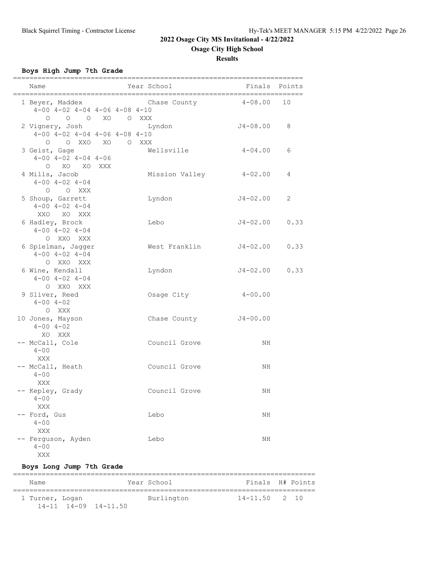**Osage City High School**

**Results**

## **Boys High Jump 7th Grade**

| Name                                                                           |  | Year School   |                |                      | Finals Points |
|--------------------------------------------------------------------------------|--|---------------|----------------|----------------------|---------------|
| 1 Beyer, Maddex<br>$4-00$ $4-02$ $4-04$ $4-06$ $4-08$ $4-10$                   |  |               |                | Chase County 4-08.00 | 10            |
| 0 0 0 XO 0 XXX<br>2 Vignery, Josh<br>$4-00$ $4-02$ $4-04$ $4-06$ $4-08$ $4-10$ |  | Lyndon        |                | J4-08.00             | 8             |
| O OXXO XO OXXX<br>3 Geist, Gage<br>$4-00$ $4-02$ $4-04$ $4-06$                 |  | Wellsville    |                | $4 - 04.00$          | 6             |
| O XO XO XXX<br>4 Mills, Jacob<br>$4 - 00$ $4 - 02$ $4 - 04$                    |  |               | Mission Valley | $4 - 02$ .00         | 4             |
| O O XXX<br>5 Shoup, Garrett<br>$4 - 00$ $4 - 02$ $4 - 04$                      |  | Lyndon        |                | $J4 - 02.00$         | 2             |
| XXO XO XXX<br>6 Hadley, Brock<br>$4 - 00$ $4 - 02$ $4 - 04$                    |  | Lebo          |                | J4-02.00             | 0.33          |
| O XXO XXX<br>6 Spielman, Jagger<br>$4 - 00$ $4 - 02$ $4 - 04$                  |  |               | West Franklin  | J4-02.00             | 0.33          |
| O XXO XXX<br>6 Wine, Kendall<br>$4 - 00$ $4 - 02$ $4 - 04$                     |  | Lyndon        |                | $J4 - 02.00$         | 0.33          |
| O XXO XXX<br>9 Sliver, Reed<br>$4 - 00$ $4 - 02$                               |  | Osage City    |                | $4 - 00.00$          |               |
| O XXX<br>10 Jones, Mayson<br>$4 - 00$ $4 - 02$                                 |  | Chase County  |                | $J4 - 00.00$         |               |
| XO XXX<br>-- McCall, Cole<br>$4 - 00$                                          |  | Council Grove |                | NH                   |               |
| XXX<br>-- McCall, Heath<br>$4 - 00$                                            |  | Council Grove |                | NH                   |               |
| XXX<br>-- Kepley, Grady<br>$4 - 00$                                            |  | Council Grove |                | NH                   |               |
| XXX<br>Ford, Gus<br>$4 - 00$                                                   |  | Lebo          |                | ΝH                   |               |
| XXX<br>Ferguson, Ayden<br>$4 - 00$<br>XXX                                      |  | Lebo          |                | ΝH                   |               |

## **Boys Long Jump 7th Grade**

| Name            |                            | Year School | Finals H# Points  |  |
|-----------------|----------------------------|-------------|-------------------|--|
| 1 Turner, Logan | $14-11$ $14-09$ $14-11.50$ | Burlington  | $14 - 11.50$ 2 10 |  |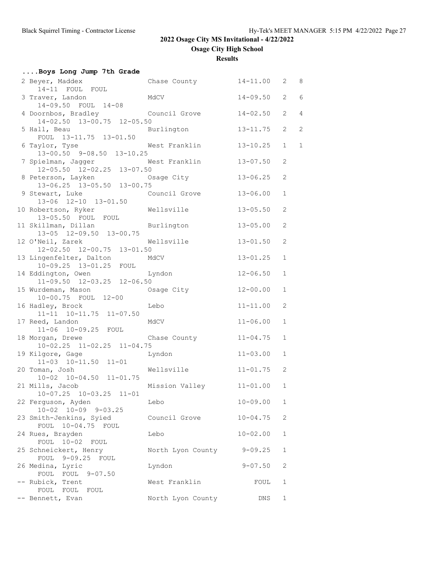**Osage City High School**

**Results**

| Boys Long Jump 7th Grade                                        |                         |              |                       |                |
|-----------------------------------------------------------------|-------------------------|--------------|-----------------------|----------------|
| 2 Beyer, Maddex<br>14-11 FOUL FOUL                              | Chase County 14-11.00   |              | 2                     | 8              |
| 3 Traver, Landon<br>14-09.50 FOUL 14-08                         | MdCV                    | $14 - 09.50$ | $\mathbf{2}^{\prime}$ | 6              |
| 4 Doornbos, Bradley Council Grove<br>14-02.50 13-00.75 12-05.50 |                         | $14 - 02.50$ | 2                     | $\overline{4}$ |
| 5 Hall, Beau<br>FOUL 13-11.75 13-01.50                          | Burlington              | $13 - 11.75$ | $\overline{2}$        | 2              |
| 6 Taylor, Tyse<br>$13-00.50$ $9-08.50$ $13-10.25$               | West Franklin           | $13 - 10.25$ | $\mathbf{1}$          | $\mathbf{1}$   |
| 7 Spielman, Jagger<br>$12-05.50$ $12-02.25$ $13-07.50$          | West Franklin           | $13 - 07.50$ | 2                     |                |
| 8 Peterson, Layken<br>13-06.25 13-05.50 13-00.75                | Osage City              | $13 - 06.25$ | 2                     |                |
| 9 Stewart, Luke<br>13-06 12-10 13-01.50                         | Council Grove           | $13 - 06.00$ | $\mathbf{1}$          |                |
| 10 Robertson, Ryker<br>13-05.50 FOUL FOUL                       | Wellsville              | $13 - 05.50$ | $\mathbf{2}$          |                |
| 11 Skillman, Dillan Burlington<br>13-05 12-09.50 13-00.75       |                         | $13 - 05.00$ | 2                     |                |
| 12 O'Neil, Zarek We<br>12-02.50 12-00.75 13-01.50               | Wellsville              | $13 - 01.50$ | 2                     |                |
| 13 Lingenfelter, Dalton<br>10-09.25 13-01.25 FOUL               | MdCV                    | $13 - 01.25$ | $\mathbf{1}$          |                |
| 14 Eddington, Owen<br>11-09.50 12-03.25 12-06.50                | Lyndon                  | $12 - 06.50$ | $\mathbf 1$           |                |
| 15 Wurdeman, Mason<br>10-00.75 FOUL 12-00                       | Osage City              | $12 - 00.00$ | $\mathbf{1}$          |                |
| 16 Hadley, Brock<br>11-11 10-11.75 11-07.50                     | Lebo                    | $11 - 11.00$ | $\mathbf{2}$          |                |
| 17 Reed, Landon<br>11-06 10-09.25 FOUL                          | MdCV                    | $11 - 06.00$ | $\mathbf{1}$          |                |
| 18 Morgan, Drewe<br>$10-02.25$ $11-02.25$ $11-04.75$            | Chase County            | $11 - 04.75$ | 1                     |                |
| 19 Kilgore, Gage<br>11-03 10-11.50 11-01                        | Lyndon                  | $11 - 03.00$ | $\mathbf{1}$          |                |
| 20 Toman, Josh<br>$10-02$ $10-04.50$ $11-01.75$                 | Wellsville              | $11 - 01.75$ | 2                     |                |
| 21 Mills, Jacob<br>10-07.25 10-03.25 11-01                      | Mission Valley 11-01.00 |              | 1                     |                |
| 22 Ferguson, Ayden<br>10-02 10-09 9-03.25                       | Lebo                    | $10 - 09.00$ | 1                     |                |
| 23 Smith-Jenkins, Syied<br>FOUL 10-04.75 FOUL                   | Council Grove           | $10 - 04.75$ | $\mathbf{2}$          |                |
| 24 Rues, Brayden                                                | Lebo                    | $10 - 02.00$ | $\mathbf{1}$          |                |
| FOUL 10-02 FOUL<br>25 Schneickert, Henry                        | North Lyon County       | $9 - 09.25$  | $\mathbf 1$           |                |
| FOUL 9-09.25 FOUL<br>26 Medina, Lyric                           | Lyndon                  | $9 - 07.50$  | 2                     |                |
| FOUL FOUL 9-07.50<br>-- Rubick, Trent                           | West Franklin           | FOUL         | 1                     |                |
| FOUL FOUL FOUL<br>-- Bennett, Evan                              | North Lyon County       | DNS          | 1                     |                |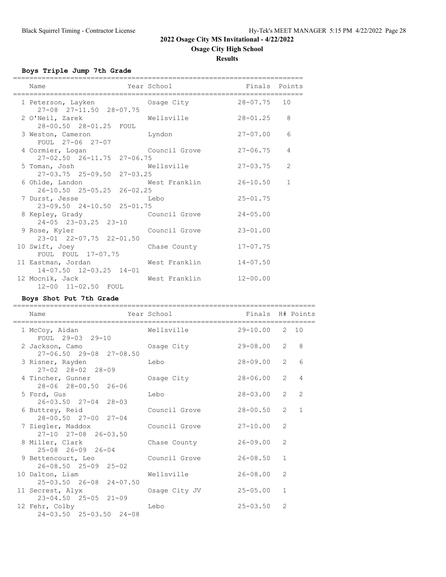### **Osage City High School**

**Results**

**Boys Triple Jump 7th Grade**

| Name<br>=====================                                            | Year School<br>------------------- | Finals Points |                |
|--------------------------------------------------------------------------|------------------------------------|---------------|----------------|
| 1 Peterson, Layken Coage City 28-07.75 10<br>27-08 27-11.50 28-07.75     |                                    |               |                |
| 2 O'Neil, Zarek Mellsville<br>28-00.50 28-01.25 FOUL                     |                                    | $28 - 01.25$  | 8              |
| 3 Weston, Cameron byndon<br>FOUL 27-06 27-07                             |                                    | $27 - 07.00$  | 6              |
| 4 Cormier, Logan Council Grove<br>$27 - 02.50$ $26 - 11.75$ $27 - 06.75$ |                                    | $27 - 06.75$  | $\overline{4}$ |
| 5 Toman, Josh<br>$27-03.75$ $25-09.50$ $27-03.25$                        | Wellsville                         | $27 - 03.75$  | $\mathcal{L}$  |
| 6 Ohlde, Landon<br>26-10.50 25-05.25 26-02.25                            | West Franklin                      | 26-10.50      | $\mathbf{1}$   |
| 7 Durst, Jesse Lebo<br>23-09.50 24-10.50 25-01.75                        |                                    | $25 - 01.75$  |                |
| 8 Kepley, Grady<br>24-05 23-03.25 23-10                                  | Council Grove                      | $24 - 05.00$  |                |
| 9 Rose, Kyler Council Grove<br>23-01 22-07.75 22-01.50                   |                                    | $23 - 01.00$  |                |
| 10 Swift, Joey<br>FOUL FOUL 17-07.75                                     | Chase County                       | $17 - 07.75$  |                |
| 11 Eastman, Jordan<br>14-07.50 12-03.25 14-01                            | West Franklin                      | $14 - 07.50$  |                |
| 12 Mocnik, Jack<br>12-00 11-02.50 FOUL                                   | West Franklin 12-00.00             |               |                |

**Boys Shot Put 7th Grade**

========================================================================== Name Year School Finals H# Points ========================================================================== 1 McCoy, Aidan Wellsville 29-10.00 2 10 FOUL 29-03 29-10 2 Jackson, Camo Osage City 29-08.00 2 8 27-06.50 29-08 27-08.50 3 Risner, Rayden Lebo 28-09.00 2 6 27-02 28-02 28-09<br>4 Tincher, Gunner 0 Sage City 28-06.00 2 4 28-06 28-00.50 26-06 5 Ford, Gus Lebo 28-03.00 2 2 26-03.50 27-04 28-03 6 Buttrey, Reid Council Grove 28-00.50 2 1 28-00.50 27-00 27-04 7 Ziegler, Maddox Council Grove 27-10.00 2 27-10 27-08 26-03.50<br>8 Miller, Clark  $\frac{1}{26-09.00}$  Chase County 26-09.00 2 25-08 26-09 26-04 9 Bettencourt, Leo Council Grove 26-08.50 1 26-08.50 25-09 25-02 10 Dalton, Liam Wellsville 26-08.00 2 25-03.50 26-08 24-07.50 11 Secrest, Alyx Osage City JV 25-05.00 1 23-04.50 25-05 21-09 12 Fehr, Colby Lebo 25-03.50 2 24-03.50 25-03.50 24-08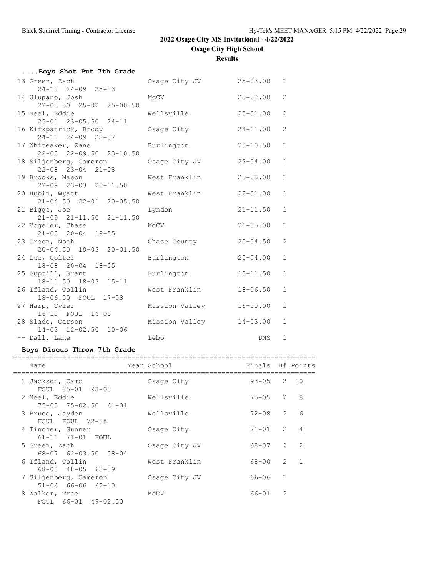# **Results**

| Boys Shot Put 7th Grade                    |                |              |              |
|--------------------------------------------|----------------|--------------|--------------|
| 13 Green, Zach                             | Osage City JV  | $25 - 03.00$ | $\mathbf{1}$ |
| $24-10$ $24-09$ $25-03$                    |                |              |              |
| 14 Ulupano, Josh                           | MdCV           | $25 - 02.00$ | 2            |
| 22-05.50 25-02 25-00.50                    |                |              |              |
| 15 Neel, Eddie                             | Wellsville     | $25 - 01.00$ | 2            |
| 25-01 23-05.50 24-11                       |                |              |              |
| 16 Kirkpatrick, Brody<br>24-11 24-09 22-07 | Osaqe City     | $24 - 11.00$ | 2            |
| 17 Whiteaker, Zane                         |                | $23 - 10.50$ | $\mathbf{1}$ |
| 22-05 22-09.50 23-10.50                    | Burlington     |              |              |
| 18 Siljenberg, Cameron                     | Osage City JV  | $23 - 04.00$ | $\mathbf{1}$ |
| $22 - 08$ $23 - 04$ $21 - 08$              |                |              |              |
| 19 Brooks, Mason                           | West Franklin  | $23 - 03.00$ | $\mathbf{1}$ |
| $22 - 09$ $23 - 03$ $20 - 11.50$           |                |              |              |
| 20 Hubin, Wyatt                            | West Franklin  | $22 - 01.00$ | $\mathbf{1}$ |
| 21-04.50 22-01 20-05.50                    |                |              |              |
| 21 Biggs, Joe                              | Lyndon         | $21 - 11.50$ | $\mathbf{1}$ |
| 21-09 21-11.50 21-11.50                    |                |              |              |
| 22 Vogeler, Chase                          | MdCV           | $21 - 05.00$ | $\mathbf{1}$ |
| $21 - 05$ $20 - 04$ $19 - 05$              |                |              |              |
| 23 Green, Noah                             | Chase County   | $20 - 04.50$ | 2            |
| 20-04.50 19-03 20-01.50                    |                |              |              |
| 24 Lee, Colter                             | Burlington     | $20 - 04.00$ | $\mathbf{1}$ |
| 18-08 20-04 18-05                          |                | $18 - 11.50$ | $\mathbf{1}$ |
| 25 Guptill, Grant<br>18-11.50 18-03 15-11  | Burlington     |              |              |
| 26 Ifland, Collin                          | West Franklin  | $18 - 06.50$ | $\mathbf{1}$ |
| 18-06.50 FOUL 17-08                        |                |              |              |
| 27 Harp, Tyler                             | Mission Valley | $16 - 10.00$ | $\mathbf{1}$ |
| 16-10 FOUL 16-00                           |                |              |              |
| 28 Slade, Carson                           | Mission Valley | $14 - 03.00$ | $\mathbf{1}$ |
| 14-03 12-02.50 10-06                       |                |              |              |
| -- Dall, Lane                              | Lebo           | <b>DNS</b>   | $\mathbf{1}$ |

# **Boys Discus Throw 7th Grade**

|   | Name                                                         | Year School   | Finals H# Points |                |                |
|---|--------------------------------------------------------------|---------------|------------------|----------------|----------------|
|   | 1 Jackson, Camo                                              | Osage City    | $93 - 05$ 2 10   |                |                |
|   | FOUL 85-01 93-05<br>2 Neel, Eddie<br>75-05 75-02.50 61-01    | Wellsville    | $75 - 05$ 2      |                | - 8            |
|   | 3 Bruce, Jayden<br>FOUL FOUL 72-08                           | Wellsville    | $72 - 08$ 2      |                | 6              |
|   | 4 Tincher, Gunner<br>61-11 71-01 FOUL                        | Osage City    | $71 - 01$        | $\overline{2}$ | $\overline{4}$ |
|   | 5 Green, Zach<br>68-07 62-03.50 58-04                        | Osage City JV | 68-07            | $\overline{2}$ | $\overline{2}$ |
|   | 6 Ifland, Collin<br>$68 - 00$ $48 - 05$ $63 - 09$            | West Franklin | 68-00            | $\overline{2}$ | $\overline{1}$ |
|   | 7 Siljenberg, Cameron                                        | Osage City JV | 66-06            | $\overline{1}$ |                |
| 8 | $51 - 06$ 66-06 62-10<br>Walker, Trae<br>FOUL 66-01 49-02.50 | MdCV          | $66 - 01$        | $\mathcal{L}$  |                |
|   |                                                              |               |                  |                |                |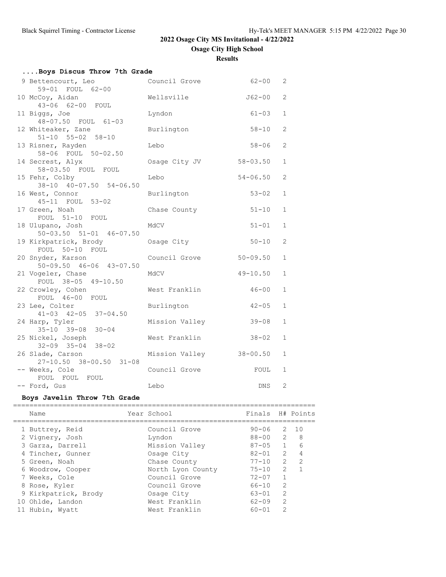**Osage City High School**

**Results**

| Boys Discus Throw 7th Grade                         |                |              |                |
|-----------------------------------------------------|----------------|--------------|----------------|
| 9 Bettencourt, Leo<br>59-01 FOUL 62-00              | Council Grove  | $62 - 00$    | 2              |
| 10 McCoy, Aidan<br>43-06 62-00 FOUL                 | Wellsville     | J62-00       | 2              |
| 11 Biggs, Joe<br>48-07.50 FOUL 61-03                | Lyndon         | $61 - 03$    | $\mathbf{1}$   |
| 12 Whiteaker, Zane<br>$51 - 10$ $55 - 02$ $58 - 10$ | Burlington     | $58 - 10$    | 2              |
| 13 Risner, Rayden<br>58-06 FOUL 50-02.50            | Lebo           | $58 - 06$    | $\overline{2}$ |
| 14 Secrest, Alyx<br>58-03.50 FOUL FOUL              | Osage City JV  | $58 - 03.50$ | $\mathbf{1}$   |
| 15 Fehr, Colby<br>38-10 40-07.50 54-06.50           | Lebo           | $54 - 06.50$ | $\overline{2}$ |
| 16 West, Connor<br>45-11 FOUL 53-02                 | Burlington     | $53 - 02$    | $\mathbf{1}$   |
| 17 Green, Noah<br>FOUL 51-10 FOUL                   | Chase County   | $51 - 10$    | $\mathbf{1}$   |
| 18 Ulupano, Josh<br>$50-03.50$ $51-01$ $46-07.50$   | MdCV           | $51 - 01$    | $\mathbf{1}$   |
| 19 Kirkpatrick, Brody<br>FOUL 50-10 FOUL            | Osage City     | $50 - 10$    | $\mathbf{2}$   |
| 20 Snyder, Karson<br>$50-09.50$ $46-06$ $43-07.50$  | Council Grove  | $50 - 09.50$ | $\mathbf{1}$   |
| 21 Vogeler, Chase<br>FOUL 38-05 49-10.50            | MdCV           | $49 - 10.50$ | $\mathbf{1}$   |
| 22 Crowley, Cohen<br>FOUL 46-00 FOUL                | West Franklin  | $46 - 00$    | $\mathbf{1}$   |
| 23 Lee, Colter<br>$41 - 03$ $42 - 05$ $37 - 04.50$  | Burlington     | $42 - 05$    | $\mathbf{1}$   |
| 24 Harp, Tyler<br>35-10 39-08 30-04                 | Mission Valley | $39 - 08$    | $\mathbf{1}$   |
| 25 Nickel, Joseph<br>$32 - 09$ $35 - 04$ $38 - 02$  | West Franklin  | $38 - 02$    | $\mathbf{1}$   |
| 26 Slade, Carson<br>27-10.50 38-00.50 31-08         | Mission Valley | $38 - 00.50$ | $\mathbf{1}$   |
| -- Weeks, Cole                                      | Council Grove  | FOUL         | 1              |
| FOUL FOUL FOUL<br>-- Ford, Gus                      | Lebo           | DNS          | 2              |

# **Boys Javelin Throw 7th Grade**

| Name                 | Year School       | Finals H# Points |                |               |
|----------------------|-------------------|------------------|----------------|---------------|
| 1 Buttrey, Reid      | Council Grove     | 90-06            |                | 2 10          |
| 2 Vignery, Josh      | Lyndon            | 88-00            | $\mathcal{L}$  | - 8           |
| 3 Garza, Darrell     | Mission Valley    | $87 - 05$        |                | 6             |
| 4 Tincher, Gunner    | Osage City        | $82 - 01$        | $\mathcal{L}$  | 4             |
| 5 Green, Noah        | Chase County      | $77 - 10$        | $\mathcal{P}$  | $\mathcal{P}$ |
| 6 Woodrow, Cooper    | North Lyon County | $75 - 10$        | $\mathcal{L}$  |               |
| 7 Weeks, Cole        | Council Grove     | $72 - 07$        |                |               |
| 8 Rose, Kyler        | Council Grove     | $66 - 10$        | $\mathcal{L}$  |               |
| 9 Kirkpatrick, Brody | Osage City        | $63 - 01$        | $\mathcal{L}$  |               |
| 10 Ohlde, Landon     | West Franklin     | $62 - 09$        | $\mathfrak{D}$ |               |
| 11 Hubin, Wyatt      | West Franklin     | $60 - 01$        | っ              |               |
|                      |                   |                  |                |               |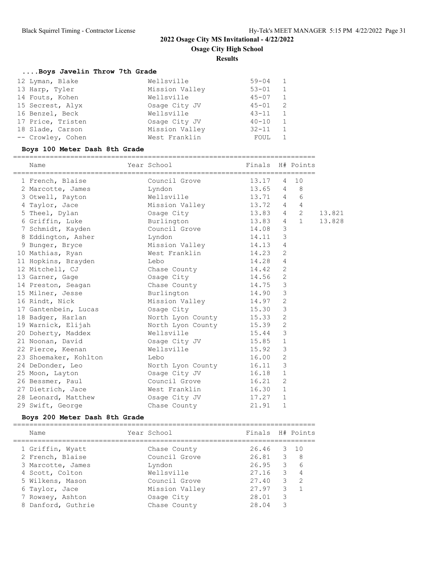**Osage City High School**

**Results**

# **....Boys Javelin Throw 7th Grade**

| 12 Lyman, Blake   | Wellsville     | $59 - 04$ | 1              |
|-------------------|----------------|-----------|----------------|
| 13 Harp, Tyler    | Mission Valley | $53 - 01$ | $\overline{1}$ |
| 14 Fouts, Kohen   | Wellsville     | $45 - 07$ | $\mathbf{1}$   |
| 15 Secrest, Alyx  | Osage City JV  | $45 - 01$ | -2             |
| 16 Benzel, Beck   | Wellsville     | $43 - 11$ | $\overline{1}$ |
| 17 Price, Tristen | Osage City JV  | $40 - 10$ | $\overline{1}$ |
| 18 Slade, Carson  | Mission Valley | $32 - 11$ |                |
| -- Crowley, Cohen | West Franklin  | FOUL      |                |

## **Boys 100 Meter Dash 8th Grade**

| Name                                     | Year School <b>Example 2</b> Finals H# Points |           |                |            |        |
|------------------------------------------|-----------------------------------------------|-----------|----------------|------------|--------|
| 1 French, Blaise                         | Council Grove 13.17                           |           | 4              | 10         |        |
| 2 Marcotte, James Lyndon                 |                                               | 13.65     | $4\degree$     | - 8        |        |
| 3 Otwell, Payton                         | Wellsville                                    | 13.71 4 6 |                |            |        |
| 4 Taylor, Jace                           | Mission Valley 13.72 4 4                      |           |                |            |        |
| 5 Theel, Dylan                           | Osage City<br>13.83                           |           |                | $4\quad 2$ | 13.821 |
| 6 Griffin, Luke Burlington 13.83 4 1     |                                               |           |                |            | 13.828 |
| 7 Schmidt, Kayden                        | Council Grove                                 | 14.08     | 3              |            |        |
| 8 Eddington, Asher                       | Lyndon                                        | 14.11     | 3              |            |        |
| 9 Bunger, Bryce                          | Mission Valley 14.13                          |           | $\overline{4}$ |            |        |
| 10 Mathias, Ryan                         | West Franklin                                 | 14.23     | $\overline{2}$ |            |        |
| 11 Hopkins, Brayden                      | Lebo                                          | 14.28     | $\overline{4}$ |            |        |
| 12 Mitchell, CJ                          | Chase County 14.42                            |           | 2              |            |        |
| 13 Garner, Gage                          | Osage City                                    | 14.56     | 2              |            |        |
| 14 Preston, Seagan                       | Chase County 14.75                            |           | $\mathcal{S}$  |            |        |
| 15 Milner, Jesse                         | Burlington                                    | 14.90     | $\mathcal{S}$  |            |        |
| 16 Rindt, Nick                           | Mission Valley 14.97                          |           | $\overline{2}$ |            |        |
| 17 Gantenbein, Lucas Cance City          | 15.30                                         |           | $\mathcal{S}$  |            |        |
| 18 Badger, Harlan                        | North Lyon County 15.33                       |           | $\overline{c}$ |            |        |
| 19 Warnick, Elijah                       | North Lyon County 15.39                       |           | $\overline{2}$ |            |        |
| 20 Doherty, Maddex                       | Wellsville<br>15.44                           |           | $\mathcal{S}$  |            |        |
| 21 Noonan, David                         | Osage City JV                                 | 15.85     | $\mathbf{1}$   |            |        |
| 22 Pierce, Keenan                        | Wellsville 15.92                              |           | 3              |            |        |
| 23 Shoemaker, Kohlton                    | Lebo                                          | 16.00     | 2              |            |        |
| 24 DeDonder, Leo                         | North Lyon County 16.11                       |           | $\mathcal{E}$  |            |        |
| 25 Moon, Layton                          | Osage City JV                                 | 16.18     | $\mathbf{1}$   |            |        |
| 26 Bessmer, Paul                         | Council Grove                                 | 16.21     | $\overline{2}$ |            |        |
| 27 Dietrich, Jace                        | West Franklin                                 | 16.30     | $\mathbf{1}$   |            |        |
| 28 Leonard, Matthew Cosage City JV 17.27 |                                               |           | $\mathbf{1}$   |            |        |
| 29 Swift, George                         | Chase County Chase                            | 21.91     | $\mathbf{1}$   |            |        |

## **Boys 200 Meter Dash 8th Grade**

| Name               | Year School    | Finals H# Points |   |                  |
|--------------------|----------------|------------------|---|------------------|
| 1 Griffin, Wyatt   | Chase County   | 26.46            |   | $3 \quad 10$     |
| 2 French, Blaise   | Council Grove  | 26.81            |   | $3 \quad 8$      |
| 3 Marcotte, James  | Lyndon         | 26.95            |   | 6<br>$3^{\circ}$ |
| 4 Scott, Colton    | Wellsville     | 27.16            | 3 | $\overline{4}$   |
| 5 Wilkens, Mason   | Council Grove  | 27.40            | 3 | $\overline{2}$   |
| 6 Taylor, Jace     | Mission Valley | 27.97            | 3 |                  |
| 7 Rowsey, Ashton   | Osage City     | 28.01            | 3 |                  |
| 8 Danford, Guthrie | Chase County   | 28.04            | 3 |                  |
|                    |                |                  |   |                  |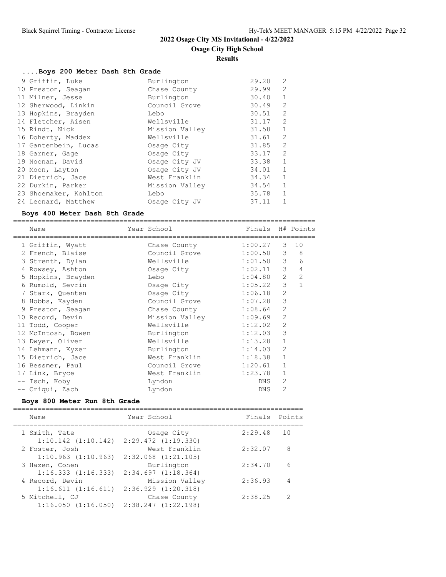**Results**

### **....Boys 200 Meter Dash 8th Grade**

| 9 Griffin, Luke       | Burlington     | 29.20 | 2              |
|-----------------------|----------------|-------|----------------|
| 10 Preston, Seagan    | Chase County   | 29.99 | $\overline{2}$ |
| 11 Milner, Jesse      | Burlington     | 30.40 | $\mathbf{1}$   |
| 12 Sherwood, Linkin   | Council Grove  | 30.49 | 2              |
| 13 Hopkins, Brayden   | Lebo           | 30.51 | 2              |
| 14 Fletcher, Aisen    | Wellsville     | 31.17 | 2              |
| 15 Rindt, Nick        | Mission Valley | 31.58 | $\mathbf{1}$   |
| 16 Doherty, Maddex    | Wellsville     | 31.61 | 2              |
| 17 Gantenbein, Lucas  | Osage City     | 31.85 | 2              |
| 18 Garner, Gage       | Osage City     | 33.17 | 2              |
| 19 Noonan, David      | Osage City JV  | 33.38 | $\mathbf{1}$   |
| 20 Moon, Layton       | Osage City JV  | 34.01 | $\mathbf{1}$   |
| 21 Dietrich, Jace     | West Franklin  | 34.34 | $\mathbf{1}$   |
| 22 Durkin, Parker     | Mission Valley | 34.54 | $\mathbf{1}$   |
| 23 Shoemaker, Kohlton | Lebo           | 35.78 | $\mathbf{1}$   |
| 24 Leonard, Matthew   | Osage City JV  | 37.11 |                |

#### **Boys 400 Meter Dash 8th Grade**

========================================================================== Name The Year School Finals H# Points ========================================================================== 1 Griffin, Wyatt Chase County 1:00.27 3 10 2 French, Blaise Council Grove 1:00.50 3 8 3 Strenth, Dylan Wellsville 1:01.50 3 6 4 Rowsey, Ashton Osage City 1:02.11 3 4 5 Hopkins, Brayden Lebo 1:04.80 2 2 6 Rumold, Sevrin Osage City 1:05.22 3 1 7 Stark, Quenten Osage City 1:06.18 2 8 Hobbs, Kayden Council Grove 1:07.28 3 9 Preston, Seagan Chase County 1:08.64 2 10 Record, Devin Mission Valley 1:09.69 2 11 Todd, Cooper Wellsville 1:12.02 2 12 McIntosh, Bowen Burlington 1:12.03 3 13 Dwyer, Oliver **Wellsville** 1:13.28 1 14 Lehmann, Kyzer Burlington 1:14.03 2 15 Dietrich, Jace West Franklin 1:18.38 1 16 Bessmer, Paul Council Grove 1:20.61 1 17 Link, Bryce Nest Franklin 1:23.78 1 -- Isch, Koby Lyndon DNS 2 -- Criqui, Zach Lyndon DNS 2

### **Boys 800 Meter Run 8th Grade**

| Name                                      | Year School                              | Finals Points |               |
|-------------------------------------------|------------------------------------------|---------------|---------------|
| 1 Smith, Tate<br>$1:10.142$ $(1:10.142)$  | Osage City<br>$2:29.472$ $(1:19.330)$    | 2:29.48       | 10            |
| 2 Foster, Josh<br>$1:10.963$ $(1:10.963)$ | West Franklin<br>$2:32.068$ $(1:21.105)$ | 2:32.07       | 8             |
| 3 Hazen, Cohen<br>1:16.333(1:16.333)      | Burlington<br>2:34.697(1:18.364)         | 2:34.70       | 6             |
| 4 Record, Devin<br>1:16.611(1:16.611)     | Mission Valley<br>2:36.929(1:20.318)     | 2:36.93       |               |
| 5 Mitchell, CJ<br>1:16.050(1:16.050)      | Chase County<br>$2:38.247$ $(1:22.198)$  | 2:38.25       | $\mathcal{P}$ |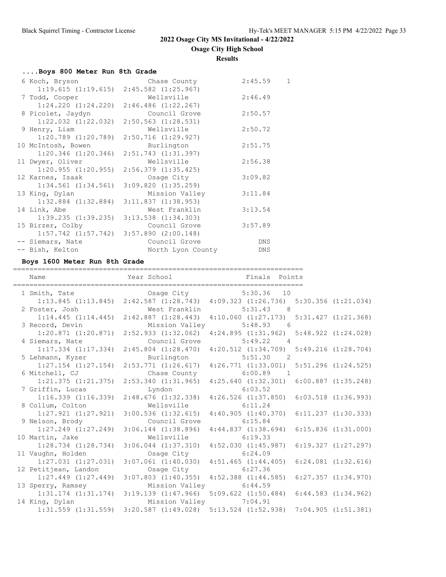**Osage City High School**

**Results**

| Boys 800 Meter Run 8th Grade |  |  |  |  |  |
|------------------------------|--|--|--|--|--|
|------------------------------|--|--|--|--|--|

| 6 Koch, Bryson          | Chase County                                    | 2:45.59 | $\mathbf{1}$ |
|-------------------------|-------------------------------------------------|---------|--------------|
|                         | $1:19.615$ $(1:19.615)$ $2:45.582$ $(1:25.967)$ |         |              |
| 7 Todd, Cooper          | Wellsville                                      | 2:46.49 |              |
| $1:24.220$ $(1:24.220)$ | $2:46.486$ $(1:22.267)$                         |         |              |
| 8 Picolet, Jaydyn       | Council Grove                                   | 2:50.57 |              |
|                         | $1:22.032$ $(1:22.032)$ $2:50.563$ $(1:28.531)$ |         |              |
| 9 Henry, Liam           | Wellsville                                      | 2:50.72 |              |
| $1:20.789$ $(1:20.789)$ | 2:50.716 (1:29.927)                             |         |              |
| 10 McIntosh, Bowen      | Burlington                                      | 2:51.75 |              |
|                         | $1:20.346$ $(1:20.346)$ $2:51.743$ $(1:31.397)$ |         |              |
| 11 Dwyer, Oliver        | Wellsville                                      | 2:56.38 |              |
| 1:20.955(1:20.955)      | 2:56.379 (1:35.425)                             |         |              |
| 12 Karnes, Isaak        | Osage City                                      | 3:09.82 |              |
|                         | $1:34.561$ $(1:34.561)$ $3:09.820$ $(1:35.259)$ |         |              |
| 13 King, Dylan          | Mission Valley                                  | 3:11.84 |              |
| $1:32.884$ $(1:32.884)$ | 3:11.837(1:38.953)                              |         |              |
| 14 Link, Abe            | West Franklin                                   | 3:13.54 |              |
|                         | $1:39.235$ $(1:39.235)$ $3:13.538$ $(1:34.303)$ |         |              |
| 15 Birzer, Colby        | Council Grove                                   | 3:57.89 |              |
|                         | $1:57.742$ $(1:57.742)$ $3:57.890$ $(2:00.148)$ |         |              |
| -- Siemars, Nate        | Council Grove                                   | DNS     |              |
| -- Bish, Kelton         | North Lyon County                               | DNS     |              |
|                         |                                                 |         |              |

## **Boys 1600 Meter Run 8th Grade**

| Name                    | Year School Search                                                                            | Finals Points                                               |                         |
|-------------------------|-----------------------------------------------------------------------------------------------|-------------------------------------------------------------|-------------------------|
| 1 Smith, Tate           | Osage City<br>1:13.845 (1:13.845) 2:42.587 (1:28.743) 4:09.323 (1:26.736) 5:30.356 (1:21.034) | $5:30.36$ 10                                                |                         |
| 2 Foster, Josh          |                                                                                               | West Franklin 5:31.43 8                                     |                         |
|                         | $1:14.445$ $(1:14.445)$ $2:42.887$ $(1:28.443)$                                               | $4:10.060$ $(1:27.173)$ $5:31.427$ $(1:21.368)$             |                         |
| 3 Record, Devin         | Mission Valley                                                                                | $5:48.93$ 6                                                 |                         |
|                         | $1:20.871$ $(1:20.871)$ $2:52.933$ $(1:32.062)$                                               | $4:24.895$ $(1:31.962)$ $5:48.922$ $(1:24.028)$             |                         |
| 4 Siemars, Nate         | Council Grove                                                                                 | $5:49.22$ 4                                                 |                         |
|                         | $1:17.334$ $(1:17.334)$ $2:45.804$ $(1:28.470)$                                               | $4:20.512$ $(1:34.709)$ $5:49.216$ $(1:28.704)$             |                         |
| 5 Lehmann, Kyzer        | Burlington                                                                                    | 5:51.30 2                                                   |                         |
|                         | 1:27.154 (1:27.154) 2:53.771 (1:26.617) 4:26.771 (1:33.001) 5:51.296 (1:24.525)               |                                                             |                         |
| 6 Mitchell, CJ          |                                                                                               | Chase County 6:00.89 1                                      |                         |
| $1:21.375$ $(1:21.375)$ |                                                                                               | 2:53.340 (1:31.965) 4:25.640 (1:32.301) 6:00.887 (1:35.248) |                         |
| 7 Griffin, Lucas        | Lyndon                                                                                        | 6:03.52                                                     |                         |
| $1:16.339$ $(1:16.339)$ | 2:48.676(1:32.338)                                                                            | $4:26.526$ $(1:37.850)$ $6:03.518$ $(1:36.993)$             |                         |
| 8 Collum, Colton        | Wellsville 6:11.24                                                                            |                                                             |                         |
| $1:27.921$ $(1:27.921)$ | $3:00.536$ $(1:32.615)$                                                                       | $4:40.905$ $(1:40.370)$ $6:11.237$ $(1:30.333)$             |                         |
| 9 Nelson, Brody         | Council Grove                                                                                 | 6:15.84                                                     |                         |
| $1:27.249$ $(1:27.249)$ | $3:06.144$ $(1:38.896)$ $4:44.837$ $(1:38.694)$                                               |                                                             | $6:15.836$ $(1:31.000)$ |
| 10 Martin, Jake         | Wellsville 6:19.33                                                                            |                                                             |                         |
| $1:28.734$ $(1:28.734)$ | $3:06.044$ $(1:37.310)$                                                                       | 4:52.030(1:45.987)                                          | 6:19.327(1:27.297)      |
| 11 Vaughn, Holden       | Osaqe City                                                                                    | 6:24.09                                                     |                         |
| $1:27.031$ $(1:27.031)$ | $3:07.061$ $(1:40.030)$ $4:51.465$ $(1:44.405)$                                               |                                                             | $6:24.081$ $(1:32.616)$ |
| 12 Petitjean, Landon    | Osage City 6:27.36                                                                            |                                                             |                         |
| $1:27.449$ $(1:27.449)$ | $3:07.803$ $(1:40.355)$ $4:52.388$ $(1:44.585)$                                               |                                                             | 6:27.357(1:34.970)      |
| 13 Sperry, Ramsey       | Mission Valley                                                                                | 6:44.59                                                     |                         |
|                         | 1:31.174 (1:31.174) 3:19.139 (1:47.966) 5:09.622 (1:50.484) 6:44.583 (1:34.962)               |                                                             |                         |
| 14 King, Dylan          |                                                                                               | Mission Valley 7:04.91                                      |                         |
|                         | 1:31.559 (1:31.559) 3:20.587 (1:49.028) 5:13.524 (1:52.938) 7:04.905 (1:51.381)               |                                                             |                         |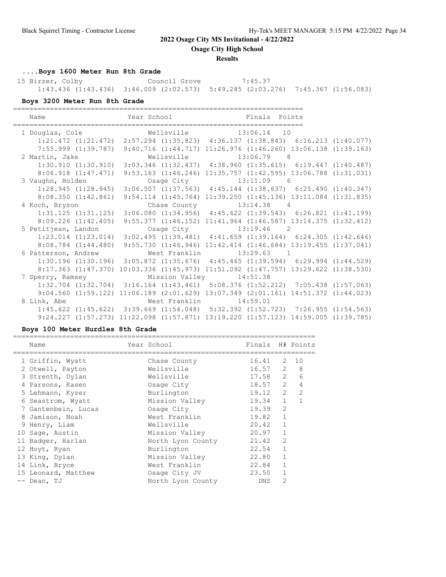**Osage City High School**

#### **Results**

# **....Boys 1600 Meter Run 8th Grade**

15 Birzer, Colby Council Grove 7:45.37 1:43.436 (1:43.436) 3:46.009 (2:02.573) 5:49.285 (2:03.276) 7:45.367 (1:56.083)

### **Boys 3200 Meter Run 8th Grade**

| Name                    | Year School and the School                                                                      | Finals Points                                                             |                                                                 |
|-------------------------|-------------------------------------------------------------------------------------------------|---------------------------------------------------------------------------|-----------------------------------------------------------------|
|                         | 1 Douglas, Cole 6 13:06.14 Wellsville 13:06.14 10                                               |                                                                           |                                                                 |
|                         | 1:21.472 (1:21.472) 2:57.294 (1:35.823) 4:36.137 (1:38.843) 6:16.213 (1:40.077)                 |                                                                           |                                                                 |
|                         | 7:55.999 (1:39.787) 9:40.716 (1:44.717) 11:26.976 (1:46.260) 13:06.138 (1:39.163)               |                                                                           |                                                                 |
| 2 Martin, Jake          |                                                                                                 | Wellsville 13:06.79 8                                                     |                                                                 |
|                         | $1:30.910$ $(1:30.910)$ $3:03.346$ $(1:32.437)$ $4:38.960$ $(1:35.615)$ $6:19.447$ $(1:40.487)$ |                                                                           |                                                                 |
| 8:06.918(1:47.471)      |                                                                                                 | 9:53.163 (1:46.246) 11:35.757 (1:42.595) 13:06.788 (1:31.031)             |                                                                 |
| 3 Vaughn, Holden        |                                                                                                 | Osage City 13:11.09 6                                                     |                                                                 |
| 1:28.945(1:28.945)      |                                                                                                 |                                                                           | $3:06.507$ (1:37.563) $4:45.144$ (1:38.637) 6:25.490 (1:40.347) |
| 8:08.350(1:42.861)      |                                                                                                 | $9:54.114$ $(1:45.764)$ $11:39.250$ $(1:45.136)$ $13:11.084$ $(1:31.835)$ |                                                                 |
| 4 Koch, Bryson          |                                                                                                 | Chase County $13:14.38$ 4                                                 |                                                                 |
| $1:31.125$ $(1:31.125)$ |                                                                                                 | $3:06.080$ $(1:34.956)$ $4:45.622$ $(1:39.543)$ $6:26.821$ $(1:41.199)$   |                                                                 |
| $8:09.226$ $(1:42.405)$ |                                                                                                 | $9:55.377$ $(1:46.152)$ $11:41.964$ $(1:46.587)$ $13:14.375$ $(1:32.412)$ |                                                                 |
| 5 Petitjean, Landon     |                                                                                                 | Osage City 13:19.46 2                                                     |                                                                 |
|                         | $1:23.014$ $(1:23.014)$ $3:02.495$ $(1:39.481)$ $4:41.659$ $(1:39.164)$ $6:24.305$ $(1:42.646)$ |                                                                           |                                                                 |
| $8:08.784$ $(1:44.480)$ |                                                                                                 | 9:55.730 (1:46.946) 11:42.414 (1:46.684) 13:19.455 (1:37.041)             |                                                                 |
| 6 Patterson, Andrew     |                                                                                                 | West Franklin 13:29.63 1                                                  |                                                                 |
|                         | $1:30.196$ $(1:30.196)$ $3:05.872$ $(1:35.676)$ $4:45.465$ $(1:39.594)$ $6:29.994$ $(1:44.529)$ |                                                                           |                                                                 |
|                         | 8:17.363 (1:47.370) 10:03.336 (1:45.973) 11:51.092 (1:47.757) 13:29.622 (1:38.530)              |                                                                           |                                                                 |
|                         | 7 Sperry, Ramsey Mission Valley 14:51.38                                                        |                                                                           |                                                                 |
|                         | 1:32.704 (1:32.704) 3:16.164 (1:43.461) 5:08.376 (1:52.212) 7:05.438 (1:57.063)                 |                                                                           |                                                                 |
|                         | 9:04.560 (1:59.122) 11:06.189 (2:01.629) 13:07.349 (2:01.161) 14:51.372 (1:44.023)              |                                                                           |                                                                 |
| 8 Link, Abe             |                                                                                                 | West Franklin 14:59.01                                                    |                                                                 |
|                         | $1:45.622$ $(1:45.622)$ $3:39.669$ $(1:54.048)$ $5:32.392$ $(1:52.723)$ $7:26.955$ $(1:54.563)$ |                                                                           |                                                                 |
|                         | 9:24.227 (1:57.273) 11:22.098 (1:57.871) 13:19.220 (1:57.123) 14:59.005 (1:39.785)              |                                                                           |                                                                 |

#### **Boys 100 Meter Hurdles 8th Grade**

| Name                | Year School       | Finals H# Points |                |               |
|---------------------|-------------------|------------------|----------------|---------------|
| 1 Griffin, Wyatt    | Chase County      | 16.41            | 2              | 10            |
| 2 Otwell, Payton    | Wellsville        | 16.57            | 2              | 8             |
| 3 Strenth, Dylan    | Wellsville        | 17.58            | $\overline{2}$ | 6             |
| 4 Parsons, Kasen    | Osage City        | 18.57            | 2              | 4             |
| 5 Lehmann, Kyzer    | Burlington        | 19.12            | $\overline{2}$ | $\mathcal{P}$ |
| 6 Seastrom, Wyatt   | Mission Valley    | 19.34            | $\mathbf{1}$   |               |
| 7 Gantenbein, Lucas | Osage City        | 19.39            | $\overline{2}$ |               |
| 8 Jamison, Noah     | West Franklin     | 19.82            | $\mathbf{1}$   |               |
| 9 Henry, Liam       | Wellsville        | 20.42            | $\mathbf{1}$   |               |
| 10 Sage, Austin     | Mission Valley    | 20.97            |                |               |
| 11 Badger, Harlan   | North Lyon County | 21.42            | $\overline{2}$ |               |
| 12 Hoyt, Ryan       | Burlington        | 22.54            | $\mathbf{1}$   |               |
| 13 King, Dylan      | Mission Valley    | 22.80            |                |               |
| 14 Link, Bryce      | West Franklin     | 22.84            | 1              |               |
| 15 Leonard, Matthew | Osage City JV     | 23.50            |                |               |
| -- Dean, TJ         | North Lyon County | <b>DNS</b>       | $\mathcal{P}$  |               |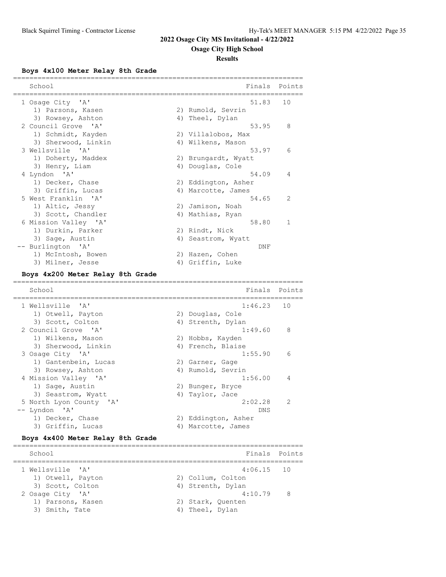## **Osage City High School**

### **Results**

**Boys 4x100 Meter Relay 8th Grade**

| School<br>===========             |    | Finals              | Points       |
|-----------------------------------|----|---------------------|--------------|
| 1 Osage City 'A'                  |    | 51.83               | 10           |
| 1) Parsons, Kasen                 |    | 2) Rumold, Sevrin   |              |
| 3) Rowsey, Ashton                 |    | 4) Theel, Dylan     |              |
| 2 Council Grove 'A'               |    | 53.95               | 8            |
| 1) Schmidt, Kayden                |    | 2) Villalobos, Max  |              |
| 3) Sherwood, Linkin               |    | 4) Wilkens, Mason   |              |
| 3 Wellsville 'A'                  |    | 53.97               | 6            |
| 1) Doherty, Maddex                |    | 2) Brungardt, Wyatt |              |
| 3) Henry, Liam                    |    | 4) Douglas, Cole    |              |
| 4 Lyndon 'A'                      |    | 54.09               | 4            |
| 1) Decker, Chase                  |    | 2) Eddington, Asher |              |
| 3) Griffin, Lucas                 |    | 4) Marcotte, James  |              |
| 5 West Franklin 'A'               |    | 54.65               | 2            |
| 1) Altic, Jessy                   |    | 2) Jamison, Noah    |              |
| 3) Scott, Chandler                |    | 4) Mathias, Ryan    |              |
| 6 Mission Valley 'A'              |    | 58.80               | $\mathbf{1}$ |
| 1) Durkin, Parker                 |    | 2) Rindt, Nick      |              |
| 3) Sage, Austin                   |    | 4) Seastrom, Wyatt  |              |
| -- Burlington 'A'                 |    | DNF                 |              |
| 1) McIntosh, Bowen                |    | 2) Hazen, Cohen     |              |
| 3) Milner, Jesse                  |    | 4) Griffin, Luke    |              |
| Boys 4x200 Meter Relay 8th Grade  |    |                     |              |
| School                            |    | Finals              | Points       |
| =============<br>1 Wellsville 'A' |    | 1:46.23             | 10           |
| 1) Otwell, Payton                 |    | 2) Douglas, Cole    |              |
| 3) Scott, Colton                  | 4) | Strenth, Dylan      |              |
| 2 Council Grove 'A'               |    | 1:49.60             | 8            |
| 1) Wilkens, Mason                 |    | 2) Hobbs, Kayden    |              |
| 3) Sherwood, Linkin               |    | 4) French, Blaise   |              |
| 3 Osage City 'A'                  |    | 1:55.90             | 6            |
| 1) Gantenbein, Lucas              |    | 2) Garner, Gage     |              |
| 3) Rowsey, Ashton                 |    | 4) Rumold, Sevrin   |              |
| 4 Mission Valley 'A'              |    | 1:56.00             | 4            |
| 1) Sage, Austin                   |    | 2) Bunger, Bryce    |              |
| 3) Seastrom, Wyatt                |    | 4) Taylor, Jace     |              |
| 5 North Lyon County 'A'           |    | 2:02.28             | 2            |
| -- Lyndon 'A'                     |    | DNS                 |              |
| 1) Decker, Chase                  |    | 2) Eddington, Asher |              |
| 3) Griffin, Lucas                 |    | 4) Marcotte, James  |              |
|                                   |    |                     |              |

#### **Boys 4x400 Meter Relay 8th Grade**

======================================================================= School **Finals** Points **Finals** Points ======================================================================= 1 Wellsville 'A' 4:06.15 10 1) Otwell, Payton 2) Collum, Colton 3) Scott, Colton (4) Strenth, Dylan 2 Osage City 'A' 4:10.79 8 1) Parsons, Kasen 2) Stark, Quenten 3) Smith, Tate 4) Theel, Dylan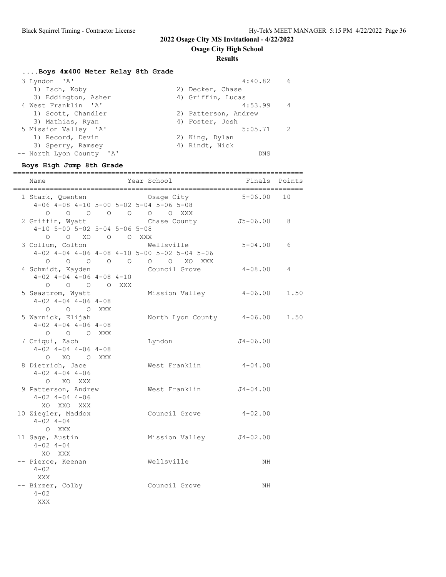**Osage City High School**

### **Results**

# **....Boys 4x400 Meter Relay 8th Grade**

| 3 Lyndon 'A'             | 4:40.82<br>6 <sup>6</sup> |
|--------------------------|---------------------------|
| 1) Isch, Koby            | 2) Decker, Chase          |
| 3) Eddington, Asher      | 4) Griffin, Lucas         |
| 4 West Franklin 'A'      | 4:53.99<br>$\overline{4}$ |
| 1) Scott, Chandler       | 2) Patterson, Andrew      |
| 3) Mathias, Ryan         | 4) Foster, Josh           |
| 5 Mission Valley 'A'     | 5:05.71<br>-2             |
| 1) Record, Devin         | 2) King, Dylan            |
| 3) Sperry, Ramsey        | 4) Rindt, Nick            |
| -- North Lyon County 'A' | <b>DNS</b>                |

# **Boys High Jump 8th Grade**

| Name                                                                             | -------------------<br>Year School                                                                                                                 | Finals Points |      |
|----------------------------------------------------------------------------------|----------------------------------------------------------------------------------------------------------------------------------------------------|---------------|------|
| 1 Stark, Quenten                                                                 | Osage City<br>4-06 4-08 4-10 5-00 5-02 5-04 5-06 5-08<br>$\begin{matrix}0&0&0&0&0&0&0&0&\text{XXX}\end{matrix}$                                    | $5 - 06.00$   | 10   |
| 2 Griffin, Wyatt<br>4-10 5-00 5-02 5-04 5-06 5-08<br>0 0 XO 0 0 XXX              | Chase County J5-06.00                                                                                                                              |               | 8    |
| 3 Collum, Colton                                                                 | Wellsville<br>$4-02$ $4-04$ $4-06$ $4-08$ $4-10$ $5-00$ $5-02$ $5-04$ $5-06$<br>$\begin{matrix}0&0&0&0&0&0&0&0&0&\text{X}0&\text{XX} \end{matrix}$ | $5 - 04.00$   | 6    |
| 4 Schmidt, Kayden<br>$4-02$ $4-04$ $4-06$ $4-08$ $4-10$<br>$O$ $O$ $O$ $O$ $XXX$ | Council Grove                                                                                                                                      | $4 - 08.00$   | 4    |
| 5 Seastrom, Wyatt<br>$4-02$ $4-04$ $4-06$ $4-08$<br>O O O XXX                    | Mission Valley                                                                                                                                     | $4 - 06.00$   | 1.50 |
| 5 Warnick, Elijah<br>$4-02$ $4-04$ $4-06$ $4-08$<br>O O O XXX                    | North Lyon County 4-06.00                                                                                                                          |               | 1.50 |
| 7 Criqui, Zach<br>$4-02$ $4-04$ $4-06$ $4-08$<br>O XO O XXX                      | Lyndon                                                                                                                                             | $J4 - 06.00$  |      |
| 8 Dietrich, Jace<br>$4 - 02$ $4 - 04$ $4 - 06$<br>O XO XXX                       | West Franklin                                                                                                                                      | $4 - 04.00$   |      |
| 9 Patterson, Andrew<br>$4 - 02$ $4 - 04$ $4 - 06$<br>XO XXO XXX                  | West Franklin                                                                                                                                      | $J4 - 04.00$  |      |
| 10 Ziegler, Maddox<br>$4 - 02$ $4 - 04$<br>O XXX                                 | Council Grove                                                                                                                                      | $4 - 02.00$   |      |
| 11 Sage, Austin<br>$4 - 02$ $4 - 04$<br>XO XXX                                   | Mission Valley J4-02.00                                                                                                                            |               |      |
| -- Pierce, Keenan<br>$4 - 02$<br>XXX                                             | Wellsville                                                                                                                                         | NH            |      |
| -- Birzer, Colby<br>$4 - 02$<br>XXX                                              | Council Grove                                                                                                                                      | ΝH            |      |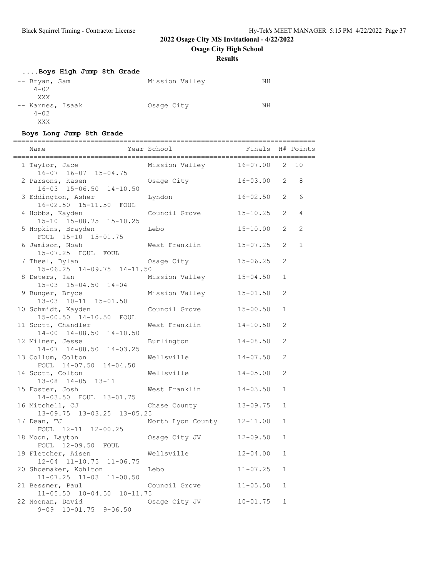**Osage City High School**

## **Results**

| Boys High Jump 8th Grade |                |    |
|--------------------------|----------------|----|
| -- Bryan, Sam            | Mission Valley | NΗ |
| $4 - 02$                 |                |    |
| XXX                      |                |    |
| -- Karnes, Isaak         | Osage City     | NΗ |
| $4 - 02$                 |                |    |
| XXX                      |                |    |

## **Boys Long Jump 8th Grade**

========================================================================== Finals H# Points

| Name                                                                      | rear School            | Finals H# Points |              |                |
|---------------------------------------------------------------------------|------------------------|------------------|--------------|----------------|
| 1 Taylor, Jace                                                            | Mission Valley         | $16 - 07.00$ 2   |              | 10             |
| $16-07$ $16-07$ $15-04.75$<br>2 Parsons, Kasen<br>16-03 15-06.50 14-10.50 | Osage City             | $16 - 03.00$     | 2            | 8              |
| 3 Eddington, Asher<br>16-02.50 15-11.50 FOUL                              | Lyndon                 | $16 - 02.50$     | 2            | 6              |
| 4 Hobbs, Kayden<br>15-10 15-08.75 15-10.25                                | Council Grove          | $15 - 10.25$     | 2            | $\overline{4}$ |
| 5 Hopkins, Brayden<br>FOUL 15-10 15-01.75                                 | Lebo                   | $15 - 10.00$     | 2            | $\overline{2}$ |
| 6 Jamison, Noah<br>15-07.25 FOUL FOUL                                     | West Franklin          | $15 - 07.25$     | 2            | $\mathbf{1}$   |
| 7 Theel, Dylan<br>15-06.25 14-09.75 14-11.50                              | Osage City             | $15 - 06.25$     | 2            |                |
| 8 Deters, Ian<br>15-03 15-04.50 14-04                                     | Mission Valley         | $15 - 04.50$     | $\mathbf{1}$ |                |
| 9 Bunger, Bryce<br>13-03 10-11 15-01.50                                   | Mission Valley         | $15 - 01.50$     | 2            |                |
| 10 Schmidt, Kayden<br>15-00.50 14-10.50 FOUL                              | Council Grove          | $15 - 00.50$     | $\mathbf{1}$ |                |
| 11 Scott, Chandler<br>14-00 14-08.50 14-10.50                             | West Franklin          | $14 - 10.50$     | 2            |                |
| 12 Milner, Jesse<br>$14-07$ $14-08.50$ $14-03.25$                         | Burlington             | $14 - 08.50$     | 2            |                |
| 13 Collum, Colton<br>FOUL 14-07.50 14-04.50                               | Wellsville             | $14 - 07.50$     | 2            |                |
| 14 Scott, Colton<br>13-08 14-05 13-11                                     | Wellsville             | $14 - 05.00$     | 2            |                |
| 15 Foster, Josh<br>14-03.50 FOUL 13-01.75                                 | West Franklin          | $14 - 03.50$     | $\mathbf{1}$ |                |
| 16 Mitchell, CJ<br>13-09.75 13-03.25 13-05.25                             | Chase County           | $13 - 09.75$     | $\mathbf{1}$ |                |
| 17 Dean, TJ<br>FOUL 12-11 12-00.25                                        | North Lyon County      | $12 - 11.00$     | $\mathbf{1}$ |                |
| 18 Moon, Layton<br>FOUL 12-09.50 FOUL                                     | Osage City JV          | $12 - 09.50$     | $\mathbf{1}$ |                |
| 19 Fletcher, Aisen<br>12-04 11-10.75 11-06.75                             | Wellsville             | $12 - 04.00$     | $\mathbf{1}$ |                |
| 20 Shoemaker, Kohlton<br>$11-07.25$ $11-03$ $11-00.50$                    | Lebo                   | $11 - 07.25$     | $\mathbf 1$  |                |
| 21 Bessmer, Paul<br>11-05.50 10-04.50 10-11.75                            | Council Grove 11-05.50 |                  | $\mathbf{1}$ |                |
| 22 Noonan, David<br>$9-09$ $10-01.75$ $9-06.50$                           | Osage City JV          | $10 - 01.75$     | $\mathbf{1}$ |                |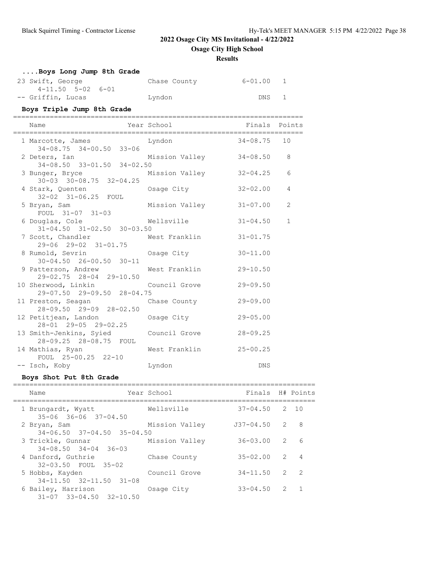**Osage City High School**

**Results**

| Boys Long Jump 8th Grade                                |                      |                   |                  |
|---------------------------------------------------------|----------------------|-------------------|------------------|
| 23 Swift, George                                        | Chase County 6-01.00 |                   | 1                |
| $4-11.50$ $5-02$ $6-01$<br>-- Griffin, Lucas            | Lyndon               | DNS               | 1                |
| Boys Triple Jump 8th Grade                              |                      |                   |                  |
| Name                                                    | Year School          | Finals Points     |                  |
| 1 Marcotte, James<br>$34-08.75$ $34-00.50$ $33-06$      | Lyndon               | $34 - 08.75$      | 10               |
| 2 Deters, Ian<br>34-08.50 33-01.50 34-02.50             | Mission Valley       | $34 - 08.50$ 8    |                  |
| 3 Bunger, Bryce<br>$30-03$ $30-08.75$ $32-04.25$        | Mission Valley       | $32 - 04.25$      | 6                |
| 4 Stark, Quenten<br>32-02 31-06.25 FOUL                 | Osage City           | $32 - 02.00$      | 4                |
| 5 Bryan, Sam<br>FOUL 31-07 31-03                        | Mission Valley       | $31 - 07.00$      | 2                |
| 6 Douglas, Cole<br>$31-04.50$ $31-02.50$ $30-03.50$     | Wellsville           | $31 - 04.50$      | $\mathbf 1$      |
| 7 Scott, Chandler<br>29-06 29-02 31-01.75               | West Franklin        | $31 - 01.75$      |                  |
| 8 Rumold, Sevrin<br>$30 - 04.50$ $26 - 00.50$ $30 - 11$ | Osage City           | $30 - 11.00$      |                  |
| 9 Patterson, Andrew<br>29-02.75 28-04 29-10.50          | West Franklin        | $29 - 10.50$      |                  |
| 10 Sherwood, Linkin<br>29-07.50 29-09.50 28-04.75       | Council Grove        | $29 - 09.50$      |                  |
| 11 Preston, Seagan<br>28-09.50 29-09 28-02.50           | Chase County         | $29 - 09.00$      |                  |
| 12 Petitjean, Landon<br>28-01 29-05 29-02.25            | Osage City           | $29 - 05.00$      |                  |
| 13 Smith-Jenkins, Syied<br>28-09.25 28-08.75 FOUL       | Council Grove        | $28 - 09.25$      |                  |
| 14 Mathias, Ryan<br>FOUL 25-00.25 22-10                 | West Franklin        | $25 - 00.25$      |                  |
| -- Isch, Koby                                           | Lyndon               | <b>DNS</b>        |                  |
| Boys Shot Put 8th Grade                                 |                      |                   |                  |
| Name                                                    | Year School          |                   | Finals H# Points |
| 1 Brungardt, Wyatt<br>35-06 36-06 37-04 50              | Wellsville           | $37 - 04.50$ 2 10 |                  |

| 1 Brungardt, Wyatt<br>$35 - 06$ $36 - 06$ $37 - 04.50$    | Wellsville     | $37 - 04.50$ 2 10 |   |                |
|-----------------------------------------------------------|----------------|-------------------|---|----------------|
| 2 Bryan, Sam<br>$34 - 06.50$ $37 - 04.50$ $35 - 04.50$    | Mission Valley | $J37-04.50$ 2     |   | - 8            |
| 3 Trickle, Gunnar<br>$34 - 08.50$ $34 - 04$ $36 - 03$     | Mission Valley | $36 - 03.00$ 2    |   | 6              |
| 4 Danford, Guthrie<br>32-03.50 FOUL 35-02                 | Chase County   | $35 - 02.00$ 2    |   | $\overline{4}$ |
| 5 Hobbs, Kayden<br>34-11.50 32-11.50 31-08                | Council Grove  | $34 - 11.50$      | 2 | $\overline{2}$ |
| 6 Bailey, Harrison<br>$31 - 07$ $33 - 04.50$ $32 - 10.50$ | Osage City     | $33 - 04.50$ 2    |   | $\overline{1}$ |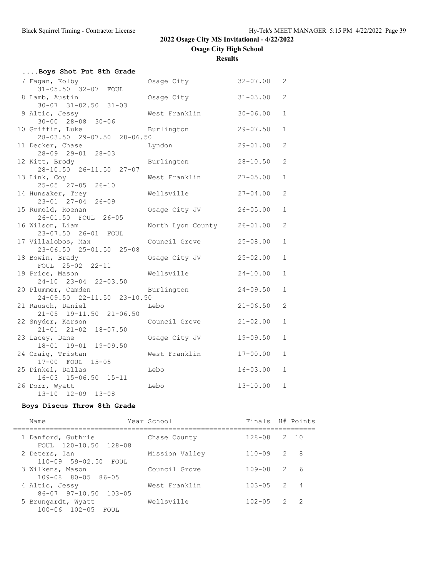| Results |  |
|---------|--|
|         |  |

| Boys Shot Put 8th Grade                                                   |                   |              |                |
|---------------------------------------------------------------------------|-------------------|--------------|----------------|
| 7 Fagan, Kolby                                                            | Osage City        | $32 - 07.00$ | 2              |
| 31-05.50 32-07 FOUL<br>8 Lamb, Austin<br>$30 - 07$ $31 - 02.50$ $31 - 03$ | Osage City        | $31 - 03.00$ | $\overline{2}$ |
| 9 Altic, Jessy<br>$30 - 00$ $28 - 08$ $30 - 06$                           | West Franklin     | $30 - 06.00$ | $\mathbf 1$    |
| 10 Griffin, Luke<br>28-03.50 29-07.50 28-06.50                            | Burlington        | $29 - 07.50$ | $\mathbf 1$    |
| 11 Decker, Chase<br>28-09 29-01 28-03                                     | Lyndon            | $29 - 01.00$ | $\overline{2}$ |
| 12 Kitt, Brody<br>28-10.50 26-11.50 27-07                                 | Burlington        | $28 - 10.50$ | $\overline{2}$ |
| 13 Link, Coy<br>25-05 27-05 26-10                                         | West Franklin     | $27 - 05.00$ | $\mathbf{1}$   |
| 14 Hunsaker, Trey<br>23-01 27-04 26-09                                    | Wellsville        | $27 - 04.00$ | $\overline{2}$ |
| 15 Rumold, Roenan<br>26-01.50 FOUL 26-05                                  | Osage City JV     | $26 - 05.00$ | $\mathbf{1}$   |
| 16 Wilson, Liam<br>23-07.50 26-01 FOUL                                    | North Lyon County | $26 - 01.00$ | $\overline{2}$ |
| 17 Villalobos, Max<br>23-06.50 25-01.50 25-08                             | Council Grove     | $25 - 08.00$ | $\mathbf{1}$   |
| 18 Bowin, Brady<br>FOUL 25-02 22-11                                       | Osage City JV     | $25 - 02.00$ | $\mathbf{1}$   |
| 19 Price, Mason<br>24-10 23-04 22-03.50                                   | Wellsville        | $24 - 10.00$ | $\mathbf{1}$   |
| 20 Plummer, Camden<br>24-09.50 22-11.50 23-10.50                          | Burlington        | $24 - 09.50$ | $\mathbf{1}$   |
| 21 Rausch, Daniel<br>21-05 19-11.50 21-06.50                              | Lebo              | $21 - 06.50$ | $\overline{2}$ |
| 22 Snyder, Karson<br>$21-01$ $21-02$ $18-07.50$                           | Council Grove     | $21 - 02.00$ | $\mathbf{1}$   |
| 23 Lacey, Dane<br>18-01 19-01 19-09.50                                    | Osage City JV     | $19 - 09.50$ | $\mathbf{1}$   |
| 24 Craig, Tristan<br>17-00 FOUL 15-05                                     | West Franklin     | $17 - 00.00$ | $\mathbf{1}$   |
| 25 Dinkel, Dallas<br>16-03 15-06.50 15-11                                 | Lebo              | $16 - 03.00$ | $\mathbf 1$    |
| 26 Dorr, Wyatt<br>13-10 12-09 13-08                                       | Lebo              | $13 - 10.00$ | $\mathbf{1}$   |

## **Boys Discus Throw 8th Grade**

| Name                                               | Year School    | Finals H# Points |                |                |
|----------------------------------------------------|----------------|------------------|----------------|----------------|
| 1 Danford, Guthrie<br>FOUL 120-10.50 128-08        | Chase County   | $128 - 08$ 2 10  |                |                |
| 2 Deters, Ian<br>110-09 59-02.50 FOUL              | Mission Valley | $110 - 09$       | $\overline{2}$ | - 8            |
| 3 Wilkens, Mason<br>$109 - 08$ $80 - 05$ $86 - 05$ | Council Grove  | $109 - 08$       | $\mathcal{L}$  | 6              |
| 4 Altic, Jessy<br>86-07 97-10.50 103-05            | West Franklin  | $103 - 05$       | $\overline{2}$ | $\overline{4}$ |
| 5 Brungardt, Wyatt<br>100-06 102-05 FOUL           | Wellsville     | $102 - 05$       | $\overline{2}$ | $\overline{2}$ |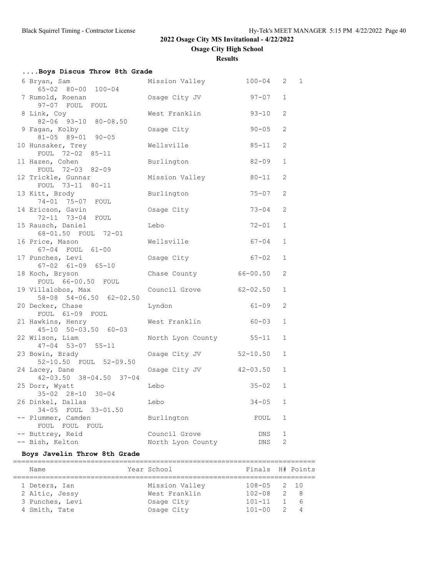**Osage City High School**

**Results**

| Boys Discus Throw 8th Grade                           |                         |              |                |   |
|-------------------------------------------------------|-------------------------|--------------|----------------|---|
| 6 Bryan, Sam<br>65-02 80-00 100-04                    | Mission Valley          | $100 - 04$   | 2              | 1 |
| 7 Rumold, Roenan<br>97-07 FOUL FOUL                   | Osage City JV           | $97 - 07$    | $\mathbf{1}$   |   |
| 8 Link, Coy<br>82-06 93-10 80-08.50                   | West Franklin           | $93 - 10$    | $\mathfrak{L}$ |   |
| 9 Fagan, Kolby<br>81-05 89-01 90-05                   | Osage City              | $90 - 05$    | 2              |   |
| 10 Hunsaker, Trey<br>FOUL 72-02 85-11                 | Wellsville              | $85 - 11$    | $\overline{2}$ |   |
| 11 Hazen, Cohen<br>FOUL 72-03 82-09                   | Burlington              | $82 - 09$    | $\mathbf{1}$   |   |
| 12 Trickle, Gunnar<br>FOUL 73-11 80-11                | Mission Valley          | 80-11        | 2              |   |
| 13 Kitt, Brody<br>74-01 75-07 FOUL                    | Burlington              | $75 - 07$    | 2              |   |
| 14 Ericson, Gavin<br>72-11 73-04 FOUL                 | Osage City              | $73 - 04$    | 2              |   |
| 15 Rausch, Daniel<br>68-01.50 FOUL 72-01              | Lebo                    | $72 - 01$    | $\mathbf{1}$   |   |
| 16 Price, Mason<br>67-04 FOUL 61-00                   | Wellsville              | $67 - 04$    | $\mathbf{1}$   |   |
| 17 Punches, Levi<br>$67 - 02$ $61 - 09$ $65 - 10$     | Osage City              | $67 - 02$    | $\mathbf{1}$   |   |
| 18 Koch, Bryson<br>FOUL 66-00.50 FOUL                 | Chase County            | $66 - 00.50$ | 2              |   |
| 19 Villalobos, Max<br>58-08 54-06.50 62-02.50         | Council Grove           | $62 - 02.50$ | $\mathbf{1}$   |   |
| 20 Decker, Chase<br>FOUL 61-09 FOUL                   | Lyndon                  | $61 - 09$    | 2              |   |
| 21 Hawkins, Henry<br>$45 - 10$ $50 - 03.50$ $60 - 03$ | West Franklin           | 60-03        | $\mathbf{1}$   |   |
| 22 Wilson, Liam<br>$47 - 04$ 53-07 55-11              | North Lyon County 55-11 |              | $\mathbf{1}$   |   |
| 23 Bowin, Brady<br>52-10.50 FOUL 52-09.50             | Osage City JV           | $52 - 10.50$ | $\mathbf{1}$   |   |
| 24 Lacey, Dane<br>42-03.50 38-04.50 37-04             | Osage City JV           | $42 - 03.50$ | $\mathbf{1}$   |   |
| 25 Dorr, Wyatt<br>$35 - 02$ $28 - 10$ $30 - 04$       | Lebo                    | $35 - 02$    | $\mathbf{1}$   |   |
| 26 Dinkel, Dallas<br>34-05 FOUL 33-01.50              | Lebo                    | $34 - 05$    | $\mathbf{1}$   |   |
| -- Plummer, Camden<br>FOUL FOUL FOUL                  | Burlington              | FOUL         | $\mathbf{1}$   |   |
| -- Buttrey, Reid                                      | Council Grove           | DNS          | $\mathbf{1}$   |   |
| -- Bish, Kelton                                       | North Lyon County       | DNS          | $\overline{2}$ |   |

## **Boys Javelin Throw 8th Grade**

| Name            | Year School    | Finals H# Points |                |    |
|-----------------|----------------|------------------|----------------|----|
| 1 Deters, Ian   | Mission Valley | $108 - 05$ 2 10  |                |    |
| 2 Altic, Jessy  | West Franklin  | $102 - 08$ 2 8   |                |    |
| 3 Punches, Levi | Osage City     | $101 - 11$       |                | 16 |
| 4 Smith, Tate   | Osage City     | $101 - 00$       | $\overline{2}$ |    |